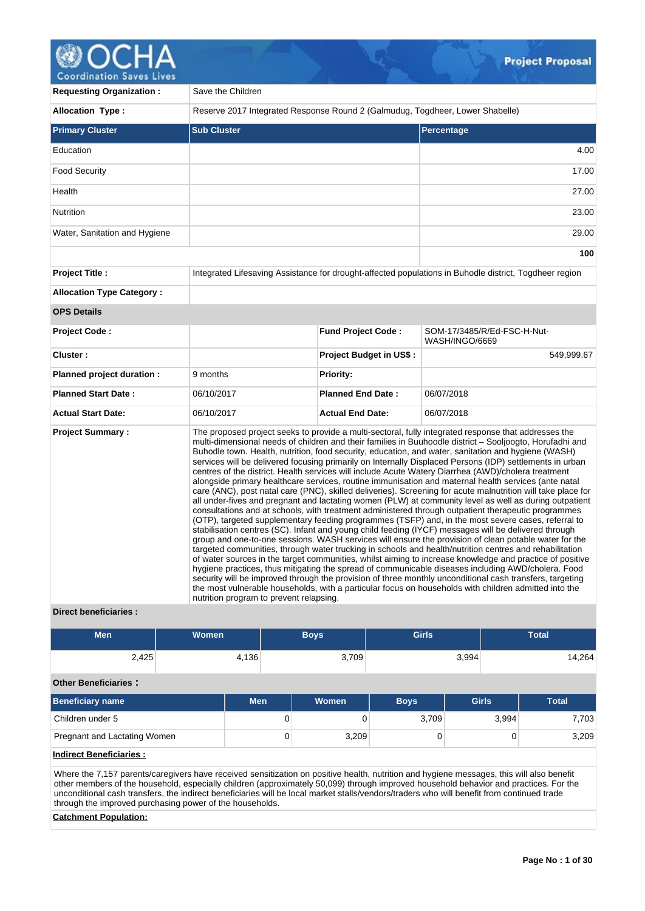# **@OCHA**

| COOI GILLELIOII JAVES LIVES      |                                                                               |                                |                                                                                                                                                                                                                                                                                                                                                                                                                                                                                                                                                                                                                                                                                                                                                                                                                                                                                                                                                                                                                                                                                                                                                                                                                                                                                                                                                                                                                                                                                                                                                                                                                                                                                                                                                                                                                                                              |
|----------------------------------|-------------------------------------------------------------------------------|--------------------------------|--------------------------------------------------------------------------------------------------------------------------------------------------------------------------------------------------------------------------------------------------------------------------------------------------------------------------------------------------------------------------------------------------------------------------------------------------------------------------------------------------------------------------------------------------------------------------------------------------------------------------------------------------------------------------------------------------------------------------------------------------------------------------------------------------------------------------------------------------------------------------------------------------------------------------------------------------------------------------------------------------------------------------------------------------------------------------------------------------------------------------------------------------------------------------------------------------------------------------------------------------------------------------------------------------------------------------------------------------------------------------------------------------------------------------------------------------------------------------------------------------------------------------------------------------------------------------------------------------------------------------------------------------------------------------------------------------------------------------------------------------------------------------------------------------------------------------------------------------------------|
| <b>Requesting Organization:</b>  | Save the Children                                                             |                                |                                                                                                                                                                                                                                                                                                                                                                                                                                                                                                                                                                                                                                                                                                                                                                                                                                                                                                                                                                                                                                                                                                                                                                                                                                                                                                                                                                                                                                                                                                                                                                                                                                                                                                                                                                                                                                                              |
| <b>Allocation Type:</b>          | Reserve 2017 Integrated Response Round 2 (Galmudug, Togdheer, Lower Shabelle) |                                |                                                                                                                                                                                                                                                                                                                                                                                                                                                                                                                                                                                                                                                                                                                                                                                                                                                                                                                                                                                                                                                                                                                                                                                                                                                                                                                                                                                                                                                                                                                                                                                                                                                                                                                                                                                                                                                              |
| <b>Primary Cluster</b>           | <b>Sub Cluster</b>                                                            |                                | <b>Percentage</b>                                                                                                                                                                                                                                                                                                                                                                                                                                                                                                                                                                                                                                                                                                                                                                                                                                                                                                                                                                                                                                                                                                                                                                                                                                                                                                                                                                                                                                                                                                                                                                                                                                                                                                                                                                                                                                            |
| Education                        |                                                                               |                                | 4.00                                                                                                                                                                                                                                                                                                                                                                                                                                                                                                                                                                                                                                                                                                                                                                                                                                                                                                                                                                                                                                                                                                                                                                                                                                                                                                                                                                                                                                                                                                                                                                                                                                                                                                                                                                                                                                                         |
| <b>Food Security</b>             |                                                                               |                                | 17.00                                                                                                                                                                                                                                                                                                                                                                                                                                                                                                                                                                                                                                                                                                                                                                                                                                                                                                                                                                                                                                                                                                                                                                                                                                                                                                                                                                                                                                                                                                                                                                                                                                                                                                                                                                                                                                                        |
| Health                           |                                                                               |                                | 27.00                                                                                                                                                                                                                                                                                                                                                                                                                                                                                                                                                                                                                                                                                                                                                                                                                                                                                                                                                                                                                                                                                                                                                                                                                                                                                                                                                                                                                                                                                                                                                                                                                                                                                                                                                                                                                                                        |
| Nutrition                        |                                                                               |                                | 23.00                                                                                                                                                                                                                                                                                                                                                                                                                                                                                                                                                                                                                                                                                                                                                                                                                                                                                                                                                                                                                                                                                                                                                                                                                                                                                                                                                                                                                                                                                                                                                                                                                                                                                                                                                                                                                                                        |
| Water, Sanitation and Hygiene    |                                                                               |                                | 29.00                                                                                                                                                                                                                                                                                                                                                                                                                                                                                                                                                                                                                                                                                                                                                                                                                                                                                                                                                                                                                                                                                                                                                                                                                                                                                                                                                                                                                                                                                                                                                                                                                                                                                                                                                                                                                                                        |
|                                  |                                                                               |                                | 100                                                                                                                                                                                                                                                                                                                                                                                                                                                                                                                                                                                                                                                                                                                                                                                                                                                                                                                                                                                                                                                                                                                                                                                                                                                                                                                                                                                                                                                                                                                                                                                                                                                                                                                                                                                                                                                          |
| <b>Project Title:</b>            |                                                                               |                                | Integrated Lifesaving Assistance for drought-affected populations in Buhodle district, Togdheer region                                                                                                                                                                                                                                                                                                                                                                                                                                                                                                                                                                                                                                                                                                                                                                                                                                                                                                                                                                                                                                                                                                                                                                                                                                                                                                                                                                                                                                                                                                                                                                                                                                                                                                                                                       |
| <b>Allocation Type Category:</b> |                                                                               |                                |                                                                                                                                                                                                                                                                                                                                                                                                                                                                                                                                                                                                                                                                                                                                                                                                                                                                                                                                                                                                                                                                                                                                                                                                                                                                                                                                                                                                                                                                                                                                                                                                                                                                                                                                                                                                                                                              |
| <b>OPS Details</b>               |                                                                               |                                |                                                                                                                                                                                                                                                                                                                                                                                                                                                                                                                                                                                                                                                                                                                                                                                                                                                                                                                                                                                                                                                                                                                                                                                                                                                                                                                                                                                                                                                                                                                                                                                                                                                                                                                                                                                                                                                              |
| <b>Project Code:</b>             |                                                                               | Fund Project Code:             | SOM-17/3485/R/Ed-FSC-H-Nut-<br>WASH/INGO/6669                                                                                                                                                                                                                                                                                                                                                                                                                                                                                                                                                                                                                                                                                                                                                                                                                                                                                                                                                                                                                                                                                                                                                                                                                                                                                                                                                                                                                                                                                                                                                                                                                                                                                                                                                                                                                |
| Cluster:                         |                                                                               | <b>Project Budget in US\$:</b> | 549,999.67                                                                                                                                                                                                                                                                                                                                                                                                                                                                                                                                                                                                                                                                                                                                                                                                                                                                                                                                                                                                                                                                                                                                                                                                                                                                                                                                                                                                                                                                                                                                                                                                                                                                                                                                                                                                                                                   |
| Planned project duration :       | 9 months                                                                      | <b>Priority:</b>               |                                                                                                                                                                                                                                                                                                                                                                                                                                                                                                                                                                                                                                                                                                                                                                                                                                                                                                                                                                                                                                                                                                                                                                                                                                                                                                                                                                                                                                                                                                                                                                                                                                                                                                                                                                                                                                                              |
| <b>Planned Start Date:</b>       | 06/10/2017                                                                    | <b>Planned End Date:</b>       | 06/07/2018                                                                                                                                                                                                                                                                                                                                                                                                                                                                                                                                                                                                                                                                                                                                                                                                                                                                                                                                                                                                                                                                                                                                                                                                                                                                                                                                                                                                                                                                                                                                                                                                                                                                                                                                                                                                                                                   |
| <b>Actual Start Date:</b>        | 06/10/2017                                                                    | <b>Actual End Date:</b>        | 06/07/2018                                                                                                                                                                                                                                                                                                                                                                                                                                                                                                                                                                                                                                                                                                                                                                                                                                                                                                                                                                                                                                                                                                                                                                                                                                                                                                                                                                                                                                                                                                                                                                                                                                                                                                                                                                                                                                                   |
| <b>Project Summary:</b>          | nutrition program to prevent relapsing.                                       |                                | The proposed project seeks to provide a multi-sectoral, fully integrated response that addresses the<br>multi-dimensional needs of children and their families in Buuhoodle district – Sooljoogto, Horufadhi and<br>Buhodle town. Health, nutrition, food security, education, and water, sanitation and hygiene (WASH)<br>services will be delivered focusing primarily on Internally Displaced Persons (IDP) settlements in urban<br>centres of the district. Health services will include Acute Watery Diarrhea (AWD)/cholera treatment<br>alongside primary healthcare services, routine immunisation and maternal health services (ante natal<br>care (ANC), post natal care (PNC), skilled deliveries). Screening for acute malnutrition will take place for<br>all under-fives and pregnant and lactating women (PLW) at community level as well as during outpatient<br>consultations and at schools, with treatment administered through outpatient therapeutic programmes<br>(OTP), targeted supplementary feeding programmes (TSFP) and, in the most severe cases, referral to<br>stabilisation centres (SC). Infant and young child feeding (IYCF) messages will be delivered through<br>group and one-to-one sessions. WASH services will ensure the provision of clean potable water for the<br>targeted communities, through water trucking in schools and health/nutrition centres and rehabilitation<br>of water sources in the target communities, whilst aiming to increase knowledge and practice of positive<br>hygiene practices, thus mitigating the spread of communicable diseases including AWD/cholera. Food<br>security will be improved through the provision of three monthly unconditional cash transfers, targeting<br>the most vulnerable households, with a particular focus on households with children admitted into the |

# **Direct beneficiaries :**

| <b>Men</b>                   | <b>Women</b> |            | <b>Boys</b> | <b>Girls</b> |              | <b>Total</b> |  |  |  |  |  |
|------------------------------|--------------|------------|-------------|--------------|--------------|--------------|--|--|--|--|--|
| 2,425                        |              | 4,136      | 3,709       |              | 3,994        | 14,264       |  |  |  |  |  |
| <b>Other Beneficiaries:</b>  |              |            |             |              |              |              |  |  |  |  |  |
| <b>Beneficiary name</b>      |              | <b>Men</b> | Women       | <b>Boys</b>  | <b>Girls</b> | <b>Total</b> |  |  |  |  |  |
| Children under 5             |              | 0          | 0           | 3,709        | 3,994        | 7,703        |  |  |  |  |  |
| Pregnant and Lactating Women |              | 0          | 3,209       | 0            | $\Omega$     | 3,209        |  |  |  |  |  |
| .                            |              |            |             |              |              |              |  |  |  |  |  |

# **Indirect Beneficiaries :**

Where the 7,157 parents/caregivers have received sensitization on positive health, nutrition and hygiene messages, this will also benefit other members of the household, especially children (approximately 50,099) through improved household behavior and practices. For the unconditional cash transfers, the indirect beneficiaries will be local market stalls/vendors/traders who will benefit from continued trade through the improved purchasing power of the households.

# **Catchment Population:**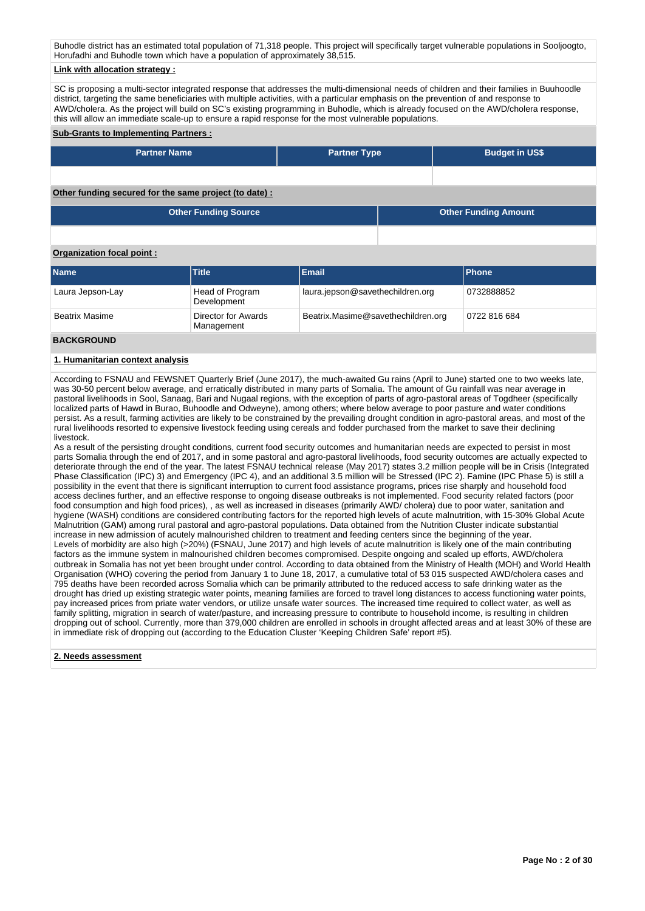Buhodle district has an estimated total population of 71,318 people. This project will specifically target vulnerable populations in Sooljoogto, Horufadhi and Buhodle town which have a population of approximately 38,515.

#### **Link with allocation strategy :**

SC is proposing a multi-sector integrated response that addresses the multi-dimensional needs of children and their families in Buuhoodle district, targeting the same beneficiaries with multiple activities, with a particular emphasis on the prevention of and response to AWD/cholera. As the project will build on SC's existing programming in Buhodle, which is already focused on the AWD/cholera response, this will allow an immediate scale-up to ensure a rapid response for the most vulnerable populations.

#### **Sub-Grants to Implementing Partners :**

| <b>Partner Name</b>                                        | <b>Partner Type</b> | <b>Budget in US\$</b> |
|------------------------------------------------------------|---------------------|-----------------------|
|                                                            |                     |                       |
| Other fronting executed for the express project (to deta). |                     |                       |

#### **Other funding secured for the same project (to date) :**

| <b>Other Funding Source</b> | <b>Other Funding Amount</b> |
|-----------------------------|-----------------------------|
|                             |                             |

# **Organization focal point :**

| <b>Name</b>           | <b>Title</b>                      | <b>Email</b>                       | <b>Phone</b> |
|-----------------------|-----------------------------------|------------------------------------|--------------|
| Laura Jepson-Lay      | Head of Program<br>Development    | laura.jepson@savethechildren.org   | 0732888852   |
| <b>Beatrix Masime</b> | Director for Awards<br>Management | Beatrix.Masime@savethechildren.org | 0722 816 684 |
| <b>BACKGROUND</b>     |                                   |                                    |              |

#### **1. Humanitarian context analysis**

According to FSNAU and FEWSNET Quarterly Brief (June 2017), the much-awaited Gu rains (April to June) started one to two weeks late, was 30-50 percent below average, and erratically distributed in many parts of Somalia. The amount of Gu rainfall was near average in pastoral livelihoods in Sool, Sanaag, Bari and Nugaal regions, with the exception of parts of agro-pastoral areas of Togdheer (specifically localized parts of Hawd in Burao, Buhoodle and Odweyne), among others; where below average to poor pasture and water conditions persist. As a result, farming activities are likely to be constrained by the prevailing drought condition in agro-pastoral areas, and most of the rural livelihoods resorted to expensive livestock feeding using cereals and fodder purchased from the market to save their declining livestock.

As a result of the persisting drought conditions, current food security outcomes and humanitarian needs are expected to persist in most parts Somalia through the end of 2017, and in some pastoral and agro-pastoral livelihoods, food security outcomes are actually expected to deteriorate through the end of the year. The latest FSNAU technical release (May 2017) states 3.2 million people will be in Crisis (Integrated Phase Classification (IPC) 3) and Emergency (IPC 4), and an additional 3.5 million will be Stressed (IPC 2). Famine (IPC Phase 5) is still a possibility in the event that there is significant interruption to current food assistance programs, prices rise sharply and household food access declines further, and an effective response to ongoing disease outbreaks is not implemented. Food security related factors (poor food consumption and high food prices), , as well as increased in diseases (primarily AWD/ cholera) due to poor water, sanitation and hygiene (WASH) conditions are considered contributing factors for the reported high levels of acute malnutrition, with 15-30% Global Acute Malnutrition (GAM) among rural pastoral and agro-pastoral populations. Data obtained from the Nutrition Cluster indicate substantial increase in new admission of acutely malnourished children to treatment and feeding centers since the beginning of the year. Levels of morbidity are also high (>20%) (FSNAU, June 2017) and high levels of acute malnutrition is likely one of the main contributing factors as the immune system in malnourished children becomes compromised. Despite ongoing and scaled up efforts, AWD/cholera outbreak in Somalia has not yet been brought under control. According to data obtained from the Ministry of Health (MOH) and World Health Organisation (WHO) covering the period from January 1 to June 18, 2017, a cumulative total of 53 015 suspected AWD/cholera cases and 795 deaths have been recorded across Somalia which can be primarily attributed to the reduced access to safe drinking water as the drought has dried up existing strategic water points, meaning families are forced to travel long distances to access functioning water points, pay increased prices from priate water vendors, or utilize unsafe water sources. The increased time required to collect water, as well as family splitting, migration in search of water/pasture, and increasing pressure to contribute to household income, is resulting in children dropping out of school. Currently, more than 379,000 children are enrolled in schools in drought affected areas and at least 30% of these are in immediate risk of dropping out (according to the Education Cluster 'Keeping Children Safe' report #5).

#### **2. Needs assessment**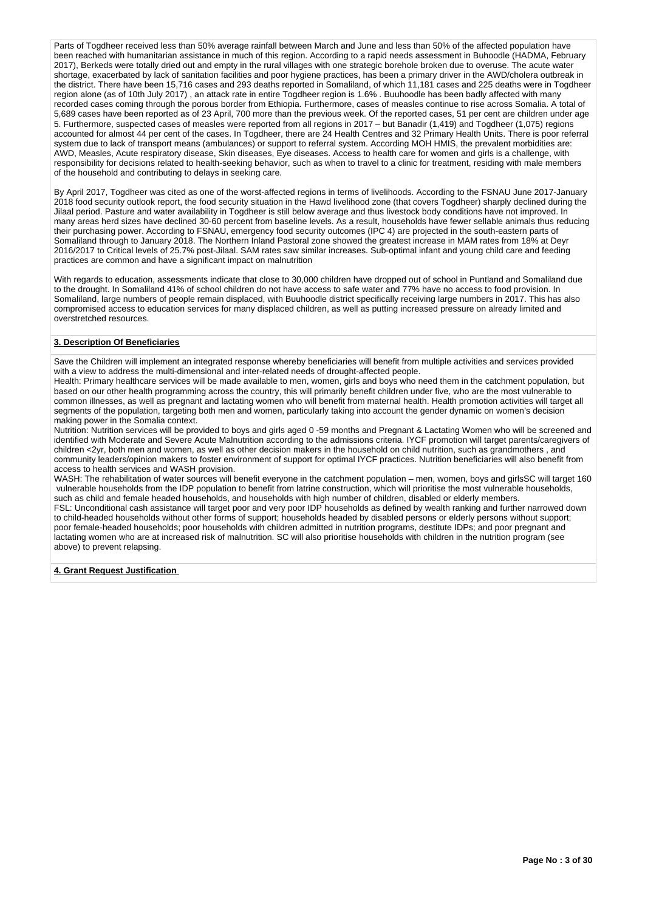Parts of Togdheer received less than 50% average rainfall between March and June and less than 50% of the affected population have been reached with humanitarian assistance in much of this region. According to a rapid needs assessment in Buhoodle (HADMA, February 2017), Berkeds were totally dried out and empty in the rural villages with one strategic borehole broken due to overuse. The acute water shortage, exacerbated by lack of sanitation facilities and poor hygiene practices, has been a primary driver in the AWD/cholera outbreak in the district. There have been 15,716 cases and 293 deaths reported in Somaliland, of which 11,181 cases and 225 deaths were in Togdheer region alone (as of 10th July 2017) , an attack rate in entire Togdheer region is 1.6% . Buuhoodle has been badly affected with many recorded cases coming through the porous border from Ethiopia. Furthermore, cases of measles continue to rise across Somalia. A total of 5,689 cases have been reported as of 23 April, 700 more than the previous week. Of the reported cases, 51 per cent are children under age 5. Furthermore, suspected cases of measles were reported from all regions in 2017 – but Banadir (1,419) and Togdheer (1,075) regions accounted for almost 44 per cent of the cases. In Togdheer, there are 24 Health Centres and 32 Primary Health Units. There is poor referral system due to lack of transport means (ambulances) or support to referral system. According MOH HMIS, the prevalent morbidities are: AWD, Measles, Acute respiratory disease, Skin diseases, Eye diseases. Access to health care for women and girls is a challenge, with responsibility for decisions related to health-seeking behavior, such as when to travel to a clinic for treatment, residing with male members of the household and contributing to delays in seeking care.

By April 2017, Togdheer was cited as one of the worst-affected regions in terms of livelihoods. According to the FSNAU June 2017-January 2018 food security outlook report, the food security situation in the Hawd livelihood zone (that covers Togdheer) sharply declined during the Jilaal period. Pasture and water availability in Togdheer is still below average and thus livestock body conditions have not improved. In many areas herd sizes have declined 30-60 percent from baseline levels. As a result, households have fewer sellable animals thus reducing their purchasing power. According to FSNAU, emergency food security outcomes (IPC 4) are projected in the south-eastern parts of Somaliland through to January 2018. The Northern Inland Pastoral zone showed the greatest increase in MAM rates from 18% at Deyr 2016/2017 to Critical levels of 25.7% post-Jilaal. SAM rates saw similar increases. Sub-optimal infant and young child care and feeding practices are common and have a significant impact on malnutrition

With regards to education, assessments indicate that close to 30,000 children have dropped out of school in Puntland and Somaliland due to the drought. In Somaliland 41% of school children do not have access to safe water and 77% have no access to food provision. In Somaliland, large numbers of people remain displaced, with Buuhoodle district specifically receiving large numbers in 2017. This has also compromised access to education services for many displaced children, as well as putting increased pressure on already limited and overstretched resources.

#### **3. Description Of Beneficiaries**

Save the Children will implement an integrated response whereby beneficiaries will benefit from multiple activities and services provided with a view to address the multi-dimensional and inter-related needs of drought-affected people.

Health: Primary healthcare services will be made available to men, women, girls and boys who need them in the catchment population, but based on our other health programming across the country, this will primarily benefit children under five, who are the most vulnerable to common illnesses, as well as pregnant and lactating women who will benefit from maternal health. Health promotion activities will target all segments of the population, targeting both men and women, particularly taking into account the gender dynamic on women's decision making power in the Somalia context.

Nutrition: Nutrition services will be provided to boys and girls aged 0 -59 months and Pregnant & Lactating Women who will be screened and identified with Moderate and Severe Acute Malnutrition according to the admissions criteria. IYCF promotion will target parents/caregivers of children <2yr, both men and women, as well as other decision makers in the household on child nutrition, such as grandmothers , and community leaders/opinion makers to foster environment of support for optimal IYCF practices. Nutrition beneficiaries will also benefit from access to health services and WASH provision.

WASH: The rehabilitation of water sources will benefit everyone in the catchment population – men, women, boys and girlsSC will target 160 vulnerable households from the IDP population to benefit from latrine construction, which will prioritise the most vulnerable households, such as child and female headed households, and households with high number of children, disabled or elderly members.

FSL: Unconditional cash assistance will target poor and very poor IDP households as defined by wealth ranking and further narrowed down to child-headed households without other forms of support; households headed by disabled persons or elderly persons without support; poor female-headed households; poor households with children admitted in nutrition programs, destitute IDPs; and poor pregnant and lactating women who are at increased risk of malnutrition. SC will also prioritise households with children in the nutrition program (see above) to prevent relapsing.

**4. Grant Request Justification**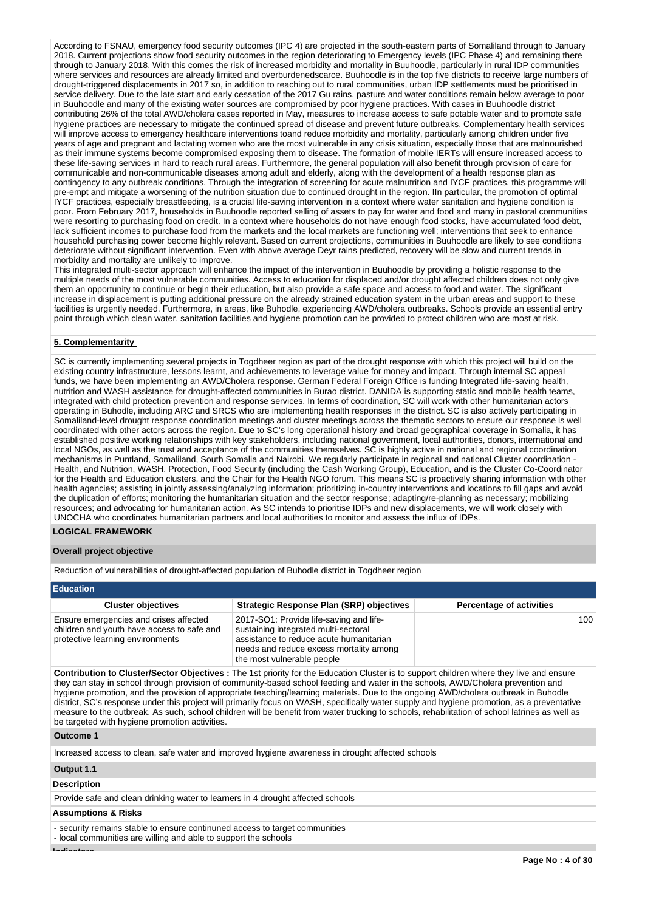According to FSNAU, emergency food security outcomes (IPC 4) are projected in the south-eastern parts of Somaliland through to January 2018. Current projections show food security outcomes in the region deteriorating to Emergency levels (IPC Phase 4) and remaining there through to January 2018. With this comes the risk of increased morbidity and mortality in Buuhoodle, particularly in rural IDP communities where services and resources are already limited and overburdenedscarce. Buuhoodle is in the top five districts to receive large numbers of drought-triggered displacements in 2017 so, in addition to reaching out to rural communities, urban IDP settlements must be prioritised in service delivery. Due to the late start and early cessation of the 2017 Gu rains, pasture and water conditions remain below average to poor in Buuhoodle and many of the existing water sources are compromised by poor hygiene practices. With cases in Buuhoodle district contributing 26% of the total AWD/cholera cases reported in May, measures to increase access to safe potable water and to promote safe hygiene practices are necessary to mitigate the continued spread of disease and prevent future outbreaks. Complementary health services will improve access to emergency healthcare interventions toand reduce morbidity and mortality, particularly among children under five years of age and pregnant and lactating women who are the most vulnerable in any crisis situation, especially those that are malnourished as their immune systems become compromised exposing them to disease. The formation of mobile IERTs will ensure increased access to these life-saving services in hard to reach rural areas. Furthermore, the general population will also benefit through provision of care for communicable and non-communicable diseases among adult and elderly, along with the development of a health response plan as contingency to any outbreak conditions. Through the integration of screening for acute malnutrition and IYCF practices, this programme will pre-empt and mitigate a worsening of the nutrition situation due to continued drought in the region. IIn particular, the promotion of optimal IYCF practices, especially breastfeeding, is a crucial life-saving intervention in a context where water sanitation and hygiene condition is poor. From February 2017, households in Buuhoodle reported selling of assets to pay for water and food and many in pastoral communities were resorting to purchasing food on credit. In a context where households do not have enough food stocks, have accumulated food debt, lack sufficient incomes to purchase food from the markets and the local markets are functioning well; interventions that seek to enhance household purchasing power become highly relevant. Based on current projections, communities in Buuhoodle are likely to see conditions deteriorate without significant intervention. Even with above average Deyr rains predicted, recovery will be slow and current trends in morbidity and mortality are unlikely to improve.

This integrated multi-sector approach will enhance the impact of the intervention in Buuhoodle by providing a holistic response to the multiple needs of the most vulnerable communities. Access to education for displaced and/or drought affected children does not only give them an opportunity to continue or begin their education, but also provide a safe space and access to food and water. The significant increase in displacement is putting additional pressure on the already strained education system in the urban areas and support to these facilities is urgently needed. Furthermore, in areas, like Buhodle, experiencing AWD/cholera outbreaks. Schools provide an essential entry point through which clean water, sanitation facilities and hygiene promotion can be provided to protect children who are most at risk.

#### **5. Complementarity**

SC is currently implementing several projects in Togdheer region as part of the drought response with which this project will build on the existing country infrastructure, lessons learnt, and achievements to leverage value for money and impact. Through internal SC appeal funds, we have been implementing an AWD/Cholera response. German Federal Foreign Office is funding Integrated life-saving health, nutrition and WASH assistance for drought-affected communities in Burao district. DANIDA is supporting static and mobile health teams, integrated with child protection prevention and response services. In terms of coordination, SC will work with other humanitarian actors operating in Buhodle, including ARC and SRCS who are implementing health responses in the district. SC is also actively participating in Somaliland-level drought response coordination meetings and cluster meetings across the thematic sectors to ensure our response is well coordinated with other actors across the region. Due to SC's long operational history and broad geographical coverage in Somalia, it has established positive working relationships with key stakeholders, including national government, local authorities, donors, international and local NGOs, as well as the trust and acceptance of the communities themselves. SC is highly active in national and regional coordination mechanisms in Puntland, Somaliland, South Somalia and Nairobi. We regularly participate in regional and national Cluster coordination - Health, and Nutrition, WASH, Protection, Food Security (including the Cash Working Group), Education, and is the Cluster Co-Coordinator for the Health and Education clusters, and the Chair for the Health NGO forum. This means SC is proactively sharing information with other health agencies; assisting in jointly assessing/analyzing information; prioritizing in-country interventions and locations to fill gaps and avoid the duplication of efforts; monitoring the humanitarian situation and the sector response; adapting/re-planning as necessary; mobilizing resources; and advocating for humanitarian action. As SC intends to prioritise IDPs and new displacements, we will work closely with UNOCHA who coordinates humanitarian partners and local authorities to monitor and assess the influx of IDPs.

#### **LOGICAL FRAMEWORK**

#### **Overall project objective**

Reduction of vulnerabilities of drought-affected population of Buhodle district in Togdheer region

| <b>Education</b>                                                                                                         |                                                                                                                                                                                                     |                                 |  |  |  |  |  |  |  |  |
|--------------------------------------------------------------------------------------------------------------------------|-----------------------------------------------------------------------------------------------------------------------------------------------------------------------------------------------------|---------------------------------|--|--|--|--|--|--|--|--|
| <b>Cluster objectives</b>                                                                                                | <b>Strategic Response Plan (SRP) objectives</b>                                                                                                                                                     | <b>Percentage of activities</b> |  |  |  |  |  |  |  |  |
| Ensure emergencies and crises affected<br>children and youth have access to safe and<br>protective learning environments | 2017-SO1: Provide life-saving and life-<br>sustaining integrated multi-sectoral<br>assistance to reduce acute humanitarian<br>needs and reduce excess mortality among<br>the most vulnerable people | 100                             |  |  |  |  |  |  |  |  |

**Contribution to Cluster/Sector Objectives :** The 1st priority for the Education Cluster is to support children where they live and ensure they can stay in school through provision of community-based school feeding and water in the schools, AWD/Cholera prevention and hygiene promotion, and the provision of appropriate teaching/learning materials. Due to the ongoing AWD/cholera outbreak in Buhodle district, SC's response under this project will primarily focus on WASH, specifically water supply and hygiene promotion, as a preventative measure to the outbreak. As such, school children will be benefit from water trucking to schools, rehabilitation of school latrines as well as be targeted with hygiene promotion activities.

#### **Outcome 1**

Increased access to clean, safe water and improved hygiene awareness in drought affected schools

#### **Output 1.1**

# **Description**

Provide safe and clean drinking water to learners in 4 drought affected schools

#### **Assumptions & Risks**

- security remains stable to ensure continuned access to target communities

- local communities are willing and able to support the schools

**Indicators**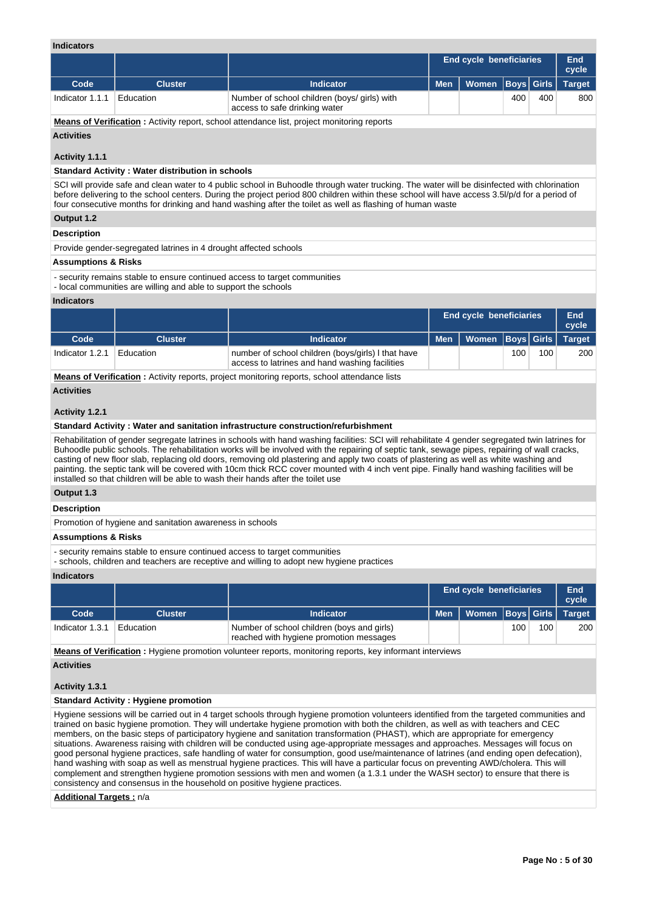# **Indicators**

| iliuluatul ə                   |                                                                                                                                               |                                                                                                                                                                                                                                                                                                                                                                                                           |                                |                     |             |       |               |  |  |  |  |  |
|--------------------------------|-----------------------------------------------------------------------------------------------------------------------------------------------|-----------------------------------------------------------------------------------------------------------------------------------------------------------------------------------------------------------------------------------------------------------------------------------------------------------------------------------------------------------------------------------------------------------|--------------------------------|---------------------|-------------|-------|---------------|--|--|--|--|--|
|                                |                                                                                                                                               |                                                                                                                                                                                                                                                                                                                                                                                                           | <b>End cycle beneficiaries</b> | <b>End</b><br>cycle |             |       |               |  |  |  |  |  |
| Code                           | <b>Cluster</b>                                                                                                                                | <b>Indicator</b>                                                                                                                                                                                                                                                                                                                                                                                          | <b>Men</b>                     | <b>Women</b>        | <b>Boys</b> | Girls | <b>Target</b> |  |  |  |  |  |
| Indicator 1.1.1                | Education                                                                                                                                     | Number of school children (boys/girls) with<br>access to safe drinking water                                                                                                                                                                                                                                                                                                                              |                                |                     | 400         | 400   | 800           |  |  |  |  |  |
|                                | <b>Means of Verification:</b> Activity report, school attendance list, project monitoring reports                                             |                                                                                                                                                                                                                                                                                                                                                                                                           |                                |                     |             |       |               |  |  |  |  |  |
| <b>Activities</b>              |                                                                                                                                               |                                                                                                                                                                                                                                                                                                                                                                                                           |                                |                     |             |       |               |  |  |  |  |  |
| Activity 1.1.1                 |                                                                                                                                               |                                                                                                                                                                                                                                                                                                                                                                                                           |                                |                     |             |       |               |  |  |  |  |  |
|                                | <b>Standard Activity: Water distribution in schools</b>                                                                                       |                                                                                                                                                                                                                                                                                                                                                                                                           |                                |                     |             |       |               |  |  |  |  |  |
|                                |                                                                                                                                               | SCI will provide safe and clean water to 4 public school in Buhoodle through water trucking. The water will be disinfected with chlorination<br>before delivering to the school centers. During the project period 800 children within these school will have access 3.5/p/d for a period of<br>four consecutive months for drinking and hand washing after the toilet as well as flashing of human waste |                                |                     |             |       |               |  |  |  |  |  |
| Output 1.2                     |                                                                                                                                               |                                                                                                                                                                                                                                                                                                                                                                                                           |                                |                     |             |       |               |  |  |  |  |  |
| <b>Description</b>             |                                                                                                                                               |                                                                                                                                                                                                                                                                                                                                                                                                           |                                |                     |             |       |               |  |  |  |  |  |
|                                | Provide gender-segregated latrines in 4 drought affected schools                                                                              |                                                                                                                                                                                                                                                                                                                                                                                                           |                                |                     |             |       |               |  |  |  |  |  |
| <b>Assumptions &amp; Risks</b> |                                                                                                                                               |                                                                                                                                                                                                                                                                                                                                                                                                           |                                |                     |             |       |               |  |  |  |  |  |
|                                | - security remains stable to ensure continued access to target communities<br>- local communities are willing and able to support the schools |                                                                                                                                                                                                                                                                                                                                                                                                           |                                |                     |             |       |               |  |  |  |  |  |

#### **Indicators**

|                 |                |                                                                                                      |            | <b>End cycle beneficiaries</b> |     |     |     |
|-----------------|----------------|------------------------------------------------------------------------------------------------------|------------|--------------------------------|-----|-----|-----|
| Code            | <b>Cluster</b> | <b>Indicator</b>                                                                                     | <b>Men</b> | Women   Boys   Girls   Target  |     |     |     |
| Indicator 1.2.1 | Education      | number of school children (boys/girls) I that have<br>access to latrines and hand washing facilities |            |                                | 100 | 100 | 200 |

**Means of Verification :** Activity reports, project monitoring reports, school attendance lists

#### **Activities**

#### **Activity 1.2.1**

#### **Standard Activity : Water and sanitation infrastructure construction/refurbishment**

Rehabilitation of gender segregate latrines in schools with hand washing facilities: SCI will rehabilitate 4 gender segregated twin latrines for Buhoodle public schools. The rehabilitation works will be involved with the repairing of septic tank, sewage pipes, repairing of wall cracks, casting of new floor slab, replacing old doors, removing old plastering and apply two coats of plastering as well as white washing and painting. the septic tank will be covered with 10cm thick RCC cover mounted with 4 inch vent pipe. Finally hand washing facilities will be installed so that children will be able to wash their hands after the toilet use

#### **Output 1.3**

**Description**

Promotion of hygiene and sanitation awareness in schools

#### **Assumptions & Risks**

- security remains stable to ensure continued access to target communities

- schools, children and teachers are receptive and willing to adopt new hygiene practices

#### **Indicators**

|                 |           |                                                                                       | <b>End cycle beneficiaries</b> |                         |      |     | End<br>cycle |
|-----------------|-----------|---------------------------------------------------------------------------------------|--------------------------------|-------------------------|------|-----|--------------|
| Code            | Cluster   | <b>Indicator</b>                                                                      | Men                            | Women Boys Girls Target |      |     |              |
| Indicator 1.3.1 | Education | Number of school children (boys and girls)<br>reached with hygiene promotion messages |                                |                         | 100. | 100 | 200          |

**Means of Verification :** Hygiene promotion volunteer reports, monitoring reports, key informant interviews

# **Activities**

# **Activity 1.3.1**

# **Standard Activity : Hygiene promotion**

Hygiene sessions will be carried out in 4 target schools through hygiene promotion volunteers identified from the targeted communities and trained on basic hygiene promotion. They will undertake hygiene promotion with both the children, as well as with teachers and CEC members, on the basic steps of participatory hygiene and sanitation transformation (PHAST), which are appropriate for emergency situations. Awareness raising with children will be conducted using age-appropriate messages and approaches. Messages will focus on good personal hygiene practices, safe handling of water for consumption, good use/maintenance of latrines (and ending open defecation), hand washing with soap as well as menstrual hygiene practices. This will have a particular focus on preventing AWD/cholera. This will complement and strengthen hygiene promotion sessions with men and women (a 1.3.1 under the WASH sector) to ensure that there is consistency and consensus in the household on positive hygiene practices.

# **Additional Targets :** n/a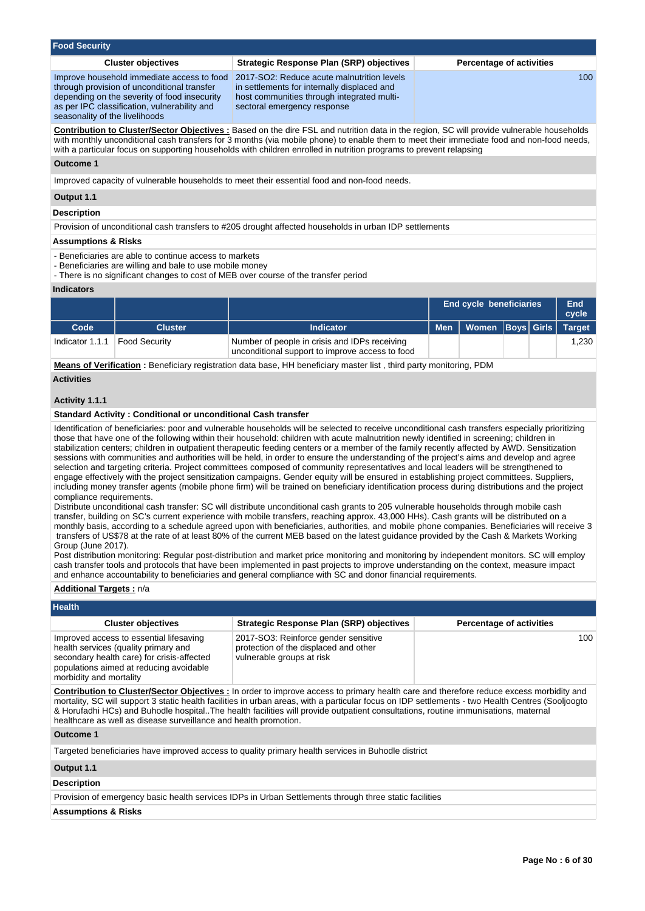| <b>Food Security</b>                           |                                                                                                                                                                                           |                                                                                                                                                                                                                                                                                                                                                                                                                                                                                                                                                                                                                                                                                                                                                                                                                                                                                                                                                                                                                                                                                                                                                                                                                                                                                                                                                                                                                                                          |            |                                 |                   |  |               |  |  |
|------------------------------------------------|-------------------------------------------------------------------------------------------------------------------------------------------------------------------------------------------|----------------------------------------------------------------------------------------------------------------------------------------------------------------------------------------------------------------------------------------------------------------------------------------------------------------------------------------------------------------------------------------------------------------------------------------------------------------------------------------------------------------------------------------------------------------------------------------------------------------------------------------------------------------------------------------------------------------------------------------------------------------------------------------------------------------------------------------------------------------------------------------------------------------------------------------------------------------------------------------------------------------------------------------------------------------------------------------------------------------------------------------------------------------------------------------------------------------------------------------------------------------------------------------------------------------------------------------------------------------------------------------------------------------------------------------------------------|------------|---------------------------------|-------------------|--|---------------|--|--|
|                                                | <b>Cluster objectives</b>                                                                                                                                                                 | <b>Strategic Response Plan (SRP) objectives</b>                                                                                                                                                                                                                                                                                                                                                                                                                                                                                                                                                                                                                                                                                                                                                                                                                                                                                                                                                                                                                                                                                                                                                                                                                                                                                                                                                                                                          |            | <b>Percentage of activities</b> |                   |  |               |  |  |
| seasonality of the livelihoods                 | Improve household immediate access to food<br>through provision of unconditional transfer<br>depending on the severity of food insecurity<br>as per IPC classification, vulnerability and | 2017-SO2: Reduce acute malnutrition levels<br>in settlements for internally displaced and<br>host communities through integrated multi-<br>sectoral emergency response                                                                                                                                                                                                                                                                                                                                                                                                                                                                                                                                                                                                                                                                                                                                                                                                                                                                                                                                                                                                                                                                                                                                                                                                                                                                                   |            | 100                             |                   |  |               |  |  |
|                                                |                                                                                                                                                                                           | <b>Contribution to Cluster/Sector Objectives:</b> Based on the dire FSL and nutrition data in the region, SC will provide vulnerable households<br>with monthly unconditional cash transfers for 3 months (via mobile phone) to enable them to meet their immediate food and non-food needs,<br>with a particular focus on supporting households with children enrolled in nutrition programs to prevent relapsing                                                                                                                                                                                                                                                                                                                                                                                                                                                                                                                                                                                                                                                                                                                                                                                                                                                                                                                                                                                                                                       |            |                                 |                   |  |               |  |  |
| <b>Outcome 1</b>                               |                                                                                                                                                                                           |                                                                                                                                                                                                                                                                                                                                                                                                                                                                                                                                                                                                                                                                                                                                                                                                                                                                                                                                                                                                                                                                                                                                                                                                                                                                                                                                                                                                                                                          |            |                                 |                   |  |               |  |  |
|                                                |                                                                                                                                                                                           | Improved capacity of vulnerable households to meet their essential food and non-food needs.                                                                                                                                                                                                                                                                                                                                                                                                                                                                                                                                                                                                                                                                                                                                                                                                                                                                                                                                                                                                                                                                                                                                                                                                                                                                                                                                                              |            |                                 |                   |  |               |  |  |
| Output 1.1                                     |                                                                                                                                                                                           |                                                                                                                                                                                                                                                                                                                                                                                                                                                                                                                                                                                                                                                                                                                                                                                                                                                                                                                                                                                                                                                                                                                                                                                                                                                                                                                                                                                                                                                          |            |                                 |                   |  |               |  |  |
| <b>Description</b>                             |                                                                                                                                                                                           |                                                                                                                                                                                                                                                                                                                                                                                                                                                                                                                                                                                                                                                                                                                                                                                                                                                                                                                                                                                                                                                                                                                                                                                                                                                                                                                                                                                                                                                          |            |                                 |                   |  |               |  |  |
|                                                |                                                                                                                                                                                           | Provision of unconditional cash transfers to #205 drought affected households in urban IDP settlements                                                                                                                                                                                                                                                                                                                                                                                                                                                                                                                                                                                                                                                                                                                                                                                                                                                                                                                                                                                                                                                                                                                                                                                                                                                                                                                                                   |            |                                 |                   |  |               |  |  |
| <b>Assumptions &amp; Risks</b>                 |                                                                                                                                                                                           |                                                                                                                                                                                                                                                                                                                                                                                                                                                                                                                                                                                                                                                                                                                                                                                                                                                                                                                                                                                                                                                                                                                                                                                                                                                                                                                                                                                                                                                          |            |                                 |                   |  |               |  |  |
| <b>Indicators</b>                              | - Beneficiaries are able to continue access to markets<br>- Beneficiaries are willing and bale to use mobile money                                                                        | - There is no significant changes to cost of MEB over course of the transfer period                                                                                                                                                                                                                                                                                                                                                                                                                                                                                                                                                                                                                                                                                                                                                                                                                                                                                                                                                                                                                                                                                                                                                                                                                                                                                                                                                                      |            |                                 |                   |  |               |  |  |
|                                                |                                                                                                                                                                                           |                                                                                                                                                                                                                                                                                                                                                                                                                                                                                                                                                                                                                                                                                                                                                                                                                                                                                                                                                                                                                                                                                                                                                                                                                                                                                                                                                                                                                                                          |            | <b>End cycle beneficiaries</b>  |                   |  | <b>End</b>    |  |  |
|                                                |                                                                                                                                                                                           |                                                                                                                                                                                                                                                                                                                                                                                                                                                                                                                                                                                                                                                                                                                                                                                                                                                                                                                                                                                                                                                                                                                                                                                                                                                                                                                                                                                                                                                          |            |                                 |                   |  | cycle         |  |  |
| Code                                           | <b>Cluster</b>                                                                                                                                                                            | <b>Indicator</b>                                                                                                                                                                                                                                                                                                                                                                                                                                                                                                                                                                                                                                                                                                                                                                                                                                                                                                                                                                                                                                                                                                                                                                                                                                                                                                                                                                                                                                         | <b>Men</b> | Women                           | <b>Boys</b> Girls |  | <b>Target</b> |  |  |
| Indicator 1.1.1                                | <b>Food Security</b>                                                                                                                                                                      | Number of people in crisis and IDPs receiving<br>unconditional support to improve access to food                                                                                                                                                                                                                                                                                                                                                                                                                                                                                                                                                                                                                                                                                                                                                                                                                                                                                                                                                                                                                                                                                                                                                                                                                                                                                                                                                         |            |                                 |                   |  | 1,230         |  |  |
|                                                |                                                                                                                                                                                           | <b>Means of Verification</b> : Beneficiary registration data base, HH beneficiary master list, third party monitoring, PDM                                                                                                                                                                                                                                                                                                                                                                                                                                                                                                                                                                                                                                                                                                                                                                                                                                                                                                                                                                                                                                                                                                                                                                                                                                                                                                                               |            |                                 |                   |  |               |  |  |
| <b>Activities</b>                              |                                                                                                                                                                                           |                                                                                                                                                                                                                                                                                                                                                                                                                                                                                                                                                                                                                                                                                                                                                                                                                                                                                                                                                                                                                                                                                                                                                                                                                                                                                                                                                                                                                                                          |            |                                 |                   |  |               |  |  |
|                                                |                                                                                                                                                                                           |                                                                                                                                                                                                                                                                                                                                                                                                                                                                                                                                                                                                                                                                                                                                                                                                                                                                                                                                                                                                                                                                                                                                                                                                                                                                                                                                                                                                                                                          |            |                                 |                   |  |               |  |  |
| Activity 1.1.1                                 |                                                                                                                                                                                           |                                                                                                                                                                                                                                                                                                                                                                                                                                                                                                                                                                                                                                                                                                                                                                                                                                                                                                                                                                                                                                                                                                                                                                                                                                                                                                                                                                                                                                                          |            |                                 |                   |  |               |  |  |
|                                                | <b>Standard Activity: Conditional or unconditional Cash transfer</b>                                                                                                                      | Identification of beneficiaries: poor and vulnerable households will be selected to receive unconditional cash transfers especially prioritizing                                                                                                                                                                                                                                                                                                                                                                                                                                                                                                                                                                                                                                                                                                                                                                                                                                                                                                                                                                                                                                                                                                                                                                                                                                                                                                         |            |                                 |                   |  |               |  |  |
| compliance requirements.<br>Group (June 2017). |                                                                                                                                                                                           | those that have one of the following within their household: children with acute malnutrition newly identified in screening; children in<br>stabilization centers; children in outpatient therapeutic feeding centers or a member of the family recently affected by AWD. Sensitization<br>sessions with communities and authorities will be held, in order to ensure the understanding of the project's aims and develop and agree<br>selection and targeting criteria. Project committees composed of community representatives and local leaders will be strengthened to<br>engage effectively with the project sensitization campaigns. Gender equity will be ensured in establishing project committees. Suppliers,<br>including money transfer agents (mobile phone firm) will be trained on beneficiary identification process during distributions and the project<br>Distribute unconditional cash transfer: SC will distribute unconditional cash grants to 205 vulnerable households through mobile cash<br>transfer, building on SC's current experience with mobile transfers, reaching approx. 43,000 HHs). Cash grants will be distributed on a<br>monthly basis, according to a schedule agreed upon with beneficiaries, authorities, and mobile phone companies. Beneficiaries will receive 3<br>transfers of US\$78 at the rate of at least 80% of the current MEB based on the latest guidance provided by the Cash & Markets Working |            |                                 |                   |  |               |  |  |
|                                                |                                                                                                                                                                                           | Post distribution monitoring: Regular post-distribution and market price monitoring and monitoring by independent monitors. SC will employ<br>cash transfer tools and protocols that have been implemented in past projects to improve understanding on the context, measure impact<br>and enhance accountability to beneficiaries and general compliance with SC and donor financial requirements.                                                                                                                                                                                                                                                                                                                                                                                                                                                                                                                                                                                                                                                                                                                                                                                                                                                                                                                                                                                                                                                      |            |                                 |                   |  |               |  |  |
| <b>Additional Targets: n/a</b>                 |                                                                                                                                                                                           |                                                                                                                                                                                                                                                                                                                                                                                                                                                                                                                                                                                                                                                                                                                                                                                                                                                                                                                                                                                                                                                                                                                                                                                                                                                                                                                                                                                                                                                          |            |                                 |                   |  |               |  |  |
| Health                                         |                                                                                                                                                                                           |                                                                                                                                                                                                                                                                                                                                                                                                                                                                                                                                                                                                                                                                                                                                                                                                                                                                                                                                                                                                                                                                                                                                                                                                                                                                                                                                                                                                                                                          |            |                                 |                   |  |               |  |  |
|                                                | <b>Cluster objectives</b>                                                                                                                                                                 | <b>Strategic Response Plan (SRP) objectives</b>                                                                                                                                                                                                                                                                                                                                                                                                                                                                                                                                                                                                                                                                                                                                                                                                                                                                                                                                                                                                                                                                                                                                                                                                                                                                                                                                                                                                          |            | <b>Percentage of activities</b> |                   |  |               |  |  |
| morbidity and mortality                        | Improved access to essential lifesaving<br>health services (quality primary and<br>secondary health care) for crisis-affected<br>populations aimed at reducing avoidable                  | 2017-SO3: Reinforce gender sensitive<br>protection of the displaced and other<br>vulnerable groups at risk                                                                                                                                                                                                                                                                                                                                                                                                                                                                                                                                                                                                                                                                                                                                                                                                                                                                                                                                                                                                                                                                                                                                                                                                                                                                                                                                               |            |                                 |                   |  | 100           |  |  |
|                                                | healthcare as well as disease surveillance and health promotion.                                                                                                                          | <b>Contribution to Cluster/Sector Objectives:</b> In order to improve access to primary health care and therefore reduce excess morbidity and<br>mortality, SC will support 3 static health facilities in urban areas, with a particular focus on IDP settlements - two Health Centres (Sooljoogto<br>& Horufadhi HCs) and Buhodle hospital. The health facilities will provide outpatient consultations, routine immunisations, maternal                                                                                                                                                                                                                                                                                                                                                                                                                                                                                                                                                                                                                                                                                                                                                                                                                                                                                                                                                                                                                |            |                                 |                   |  |               |  |  |
| Outcome 1                                      |                                                                                                                                                                                           |                                                                                                                                                                                                                                                                                                                                                                                                                                                                                                                                                                                                                                                                                                                                                                                                                                                                                                                                                                                                                                                                                                                                                                                                                                                                                                                                                                                                                                                          |            |                                 |                   |  |               |  |  |
|                                                |                                                                                                                                                                                           | Targeted beneficiaries have improved access to quality primary health services in Buhodle district                                                                                                                                                                                                                                                                                                                                                                                                                                                                                                                                                                                                                                                                                                                                                                                                                                                                                                                                                                                                                                                                                                                                                                                                                                                                                                                                                       |            |                                 |                   |  |               |  |  |
| Output 1.1                                     |                                                                                                                                                                                           |                                                                                                                                                                                                                                                                                                                                                                                                                                                                                                                                                                                                                                                                                                                                                                                                                                                                                                                                                                                                                                                                                                                                                                                                                                                                                                                                                                                                                                                          |            |                                 |                   |  |               |  |  |
| <b>Description</b>                             |                                                                                                                                                                                           |                                                                                                                                                                                                                                                                                                                                                                                                                                                                                                                                                                                                                                                                                                                                                                                                                                                                                                                                                                                                                                                                                                                                                                                                                                                                                                                                                                                                                                                          |            |                                 |                   |  |               |  |  |
|                                                |                                                                                                                                                                                           | Provision of emergency basic health services IDPs in Urban Settlements through three static facilities                                                                                                                                                                                                                                                                                                                                                                                                                                                                                                                                                                                                                                                                                                                                                                                                                                                                                                                                                                                                                                                                                                                                                                                                                                                                                                                                                   |            |                                 |                   |  |               |  |  |
| <b>Assumptions &amp; Risks</b>                 |                                                                                                                                                                                           |                                                                                                                                                                                                                                                                                                                                                                                                                                                                                                                                                                                                                                                                                                                                                                                                                                                                                                                                                                                                                                                                                                                                                                                                                                                                                                                                                                                                                                                          |            |                                 |                   |  |               |  |  |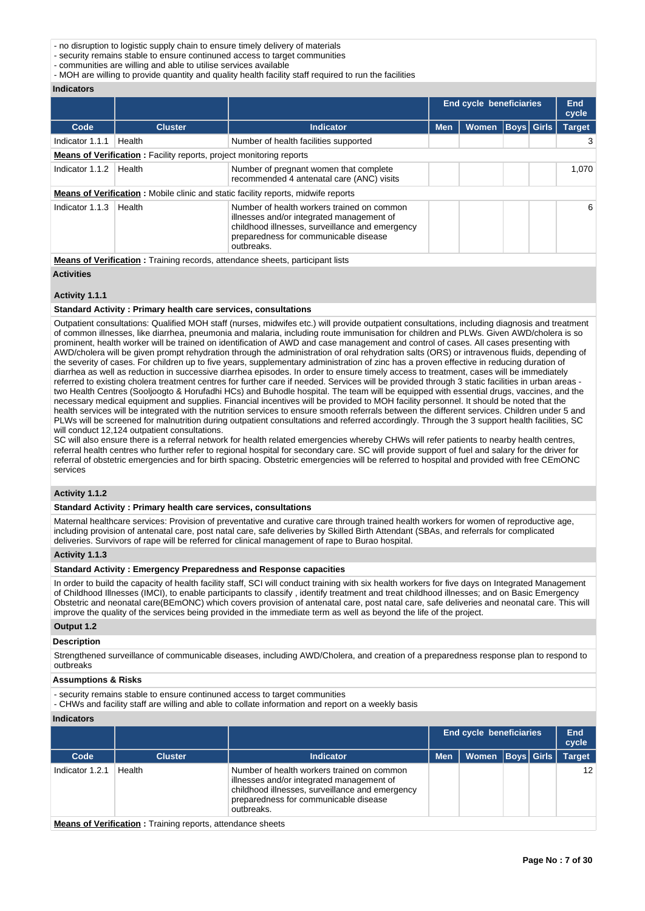- no disruption to logistic supply chain to ensure timely delivery of materials

- security remains stable to ensure continuned access to target communities

- communities are willing and able to utilise services available

- MOH are willing to provide quantity and quality health facility staff required to run the facilities

#### **Indicators**

|                 |                                                                            |                                                                                                                                                                                                   | <b>End cycle beneficiaries</b> |              |                   |  | <b>End</b><br>cycle |
|-----------------|----------------------------------------------------------------------------|---------------------------------------------------------------------------------------------------------------------------------------------------------------------------------------------------|--------------------------------|--------------|-------------------|--|---------------------|
| Code            | <b>Cluster</b>                                                             | <b>Indicator</b>                                                                                                                                                                                  | <b>Men</b>                     | <b>Women</b> | <b>Boys Girls</b> |  | <b>Target</b>       |
| Indicator 1.1.1 | Health                                                                     | Number of health facilities supported                                                                                                                                                             |                                |              |                   |  |                     |
|                 | <b>Means of Verification:</b> Facility reports, project monitoring reports |                                                                                                                                                                                                   |                                |              |                   |  |                     |
| Indicator 1.1.2 | Health                                                                     | Number of pregnant women that complete<br>recommended 4 antenatal care (ANC) visits                                                                                                               |                                |              |                   |  | 1,070               |
|                 |                                                                            | <b>Means of Verification:</b> Mobile clinic and static facility reports, midwife reports                                                                                                          |                                |              |                   |  |                     |
| Indicator 1.1.3 | Health                                                                     | Number of health workers trained on common<br>illnesses and/or integrated management of<br>childhood illnesses, surveillance and emergency<br>preparedness for communicable disease<br>outbreaks. |                                |              |                   |  | 6                   |
|                 |                                                                            | <b>Means of Verification:</b> Training records, attendance sheets, participant lists                                                                                                              |                                |              |                   |  |                     |

**Activities**

#### **Activity 1.1.1**

#### **Standard Activity : Primary health care services, consultations**

Outpatient consultations: Qualified MOH staff (nurses, midwifes etc.) will provide outpatient consultations, including diagnosis and treatment of common illnesses, like diarrhea, pneumonia and malaria, including route immunisation for children and PLWs. Given AWD/cholera is so prominent, health worker will be trained on identification of AWD and case management and control of cases. All cases presenting with AWD/cholera will be given prompt rehydration through the administration of oral rehydration salts (ORS) or intravenous fluids, depending of the severity of cases. For children up to five years, supplementary administration of zinc has a proven effective in reducing duration of diarrhea as well as reduction in successive diarrhea episodes. In order to ensure timely access to treatment, cases will be immediately referred to existing cholera treatment centres for further care if needed. Services will be provided through 3 static facilities in urban areas two Health Centres (Sooljoogto & Horufadhi HCs) and Buhodle hospital. The team will be equipped with essential drugs, vaccines, and the necessary medical equipment and supplies. Financial incentives will be provided to MOH facility personnel. It should be noted that the health services will be integrated with the nutrition services to ensure smooth referrals between the different services. Children under 5 and PLWs will be screened for malnutrition during outpatient consultations and referred accordingly. Through the 3 support health facilities, SC will conduct 12,124 outpatient consultations.

SC will also ensure there is a referral network for health related emergencies whereby CHWs will refer patients to nearby health centres, referral health centres who further refer to regional hospital for secondary care. SC will provide support of fuel and salary for the driver for referral of obstetric emergencies and for birth spacing. Obstetric emergencies will be referred to hospital and provided with free CEmONC services

# **Activity 1.1.2**

#### **Standard Activity : Primary health care services, consultations**

Maternal healthcare services: Provision of preventative and curative care through trained health workers for women of reproductive age, including provision of antenatal care, post natal care, safe deliveries by Skilled Birth Attendant (SBAs, and referrals for complicated deliveries. Survivors of rape will be referred for clinical management of rape to Burao hospital.

#### **Activity 1.1.3**

**Standard Activity : Emergency Preparedness and Response capacities**

In order to build the capacity of health facility staff, SCI will conduct training with six health workers for five days on Integrated Management of Childhood Illnesses (IMCI), to enable participants to classify , identify treatment and treat childhood illnesses; and on Basic Emergency Obstetric and neonatal care(BEmONC) which covers provision of antenatal care, post natal care, safe deliveries and neonatal care. This will improve the quality of the services being provided in the immediate term as well as beyond the life of the project.

# **Output 1.2**

# **Description**

Strengthened surveillance of communicable diseases, including AWD/Cholera, and creation of a preparedness response plan to respond to outbreaks

#### **Assumptions & Risks**

- security remains stable to ensure continuned access to target communities

- CHWs and facility staff are willing and able to collate information and report on a weekly basis

#### **Indicators**

|                 |                |                                                                                                                                                                                                   | End cycle beneficiaries |                      |  |  | End<br>cycle    |
|-----------------|----------------|---------------------------------------------------------------------------------------------------------------------------------------------------------------------------------------------------|-------------------------|----------------------|--|--|-----------------|
| Code            | <b>Cluster</b> | Indicator                                                                                                                                                                                         | <b>Men</b>              | Women   Boys   Girls |  |  | <b>Target</b>   |
| Indicator 1.2.1 | Health         | Number of health workers trained on common<br>illnesses and/or integrated management of<br>childhood illnesses, surveillance and emergency<br>preparedness for communicable disease<br>outbreaks. |                         |                      |  |  | 12 <sup>2</sup> |

**Means of Verification :** Training reports, attendance sheets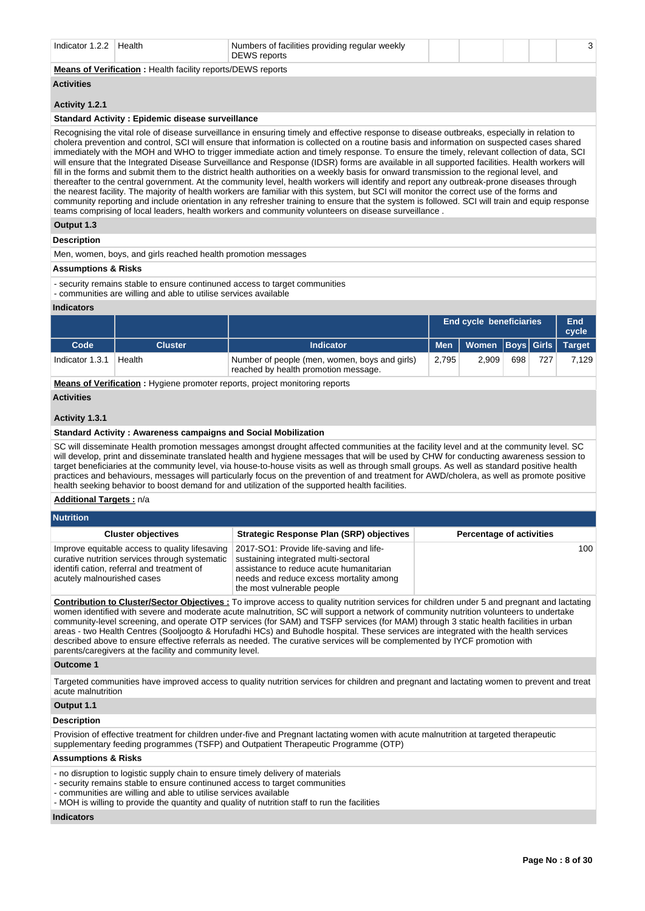| Indicator $1.2.2$   Health |                                                                    | Numbers of facilities providing regular weekly<br><b>DEWS</b> reports |  |  |  |
|----------------------------|--------------------------------------------------------------------|-----------------------------------------------------------------------|--|--|--|
|                            | <b>Means of Verification:</b> Health facility reports/DEWS reports |                                                                       |  |  |  |

# **Activities**

#### **Activity 1.2.1**

#### **Standard Activity : Epidemic disease surveillance**

Recognising the vital role of disease surveillance in ensuring timely and effective response to disease outbreaks, especially in relation to cholera prevention and control, SCI will ensure that information is collected on a routine basis and information on suspected cases shared immediately with the MOH and WHO to trigger immediate action and timely response. To ensure the timely, relevant collection of data, SCI will ensure that the Integrated Disease Surveillance and Response (IDSR) forms are available in all supported facilities. Health workers will fill in the forms and submit them to the district health authorities on a weekly basis for onward transmission to the regional level, and thereafter to the central government. At the community level, health workers will identify and report any outbreak-prone diseases through the nearest facility. The majority of health workers are familiar with this system, but SCI will monitor the correct use of the forms and community reporting and include orientation in any refresher training to ensure that the system is followed. SCI will train and equip response teams comprising of local leaders, health workers and community volunteers on disease surveillance .

#### **Output 1.3**

**Description**

Men, women, boys, and girls reached health promotion messages

#### **Assumptions & Risks**

- security remains stable to ensure continuned access to target communities
- communities are willing and able to utilise services available

#### **Indicators**

|                 |                |                                                                                       |       | <b>End cycle beneficiaries</b><br>Men   Women   Boys   Girls   Target |     |     |       |
|-----------------|----------------|---------------------------------------------------------------------------------------|-------|-----------------------------------------------------------------------|-----|-----|-------|
| Code            | <b>Cluster</b> | <b>Indicator</b>                                                                      |       |                                                                       |     |     |       |
| Indicator 1.3.1 | Health         | Number of people (men, women, boys and girls)<br>reached by health promotion message. | 2.795 | 2.909                                                                 | 698 | 727 | 7,129 |

**Means of Verification :** Hygiene promoter reports, project monitoring reports

#### **Activities**

#### **Activity 1.3.1**

#### **Standard Activity : Awareness campaigns and Social Mobilization**

SC will disseminate Health promotion messages amongst drought affected communities at the facility level and at the community level. SC will develop, print and disseminate translated health and hygiene messages that will be used by CHW for conducting awareness session to target beneficiaries at the community level, via house-to-house visits as well as through small groups. As well as standard positive health practices and behaviours, messages will particularly focus on the prevention of and treatment for AWD/cholera, as well as promote positive health seeking behavior to boost demand for and utilization of the supported health facilities.

#### **Additional Targets :** n/a

| <b>Nutrition</b>                                                                                                                                                             |                                                                                                                                                                                                     |                                 |  |  |  |  |  |  |  |  |
|------------------------------------------------------------------------------------------------------------------------------------------------------------------------------|-----------------------------------------------------------------------------------------------------------------------------------------------------------------------------------------------------|---------------------------------|--|--|--|--|--|--|--|--|
| <b>Cluster objectives</b>                                                                                                                                                    | <b>Strategic Response Plan (SRP) objectives</b>                                                                                                                                                     | <b>Percentage of activities</b> |  |  |  |  |  |  |  |  |
| Improve equitable access to quality lifesaving<br>curative nutrition services through systematic<br>identifi cation, referral and treatment of<br>acutely malnourished cases | 2017-SO1: Provide life-saving and life-<br>sustaining integrated multi-sectoral<br>assistance to reduce acute humanitarian<br>needs and reduce excess mortality among<br>the most vulnerable people | 100                             |  |  |  |  |  |  |  |  |

**Contribution to Cluster/Sector Objectives :** To improve access to quality nutrition services for children under 5 and pregnant and lactating women identified with severe and moderate acute malnutrition, SC will support a network of community nutrition volunteers to undertake community-level screening, and operate OTP services (for SAM) and TSFP services (for MAM) through 3 static health facilities in urban areas - two Health Centres (Sooljoogto & Horufadhi HCs) and Buhodle hospital. These services are integrated with the health services described above to ensure effective referrals as needed. The curative services will be complemented by IYCF promotion with parents/caregivers at the facility and community level.

#### **Outcome 1**

Targeted communities have improved access to quality nutrition services for children and pregnant and lactating women to prevent and treat acute malnutrition

#### **Output 1.1**

#### **Description**

Provision of effective treatment for children under-five and Pregnant lactating women with acute malnutrition at targeted therapeutic supplementary feeding programmes (TSFP) and Outpatient Therapeutic Programme (OTP)

#### **Assumptions & Risks**

- no disruption to logistic supply chain to ensure timely delivery of materials

- security remains stable to ensure continuned access to target communities

- communities are willing and able to utilise services available

- MOH is willing to provide the quantity and quality of nutrition staff to run the facilities

# **Indicators**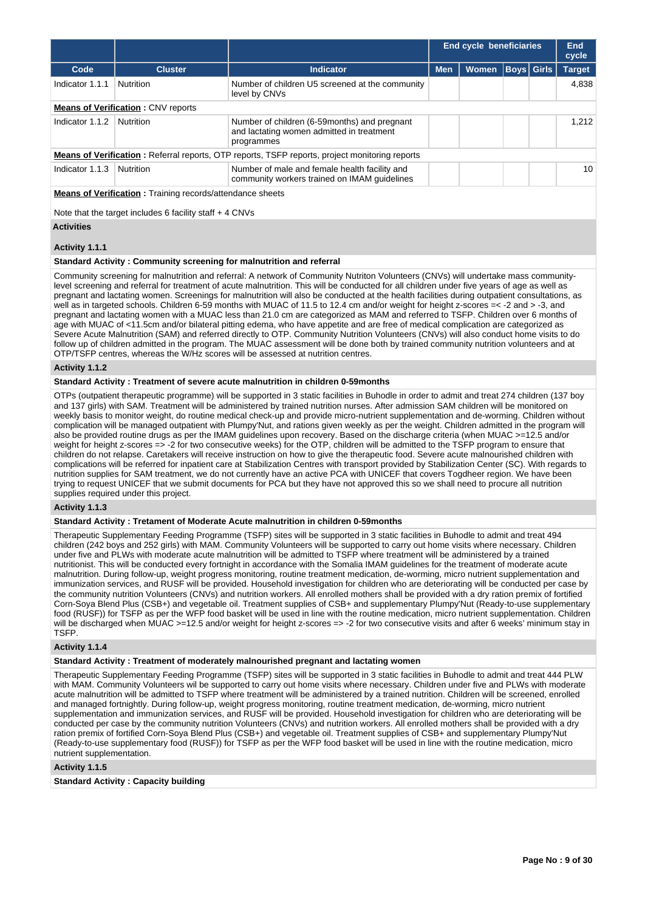|                                                                  |                                           |                                                                                                          |            | <b>End cycle beneficiaries</b> |       |  | End<br>cycle |  |  |  |  |
|------------------------------------------------------------------|-------------------------------------------|----------------------------------------------------------------------------------------------------------|------------|--------------------------------|-------|--|--------------|--|--|--|--|
| Code                                                             | Cluster <sup>'</sup>                      | <b>Indicator</b>                                                                                         | <b>Men</b> | <b>Target</b>                  |       |  |              |  |  |  |  |
| Indicator 1.1.1                                                  | <b>Nutrition</b>                          | Number of children U5 screened at the community<br>level by CNVs                                         |            |                                | 4.838 |  |              |  |  |  |  |
|                                                                  | <b>Means of Verification: CNV reports</b> |                                                                                                          |            |                                |       |  |              |  |  |  |  |
| Indicator 1.1.2                                                  | <b>Nutrition</b>                          | Number of children (6-59 months) and pregnant<br>and lactating women admitted in treatment<br>programmes |            |                                |       |  |              |  |  |  |  |
|                                                                  |                                           | <b>Means of Verification:</b> Referral reports, OTP reports, TSFP reports, project monitoring reports    |            |                                |       |  |              |  |  |  |  |
| Indicator 1.1.3                                                  | Nutrition                                 | Number of male and female health facility and<br>community workers trained on IMAM guidelines            |            |                                |       |  | 10           |  |  |  |  |
| <b>Means of Verification:</b> Training records/attendance sheets |                                           |                                                                                                          |            |                                |       |  |              |  |  |  |  |
| Note that the target includes 6 facility staff $+$ 4 CNVs        |                                           |                                                                                                          |            |                                |       |  |              |  |  |  |  |
| <b>Activities</b>                                                |                                           |                                                                                                          |            |                                |       |  |              |  |  |  |  |

#### **Activity 1.1.1**

#### **Standard Activity : Community screening for malnutrition and referral**

Community screening for malnutrition and referral: A network of Community Nutriton Volunteers (CNVs) will undertake mass communitylevel screening and referral for treatment of acute malnutrition. This will be conducted for all children under five years of age as well as pregnant and lactating women. Screenings for malnutrition will also be conducted at the health facilities during outpatient consultations, as well as in targeted schools. Children 6-59 months with MUAC of 11.5 to 12.4 cm and/or weight for height z-scores =< -2 and > -3, and pregnant and lactating women with a MUAC less than 21.0 cm are categorized as MAM and referred to TSFP. Children over 6 months of age with MUAC of <11.5cm and/or bilateral pitting edema, who have appetite and are free of medical complication are categorized as Severe Acute Malnutrition (SAM) and referred directly to OTP. Community Nutrition Volunteers (CNVs) will also conduct home visits to do follow up of children admitted in the program. The MUAC assessment will be done both by trained community nutrition volunteers and at OTP/TSFP centres, whereas the W/Hz scores will be assessed at nutrition centres.

#### **Activity 1.1.2**

#### **Standard Activity : Treatment of severe acute malnutrition in children 0-59months**

OTPs (outpatient therapeutic programme) will be supported in 3 static facilities in Buhodle in order to admit and treat 274 children (137 boy and 137 girls) with SAM. Treatment will be administered by trained nutrition nurses. After admission SAM children will be monitored on weekly basis to monitor weight, do routine medical check-up and provide micro-nutrient supplementation and de-worming. Children without complication will be managed outpatient with Plumpy'Nut, and rations given weekly as per the weight. Children admitted in the program will also be provided routine drugs as per the IMAM guidelines upon recovery. Based on the discharge criteria (when MUAC >=12.5 and/or weight for height z-scores => -2 for two consecutive weeks) for the OTP, children will be admitted to the TSFP program to ensure that children do not relapse. Caretakers will receive instruction on how to give the therapeutic food. Severe acute malnourished children with complications will be referred for inpatient care at Stabilization Centres with transport provided by Stabilization Center (SC). With regards to nutrition supplies for SAM treatment, we do not currently have an active PCA with UNICEF that covers Togdheer region. We have been trying to request UNICEF that we submit documents for PCA but they have not approved this so we shall need to procure all nutrition supplies required under this project.

#### **Activity 1.1.3**

#### **Standard Activity : Tretament of Moderate Acute malnutrition in children 0-59months**

Therapeutic Supplementary Feeding Programme (TSFP) sites will be supported in 3 static facilities in Buhodle to admit and treat 494 children (242 boys and 252 girls) with MAM. Community Volunteers will be supported to carry out home visits where necessary. Children under five and PLWs with moderate acute malnutrition will be admitted to TSFP where treatment will be administered by a trained nutritionist. This will be conducted every fortnight in accordance with the Somalia IMAM guidelines for the treatment of moderate acute malnutrition. During follow-up, weight progress monitoring, routine treatment medication, de-worming, micro nutrient supplementation and immunization services, and RUSF will be provided. Household investigation for children who are deteriorating will be conducted per case by the community nutrition Volunteers (CNVs) and nutrition workers. All enrolled mothers shall be provided with a dry ration premix of fortified Corn-Soya Blend Plus (CSB+) and vegetable oil. Treatment supplies of CSB+ and supplementary Plumpy'Nut (Ready-to-use supplementary food (RUSF)) for TSFP as per the WFP food basket will be used in line with the routine medication, micro nutrient supplementation. Children will be discharged when MUAC >=12.5 and/or weight for height z-scores => -2 for two consecutive visits and after 6 weeks' minimum stay in **TSFP.** 

#### **Activity 1.1.4**

#### **Standard Activity : Treatment of moderately malnourished pregnant and lactating women**

Therapeutic Supplementary Feeding Programme (TSFP) sites will be supported in 3 static facilities in Buhodle to admit and treat 444 PLW with MAM. Community Volunteers wil be supported to carry out home visits where necessary. Children under five and PLWs with moderate acute malnutrition will be admitted to TSFP where treatment will be administered by a trained nutrition. Children will be screened, enrolled and managed fortnightly. During follow-up, weight progress monitoring, routine treatment medication, de-worming, micro nutrient supplementation and immunization services, and RUSF will be provided. Household investigation for children who are deteriorating will be conducted per case by the community nutrition Volunteers (CNVs) and nutrition workers. All enrolled mothers shall be provided with a dry ration premix of fortified Corn-Soya Blend Plus (CSB+) and vegetable oil. Treatment supplies of CSB+ and supplementary Plumpy'Nut (Ready-to-use supplementary food (RUSF)) for TSFP as per the WFP food basket will be used in line with the routine medication, micro nutrient supplementation.

#### **Activity 1.1.5**

#### **Standard Activity : Capacity building**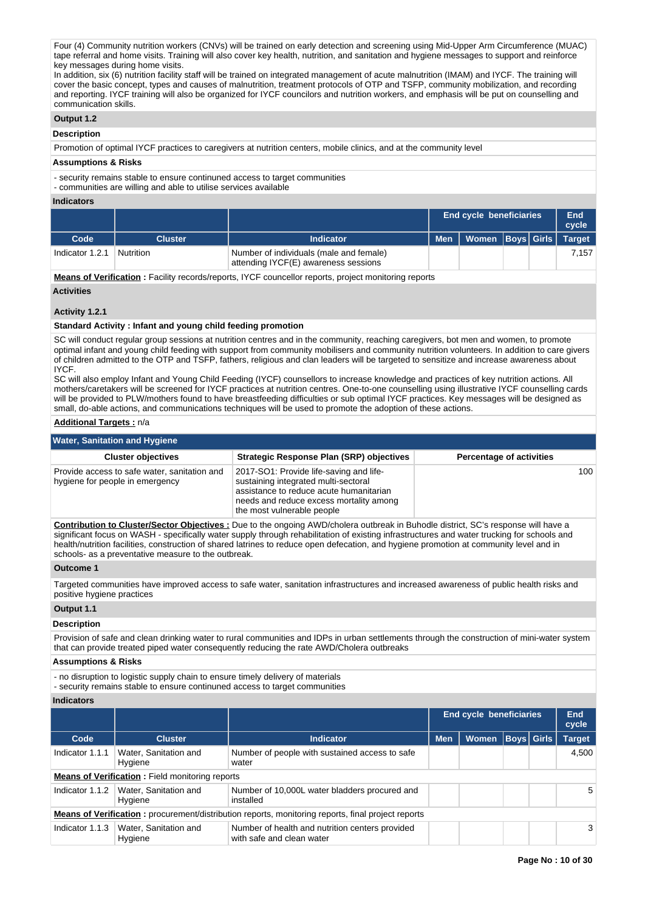Four (4) Community nutrition workers (CNVs) will be trained on early detection and screening using Mid-Upper Arm Circumference (MUAC) tape referral and home visits. Training will also cover key health, nutrition, and sanitation and hygiene messages to support and reinforce key messages during home visits.

In addition, six (6) nutrition facility staff will be trained on integrated management of acute malnutrition (IMAM) and IYCF. The training will cover the basic concept, types and causes of malnutrition, treatment protocols of OTP and TSFP, community mobilization, and recording and reporting. IYCF training will also be organized for IYCF councilors and nutrition workers, and emphasis will be put on counselling and communication skills.

# **Output 1.2**

# **Description**

Promotion of optimal IYCF practices to caregivers at nutrition centers, mobile clinics, and at the community level

#### **Assumptions & Risks**

- security remains stable to ensure continuned access to target communities

- communities are willing and able to utilise services available

#### **Indicators**

|                 |                  |                                                                                 |            | End cycle beneficiaries |  |  |       |  |  |
|-----------------|------------------|---------------------------------------------------------------------------------|------------|-------------------------|--|--|-------|--|--|
| Code            | <b>Cluster</b>   | <b>Indicator</b>                                                                | <b>Men</b> | Women Boys Girls Target |  |  |       |  |  |
| Indicator 1.2.1 | <b>Nutrition</b> | Number of individuals (male and female)<br>attending IYCF(E) awareness sessions |            |                         |  |  | 7.157 |  |  |

**Means of Verification :** Facility records/reports, IYCF councellor reports, project monitoring reports

# **Activities**

#### **Activity 1.2.1**

#### **Standard Activity : Infant and young child feeding promotion**

SC will conduct regular group sessions at nutrition centres and in the community, reaching caregivers, bot men and women, to promote optimal infant and young child feeding with support from community mobilisers and community nutrition volunteers. In addition to care givers of children admitted to the OTP and TSFP, fathers, religious and clan leaders will be targeted to sensitize and increase awareness about IYCF.

SC will also employ Infant and Young Child Feeding (IYCF) counsellors to increase knowledge and practices of key nutrition actions. All mothers/caretakers will be screened for IYCF practices at nutrition centres. One-to-one counselling using illustrative IYCF counselling cards will be provided to PLW/mothers found to have breastfeeding difficulties or sub optimal IYCF practices. Key messages will be designed as small, do-able actions, and communications techniques will be used to promote the adoption of these actions.

#### **Additional Targets :** n/a

| <b>Water, Sanitation and Hygiene</b>                                            |                                                                                                                                                                                                     |                                 |  |  |  |  |  |  |  |  |
|---------------------------------------------------------------------------------|-----------------------------------------------------------------------------------------------------------------------------------------------------------------------------------------------------|---------------------------------|--|--|--|--|--|--|--|--|
| <b>Cluster objectives</b>                                                       | <b>Strategic Response Plan (SRP) objectives</b>                                                                                                                                                     | <b>Percentage of activities</b> |  |  |  |  |  |  |  |  |
| Provide access to safe water, sanitation and<br>hygiene for people in emergency | 2017-SO1: Provide life-saving and life-<br>sustaining integrated multi-sectoral<br>assistance to reduce acute humanitarian<br>needs and reduce excess mortality among<br>the most vulnerable people | 100                             |  |  |  |  |  |  |  |  |

**Contribution to Cluster/Sector Objectives :** Due to the ongoing AWD/cholera outbreak in Buhodle district, SC's response will have a significant focus on WASH - specifically water supply through rehabilitation of existing infrastructures and water trucking for schools and health/nutrition facilities, construction of shared latrines to reduce open defecation, and hygiene promotion at community level and in schools- as a preventative measure to the outbreak.

### **Outcome 1**

Targeted communities have improved access to safe water, sanitation infrastructures and increased awareness of public health risks and positive hygiene practices

# **Output 1.1**

# **Description**

Provision of safe and clean drinking water to rural communities and IDPs in urban settlements through the construction of mini-water system that can provide treated piped water consequently reducing the rate AWD/Cholera outbreaks

#### **Assumptions & Risks**

- no disruption to logistic supply chain to ensure timely delivery of materials

- security remains stable to ensure continuned access to target communities

#### **Indicators**

|                                                        |                                  |                                                                                                           |            | <b>End cycle beneficiaries</b> |                   | End<br>cycle  |       |
|--------------------------------------------------------|----------------------------------|-----------------------------------------------------------------------------------------------------------|------------|--------------------------------|-------------------|---------------|-------|
| Code                                                   | <b>Cluster</b>                   | <b>Indicator</b>                                                                                          | <b>Men</b> | <b>Women</b>                   | <b>Boys Girls</b> | <b>Target</b> |       |
| Indicator 1.1.1                                        | Water, Sanitation and<br>Hygiene | Number of people with sustained access to safe<br>water                                                   |            |                                |                   |               | 4.500 |
| <b>Means of Verification:</b> Field monitoring reports |                                  |                                                                                                           |            |                                |                   |               |       |
| Indicator 1.1.2                                        | Water, Sanitation and<br>Hygiene | Number of 10,000L water bladders procured and<br>installed                                                |            |                                |                   |               | 5     |
|                                                        |                                  | <b>Means of Verification:</b> procurement/distribution reports, monitoring reports, final project reports |            |                                |                   |               |       |
| Indicator 1.1.3                                        | Water, Sanitation and<br>Hygiene | Number of health and nutrition centers provided<br>with safe and clean water                              |            |                                |                   |               | 3     |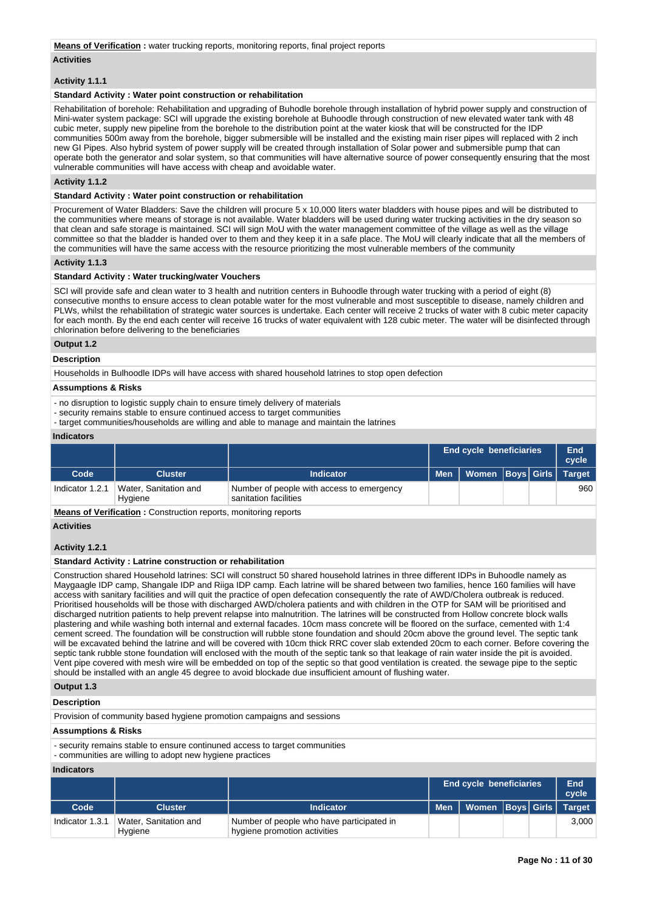#### **Means of Verification :** water trucking reports, monitoring reports, final project reports

#### **Activities**

#### **Activity 1.1.1**

#### **Standard Activity : Water point construction or rehabilitation**

Rehabilitation of borehole: Rehabilitation and upgrading of Buhodle borehole through installation of hybrid power supply and construction of Mini-water system package: SCI will upgrade the existing borehole at Buhoodle through construction of new elevated water tank with 48 cubic meter, supply new pipeline from the borehole to the distribution point at the water kiosk that will be constructed for the IDP communities 500m away from the borehole, bigger submersible will be installed and the existing main riser pipes will replaced with 2 inch new GI Pipes. Also hybrid system of power supply will be created through installation of Solar power and submersible pump that can operate both the generator and solar system, so that communities will have alternative source of power consequently ensuring that the most vulnerable communities will have access with cheap and avoidable water.

#### **Activity 1.1.2**

#### **Standard Activity : Water point construction or rehabilitation**

Procurement of Water Bladders: Save the children will procure 5 x 10,000 liters water bladders with house pipes and will be distributed to the communities where means of storage is not available. Water bladders will be used during water trucking activities in the dry season so that clean and safe storage is maintained. SCI will sign MoU with the water management committee of the village as well as the village committee so that the bladder is handed over to them and they keep it in a safe place. The MoU will clearly indicate that all the members of the communities will have the same access with the resource prioritizing the most vulnerable members of the community

#### **Activity 1.1.3**

#### **Standard Activity : Water trucking/water Vouchers**

SCI will provide safe and clean water to 3 health and nutrition centers in Buhoodle through water trucking with a period of eight (8) consecutive months to ensure access to clean potable water for the most vulnerable and most susceptible to disease, namely children and PLWs, whilst the rehabilitation of strategic water sources is undertake. Each center will receive 2 trucks of water with 8 cubic meter capacity for each month. By the end each center will receive 16 trucks of water equivalent with 128 cubic meter. The water will be disinfected through chlorination before delivering to the beneficiaries

# **Output 1.2**

# **Description**

Households in Bulhoodle IDPs will have access with shared household latrines to stop open defection

#### **Assumptions & Risks**

- no disruption to logistic supply chain to ensure timely delivery of materials

- security remains stable to ensure continued access to target communities

- target communities/households are willing and able to manage and maintain the latrines

#### **Indicators**

|                 |                                  |                                                                    | <b>End cycle beneficiaries</b>      |  | End<br>cycle |
|-----------------|----------------------------------|--------------------------------------------------------------------|-------------------------------------|--|--------------|
| Code            | Cluster                          | Indicator                                                          | Men   Women   Boys   Girls   Target |  |              |
| Indicator 1.2.1 | Water, Sanitation and<br>Hygiene | Number of people with access to emergency<br>sanitation facilities |                                     |  | 960          |

**Means of Verification :** Construction reports, monitoring reports

# **Activities**

# **Activity 1.2.1**

# **Standard Activity : Latrine construction or rehabilitation**

Construction shared Household latrines: SCI will construct 50 shared household latrines in three different IDPs in Buhoodle namely as Maygaagle IDP camp, Shangale IDP and Riiga IDP camp. Each latrine will be shared between two families, hence 160 families will have access with sanitary facilities and will quit the practice of open defecation consequently the rate of AWD/Cholera outbreak is reduced. Prioritised households will be those with discharged AWD/cholera patients and with children in the OTP for SAM will be prioritised and discharged nutrition patients to help prevent relapse into malnutrition. The latrines will be constructed from Hollow concrete block walls plastering and while washing both internal and external facades. 10cm mass concrete will be floored on the surface, cemented with 1:4 cement screed. The foundation will be construction will rubble stone foundation and should 20cm above the ground level. The septic tank will be excavated behind the latrine and will be covered with 10cm thick RRC cover slab extended 20cm to each corner. Before covering the septic tank rubble stone foundation will enclosed with the mouth of the septic tank so that leakage of rain water inside the pit is avoided. Vent pipe covered with mesh wire will be embedded on top of the septic so that good ventilation is created. the sewage pipe to the septic should be installed with an angle 45 degree to avoid blockade due insufficient amount of flushing water.

# **Output 1.3 Description**

Provision of community based hygiene promotion campaigns and sessions

#### **Assumptions & Risks**

- security remains stable to ensure continuned access to target communities

- communities are willing to adopt new hygiene practices

#### **Indicators**

|                 |                                  |                                                                           |       | <b>End cycle beneficiaries</b> |  | End<br>cycle |
|-----------------|----------------------------------|---------------------------------------------------------------------------|-------|--------------------------------|--|--------------|
| Code            | <b>Cluster</b>                   | <b>Indicator</b>                                                          | Men l | Women   Boys   Girls   Target  |  |              |
| Indicator 1.3.1 | Water, Sanitation and<br>Hygiene | Number of people who have participated in<br>hygiene promotion activities |       |                                |  | 3.000        |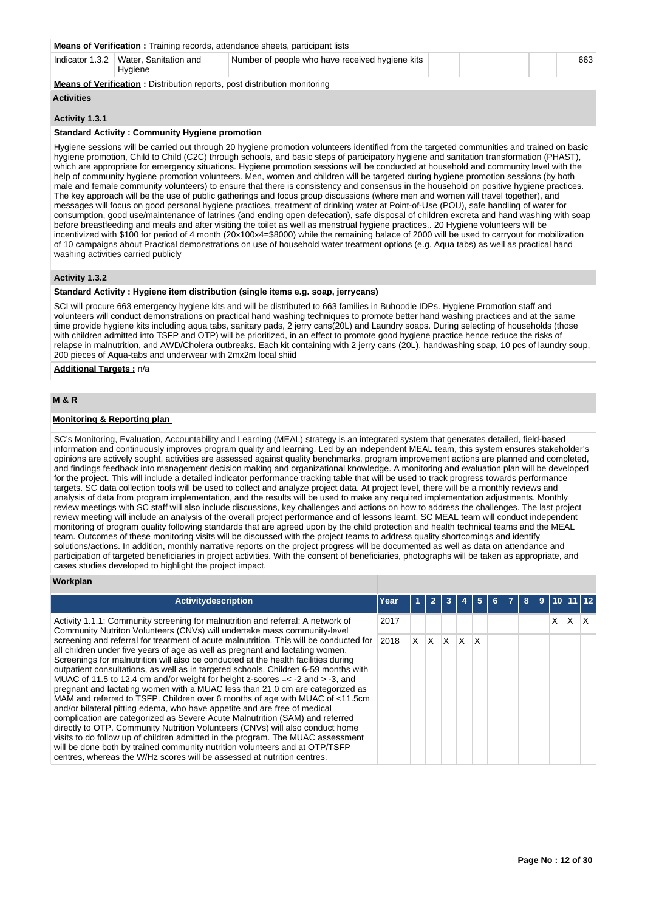|                                                                                                                             | <b>Means of Verification:</b> Training records, attendance sheets, participant lists |  |  |  |  |     |  |  |  |  |
|-----------------------------------------------------------------------------------------------------------------------------|--------------------------------------------------------------------------------------|--|--|--|--|-----|--|--|--|--|
| Hvaiene                                                                                                                     | Number of people who have received hygiene kits                                      |  |  |  |  | 663 |  |  |  |  |
| Indicator 1.3.2   Water, Sanitation and<br><b>Means of Verification:</b> Distribution reports, post distribution monitoring |                                                                                      |  |  |  |  |     |  |  |  |  |

#### **Activities**

#### **Activity 1.3.1**

#### **Standard Activity : Community Hygiene promotion**

Hygiene sessions will be carried out through 20 hygiene promotion volunteers identified from the targeted communities and trained on basic hygiene promotion, Child to Child (C2C) through schools, and basic steps of participatory hygiene and sanitation transformation (PHAST), which are appropriate for emergency situations. Hygiene promotion sessions will be conducted at household and community level with the help of community hygiene promotion volunteers. Men, women and children will be targeted during hygiene promotion sessions (by both male and female community volunteers) to ensure that there is consistency and consensus in the household on positive hygiene practices. The key approach will be the use of public gatherings and focus group discussions (where men and women will travel together), and messages will focus on good personal hygiene practices, treatment of drinking water at Point-of-Use (POU), safe handling of water for consumption, good use/maintenance of latrines (and ending open defecation), safe disposal of children excreta and hand washing with soap before breastfeeding and meals and after visiting the toilet as well as menstrual hygiene practices.. 20 Hygiene volunteers will be incentivized with \$100 for period of 4 month (20x100x4=\$8000) while the remaining balace of 2000 will be used to carryout for mobilization of 10 campaigns about Practical demonstrations on use of household water treatment options (e.g. Aqua tabs) as well as practical hand washing activities carried publicly

# **Activity 1.3.2**

#### **Standard Activity : Hygiene item distribution (single items e.g. soap, jerrycans)**

SCI will procure 663 emergency hygiene kits and will be distributed to 663 families in Buhoodle IDPs. Hygiene Promotion staff and volunteers will conduct demonstrations on practical hand washing techniques to promote better hand washing practices and at the same time provide hygiene kits including aqua tabs, sanitary pads, 2 jerry cans(20L) and Laundry soaps. During selecting of households (those with children admitted into TSFP and OTP) will be prioritized, in an effect to promote good hygiene practice hence reduce the risks of relapse in malnutrition, and AWD/Cholera outbreaks. Each kit containing with 2 jerry cans (20L), handwashing soap, 10 pcs of laundry soup, 200 pieces of Aqua-tabs and underwear with 2mx2m local shiid

**Additional Targets :** n/a

#### **M & R**

# **Monitoring & Reporting plan**

SC's Monitoring, Evaluation, Accountability and Learning (MEAL) strategy is an integrated system that generates detailed, field-based information and continuously improves program quality and learning. Led by an independent MEAL team, this system ensures stakeholder's opinions are actively sought, activities are assessed against quality benchmarks, program improvement actions are planned and completed, and findings feedback into management decision making and organizational knowledge. A monitoring and evaluation plan will be developed for the project. This will include a detailed indicator performance tracking table that will be used to track progress towards performance targets. SC data collection tools will be used to collect and analyze project data. At project level, there will be a monthly reviews and analysis of data from program implementation, and the results will be used to make any required implementation adjustments. Monthly review meetings with SC staff will also include discussions, key challenges and actions on how to address the challenges. The last project review meeting will include an analysis of the overall project performance and of lessons learnt. SC MEAL team will conduct independent monitoring of program quality following standards that are agreed upon by the child protection and health technical teams and the MEAL team. Outcomes of these monitoring visits will be discussed with the project teams to address quality shortcomings and identify solutions/actions. In addition, monthly narrative reports on the project progress will be documented as well as data on attendance and participation of targeted beneficiaries in project activities. With the consent of beneficiaries, photographs will be taken as appropriate, and cases studies developed to highlight the project impact.

#### **Workplan**

| <b>Activitydescription</b>                                                                                                                                                                                                                                                                                                                                                                                                                                                                                                                                                                                                                                                                                                                                                                                                                                                                                                                                                                                                                                                                            | Year |    |    |   |          |   | 6. | 8 | 9 |   |   |  |
|-------------------------------------------------------------------------------------------------------------------------------------------------------------------------------------------------------------------------------------------------------------------------------------------------------------------------------------------------------------------------------------------------------------------------------------------------------------------------------------------------------------------------------------------------------------------------------------------------------------------------------------------------------------------------------------------------------------------------------------------------------------------------------------------------------------------------------------------------------------------------------------------------------------------------------------------------------------------------------------------------------------------------------------------------------------------------------------------------------|------|----|----|---|----------|---|----|---|---|---|---|--|
| Activity 1.1.1: Community screening for malnutrition and referral: A network of<br>Community Nutriton Volunteers (CNVs) will undertake mass community-level                                                                                                                                                                                                                                                                                                                                                                                                                                                                                                                                                                                                                                                                                                                                                                                                                                                                                                                                           | 2017 |    |    |   |          |   |    |   |   | X | X |  |
| screening and referral for treatment of acute malnutrition. This will be conducted for<br>all children under five years of age as well as pregnant and lactating women.<br>Screenings for malnutrition will also be conducted at the health facilities during<br>outpatient consultations, as well as in targeted schools. Children 6-59 months with<br>MUAC of 11.5 to 12.4 cm and/or weight for height z-scores $=<$ -2 and $>$ -3, and<br>pregnant and lactating women with a MUAC less than 21.0 cm are categorized as<br>MAM and referred to TSFP. Children over 6 months of age with MUAC of <11.5cm<br>and/or bilateral pitting edema, who have appetite and are free of medical<br>complication are categorized as Severe Acute Malnutrition (SAM) and referred<br>directly to OTP. Community Nutrition Volunteers (CNVs) will also conduct home<br>visits to do follow up of children admitted in the program. The MUAC assessment<br>will be done both by trained community nutrition volunteers and at OTP/TSFP<br>centres, whereas the W/Hz scores will be assessed at nutrition centres. | 2018 | X. | X. | X | $\times$ | x |    |   |   |   |   |  |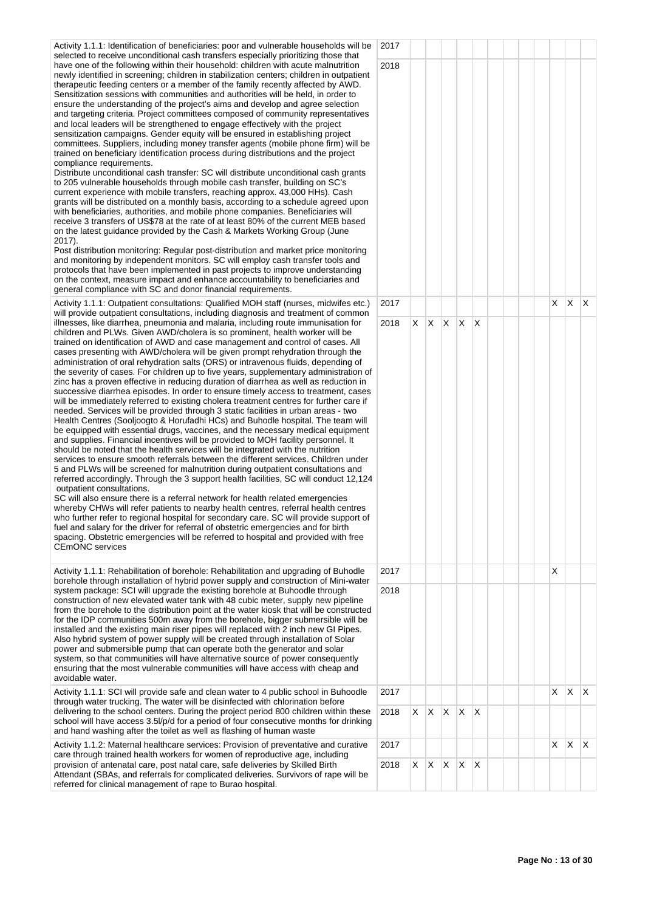Activity 1.1.1: Identification of beneficiaries: poor and vulnerable households will be selected to receive unconditional cash transfers especially prioritizing those that have one of the following within their household: children with acute malnutrition newly identified in screening; children in stabilization centers; children in outpatient therapeutic feeding centers or a member of the family recently affected by AWD. Sensitization sessions with communities and authorities will be held, in order to ensure the understanding of the project's aims and develop and agree selection and targeting criteria. Project committees composed of community representatives and local leaders will be strengthened to engage effectively with the project sensitization campaigns. Gender equity will be ensured in establishing project committees. Suppliers, including money transfer agents (mobile phone firm) will be trained on beneficiary identification process during distributions and the project compliance requirements.

Distribute unconditional cash transfer: SC will distribute unconditional cash grants to 205 vulnerable households through mobile cash transfer, building on SC's current experience with mobile transfers, reaching approx. 43,000 HHs). Cash grants will be distributed on a monthly basis, according to a schedule agreed upon with beneficiaries, authorities, and mobile phone companies. Beneficiaries will receive 3 transfers of US\$78 at the rate of at least 80% of the current MEB based on the latest guidance provided by the Cash & Markets Working Group (June 2017).

Post distribution monitoring: Regular post-distribution and market price monitoring and monitoring by independent monitors. SC will employ cash transfer tools and protocols that have been implemented in past projects to improve understanding on the context, measure impact and enhance accountability to beneficiaries and general compliance with SC and donor financial requirements.

Activity 1.1.1: Outpatient consultations: Qualified MOH staff (nurses, midwifes etc.) will provide outpatient consultations, including diagnosis and treatment of common illnesses, like diarrhea, pneumonia and malaria, including route immunisation for children and PLWs. Given AWD/cholera is so prominent, health worker will be trained on identification of AWD and case management and control of cases. All cases presenting with AWD/cholera will be given prompt rehydration through the administration of oral rehydration salts (ORS) or intravenous fluids, depending of the severity of cases. For children up to five years, supplementary administration of zinc has a proven effective in reducing duration of diarrhea as well as reduction in successive diarrhea episodes. In order to ensure timely access to treatment, cases will be immediately referred to existing cholera treatment centres for further care if needed. Services will be provided through 3 static facilities in urban areas - two Health Centres (Sooljoogto & Horufadhi HCs) and Buhodle hospital. The team will be equipped with essential drugs, vaccines, and the necessary medical equipment and supplies. Financial incentives will be provided to MOH facility personnel. It should be noted that the health services will be integrated with the nutrition services to ensure smooth referrals between the different services. Children under 5 and PLWs will be screened for malnutrition during outpatient consultations and referred accordingly. Through the 3 support health facilities, SC will conduct 12,124 outpatient consultations.

SC will also ensure there is a referral network for health related emergencies whereby CHWs will refer patients to nearby health centres, referral health centres who further refer to regional hospital for secondary care. SC will provide support of fuel and salary for the driver for referral of obstetric emergencies and for birth spacing. Obstetric emergencies will be referred to hospital and provided with free CEmONC services

Activity 1.1.1: Rehabilitation of borehole: Rehabilitation and upgrading of Buhodle borehole through installation of hybrid power supply and construction of Mini-water system package: SCI will upgrade the existing borehole at Buhoodle through construction of new elevated water tank with 48 cubic meter, supply new pipeline from the borehole to the distribution point at the water kiosk that will be constructed for the IDP communities 500m away from the borehole, bigger submersible will be installed and the existing main riser pipes will replaced with 2 inch new GI Pipes. Also hybrid system of power supply will be created through installation of Solar power and submersible pump that can operate both the generator and solar system, so that communities will have alternative source of power consequently ensuring that the most vulnerable communities will have access with cheap and avoidable water.

Activity 1.1.1: SCI will provide safe and clean water to 4 public school in Buhoodle through water trucking. The water will be disinfected with chlorination before delivering to the school centers. During the project period 800 children within these school will have access 3.5l/p/d for a period of four consecutive months for drinking and hand washing after the toilet as well as flashing of human waste

Activity 1.1.2: Maternal healthcare services: Provision of preventative and curative care through trained health workers for women of reproductive age, including provision of antenatal care, post natal care, safe deliveries by Skilled Birth Attendant (SBAs, and referrals for complicated deliveries. Survivors of rape will be referred for clinical management of rape to Burao hospital.

| į.           | 2017 |                         |                         |                         |                         |                    |  |  |                         |                |                           |
|--------------|------|-------------------------|-------------------------|-------------------------|-------------------------|--------------------|--|--|-------------------------|----------------|---------------------------|
|              | 2018 |                         |                         |                         |                         |                    |  |  |                         |                |                           |
|              | 2017 |                         |                         |                         |                         |                    |  |  | $\overline{\mathsf{x}}$ | $\mathsf X$    | $\mathsf X$               |
| f<br>i,<br>Ļ | 2018 | $\overline{\mathsf{X}}$ | $\overline{\mathsf{X}}$ | $\overline{\mathsf{X}}$ | $\overline{\mathsf{X}}$ | $\pmb{\mathsf{X}}$ |  |  |                         |                |                           |
|              | 2017 |                         |                         |                         |                         |                    |  |  | X                       |                |                           |
|              | 2018 |                         |                         |                         |                         |                    |  |  |                         |                |                           |
|              | 2017 |                         |                         |                         |                         |                    |  |  | X                       | $\mathsf{X}$   | $\mathsf X$               |
| J            | 2018 |                         | $X$ $X$ $X$ $X$         |                         |                         | $\mathsf X$        |  |  |                         |                |                           |
|              | 2017 |                         |                         |                         |                         |                    |  |  | $\overline{\mathsf{X}}$ | $\mathsf{X}^-$ | $\boldsymbol{\mathsf{X}}$ |
|              | 2018 | $\mathsf{X}^-$          | $\mathsf{X}^-$          | $\overline{\mathsf{x}}$ | $\mathsf X$             | $\pmb{\mathsf{X}}$ |  |  |                         |                |                           |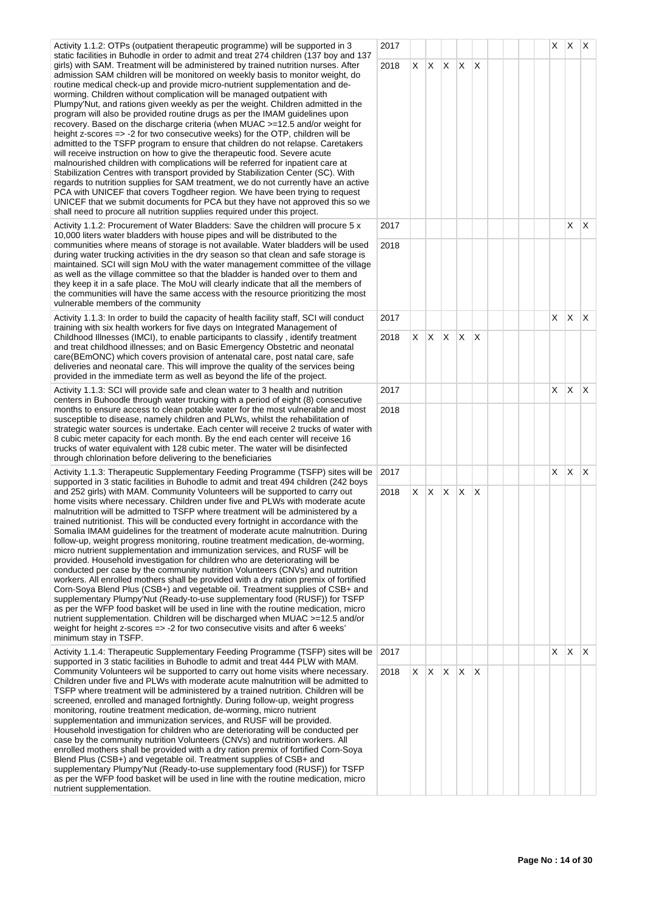Activity 1.1.2: OTPs (outpatient therapeutic programme) will be supported in 3 static facilities in Buhodle in order to admit and treat 274 children (137 boy and 137 girls) with SAM. Treatment will be administered by trained nutrition nurses. After admission SAM children will be monitored on weekly basis to monitor weight, do routine medical check-up and provide micro-nutrient supplementation and deworming. Children without complication will be managed outpatient with Plumpy'Nut, and rations given weekly as per the weight. Children admitted in the program will also be provided routine drugs as per the IMAM guidelines upon recovery. Based on the discharge criteria (when MUAC >=12.5 and/or weight for height z-scores => -2 for two consecutive weeks) for the OTP, children will be admitted to the TSFP program to ensure that children do not relapse. Caretakers will receive instruction on how to give the therapeutic food. Severe acute malnourished children with complications will be referred for inpatient care at Stabilization Centres with transport provided by Stabilization Center (SC). With regards to nutrition supplies for SAM treatment, we do not currently have an active PCA with UNICEF that covers Togdheer region. We have been trying to request UNICEF that we submit documents for PCA but they have not approved this so we shall need to procure all nutrition supplies required under this project.

Activity 1.1.2: Procurement of Water Bladders: Save the children will procure 5 x 10,000 liters water bladders with house pipes and will be distributed to the communities where means of storage is not available. Water bladders will be used during water trucking activities in the dry season so that clean and safe storage is maintained. SCI will sign MoU with the water management committee of the village as well as the village committee so that the bladder is handed over to them and they keep it in a safe place. The MoU will clearly indicate that all the members of the communities will have the same access with the resource prioritizing the most vulnerable members of the community

Activity 1.1.3: In order to build the capacity of health facility staff, SCI will conduct training with six health workers for five days on Integrated Management of Childhood Illnesses (IMCI), to enable participants to classify, identify treatment and treat childhood illnesses; and on Basic Emergency Obstetric and neonatal care(BEmONC) which covers provision of antenatal care, post natal care, safe deliveries and neonatal care. This will improve the quality of the services being provided in the immediate term as well as beyond the life of the project.

Activity 1.1.3: SCI will provide safe and clean water to 3 health and nutrition centers in Buhoodle through water trucking with a period of eight (8) consecutive months to ensure access to clean potable water for the most vulnerable and most susceptible to disease, namely children and PLWs, whilst the rehabilitation of strategic water sources is undertake. Each center will receive 2 trucks of water with 8 cubic meter capacity for each month. By the end each center will receive 16 trucks of water equivalent with 128 cubic meter. The water will be disinfected through chlorination before delivering to the beneficiaries

Activity 1.1.3: Therapeutic Supplementary Feeding Programme (TSFP) sites will be supported in 3 static facilities in Buhodle to admit and treat 494 children (242 boys and 252 girls) with MAM. Community Volunteers will be supported to carry out home visits where necessary. Children under five and PLWs with moderate acute malnutrition will be admitted to TSFP where treatment will be administered by a trained nutritionist. This will be conducted every fortnight in accordance with the Somalia IMAM guidelines for the treatment of moderate acute malnutrition. During follow-up, weight progress monitoring, routine treatment medication, de-worming, micro nutrient supplementation and immunization services, and RUSF will be provided. Household investigation for children who are deteriorating will be conducted per case by the community nutrition Volunteers (CNVs) and nutrition workers. All enrolled mothers shall be provided with a dry ration premix of fortified Corn-Soya Blend Plus (CSB+) and vegetable oil. Treatment supplies of CSB+ and supplementary Plumpy Nut (Ready-to-use supplementary food (RUSF)) for TSFP as per the WFP food basket will be used in line with the routine medication, micro nutrient supplementation. Children will be discharged when MUAC >=12.5 and/or weight for height z-scores => -2 for two consecutive visits and after 6 weeks' minimum stay in TSFP.

Activity 1.1.4: Therapeutic Supplementary Feeding Programme (TSFP) sites will be supported in 3 static facilities in Buhodle to admit and treat 444 PLW with MAM. Community Volunteers wil be supported to carry out home visits where necessary. Children under five and PLWs with moderate acute malnutrition will be admitted to TSFP where treatment will be administered by a trained nutrition. Children will be screened, enrolled and managed fortnightly. During follow-up, weight progress monitoring, routine treatment medication, de-worming, micro nutrient supplementation and immunization services, and RUSF will be provided. Household investigation for children who are deteriorating will be conducted per case by the community nutrition Volunteers (CNVs) and nutrition workers. All enrolled mothers shall be provided with a dry ration premix of fortified Corn-Soya Blend Plus (CSB+) and vegetable oil. Treatment supplies of CSB+ and supplementary Plumpy'Nut (Ready-to-use supplementary food (RUSF)) for TSFP as per the WFP food basket will be used in line with the routine medication, micro nutrient supplementation.

|                | 2017         |                         |                         |                         |                         |                           |  |  | X                       | X.                 | $\vert$ X   |
|----------------|--------------|-------------------------|-------------------------|-------------------------|-------------------------|---------------------------|--|--|-------------------------|--------------------|-------------|
| $\overline{1}$ | 2018         | X                       | $\mathsf{X}^-$          | $\sf X$                 | $\mathsf X$             | $\pmb{\times}$            |  |  |                         |                    |             |
|                |              |                         |                         |                         |                         |                           |  |  |                         |                    |             |
|                |              |                         |                         |                         |                         |                           |  |  |                         |                    |             |
|                |              |                         |                         |                         |                         |                           |  |  |                         |                    |             |
|                |              |                         |                         |                         |                         |                           |  |  |                         |                    |             |
| ŀ              |              |                         |                         |                         |                         |                           |  |  |                         |                    |             |
| è              |              |                         |                         |                         |                         |                           |  |  |                         |                    |             |
|                | 2017         |                         |                         |                         |                         |                           |  |  |                         | $\sf X$            | $\mathsf X$ |
| $\overline{a}$ | 2018         |                         |                         |                         |                         |                           |  |  |                         |                    |             |
| e              |              |                         |                         |                         |                         |                           |  |  |                         |                    |             |
|                |              |                         |                         |                         |                         |                           |  |  |                         |                    |             |
|                | 2017         |                         |                         |                         |                         |                           |  |  | $\mathsf X$             | $\mathsf X$        | $\mathsf X$ |
|                | 2018         | $\mathsf X$             | $\mathsf{X}^-$          | $\overline{\mathsf{X}}$ | $\overline{X}$          | $\boldsymbol{\mathsf{X}}$ |  |  |                         |                    |             |
|                |              |                         |                         |                         |                         |                           |  |  |                         |                    |             |
|                |              |                         |                         |                         |                         |                           |  |  | $\mathsf X$             | $\pmb{\mathsf{X}}$ |             |
|                | 2017<br>2018 |                         |                         |                         |                         |                           |  |  |                         |                    | $\mathsf X$ |
| h              |              |                         |                         |                         |                         |                           |  |  |                         |                    |             |
|                |              |                         |                         |                         |                         |                           |  |  |                         |                    |             |
| e              | 2017         |                         |                         |                         |                         |                           |  |  | $\mathsf X$             | $\mathsf{X}% _{0}$ | $\mathsf X$ |
|                | 2018         | $\mathsf X$             | $\mathsf{X}$            | $\overline{\mathsf{x}}$ | $\mathsf{X}% _{0}$      | $\pmb{\times}$            |  |  |                         |                    |             |
|                |              |                         |                         |                         |                         |                           |  |  |                         |                    |             |
|                |              |                         |                         |                         |                         |                           |  |  |                         |                    |             |
|                |              |                         |                         |                         |                         |                           |  |  |                         |                    |             |
|                |              |                         |                         |                         |                         |                           |  |  |                         |                    |             |
|                |              |                         |                         |                         |                         |                           |  |  |                         |                    |             |
|                |              |                         |                         |                         |                         |                           |  |  |                         |                    |             |
|                |              |                         |                         |                         |                         |                           |  |  |                         |                    |             |
| e              | 2017         |                         |                         |                         |                         |                           |  |  | $\overline{\mathsf{X}}$ | $\mathsf X$        | $\mathsf X$ |
|                | 2018         | $\overline{\mathsf{x}}$ | $\overline{\mathsf{X}}$ | $\overline{\mathsf{X}}$ | $\overline{\mathsf{X}}$ | $\overline{\mathsf{x}}$   |  |  |                         |                    |             |
|                |              |                         |                         |                         |                         |                           |  |  |                         |                    |             |
|                |              |                         |                         |                         |                         |                           |  |  |                         |                    |             |
|                |              |                         |                         |                         |                         |                           |  |  |                         |                    |             |
|                |              |                         |                         |                         |                         |                           |  |  |                         |                    |             |
|                |              |                         |                         |                         |                         |                           |  |  |                         |                    |             |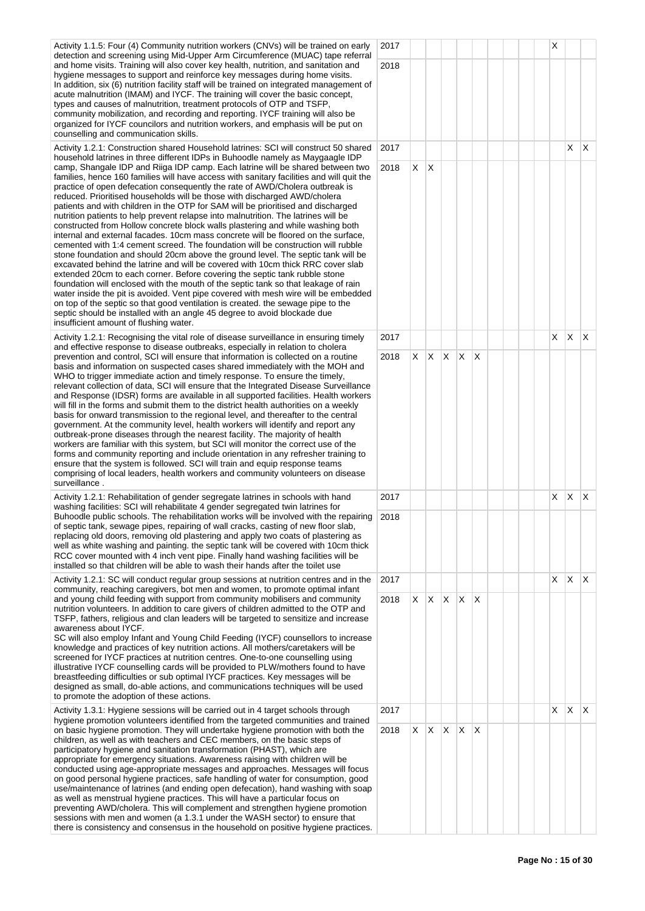Activity 1.1.5: Four (4) Community nutrition workers (CNVs) will be trained on early detection and screening using Mid-Upper Arm Circumference (MUAC) tape referral and home visits. Training will also cover key health, nutrition, and sanitation and hygiene messages to support and reinforce key messages during home visits. In addition, six (6) nutrition facility staff will be trained on integrated management of acute malnutrition (IMAM) and IYCF. The training will cover the basic concept, types and causes of malnutrition, treatment protocols of OTP and TSFP, community mobilization, and recording and reporting. IYCF training will also be organized for IYCF councilors and nutrition workers, and emphasis will be put on counselling and communication skills.

Activity 1.2.1: Construction shared Household latrines: SCI will construct 50 shared household latrines in three different IDPs in Buhoodle namely as Maygaagle IDP camp, Shangale IDP and Riiga IDP camp. Each latrine will be shared between two families, hence 160 families will have access with sanitary facilities and will quit the practice of open defecation consequently the rate of AWD/Cholera outbreak is reduced. Prioritised households will be those with discharged AWD/cholera patients and with children in the OTP for SAM will be prioritised and discharged nutrition patients to help prevent relapse into malnutrition. The latrines will be constructed from Hollow concrete block walls plastering and while washing both internal and external facades. 10cm mass concrete will be floored on the surface, cemented with 1:4 cement screed. The foundation will be construction will rubble stone foundation and should 20cm above the ground level. The septic tank will be excavated behind the latrine and will be covered with 10cm thick RRC cover slab extended 20cm to each corner. Before covering the septic tank rubble stone foundation will enclosed with the mouth of the septic tank so that leakage of rain water inside the pit is avoided. Vent pipe covered with mesh wire will be embedded on top of the septic so that good ventilation is created. the sewage pipe to the septic should be installed with an angle 45 degree to avoid blockade due insufficient amount of flushing water.

Activity 1.2.1: Recognising the vital role of disease surveillance in ensuring timely and effective response to disease outbreaks, especially in relation to cholera prevention and control, SCI will ensure that information is collected on a routine basis and information on suspected cases shared immediately with the MOH and WHO to trigger immediate action and timely response. To ensure the timely, relevant collection of data, SCI will ensure that the Integrated Disease Surveillance and Response (IDSR) forms are available in all supported facilities. Health workers will fill in the forms and submit them to the district health authorities on a weekly basis for onward transmission to the regional level, and thereafter to the central government. At the community level, health workers will identify and report any outbreak-prone diseases through the nearest facility. The majority of health workers are familiar with this system, but SCI will monitor the correct use of the forms and community reporting and include orientation in any refresher training to ensure that the system is followed. SCI will train and equip response teams comprising of local leaders, health workers and community volunteers on disease surveillance .

Activity 1.2.1: Rehabilitation of gender segregate latrines in schools with hand washing facilities: SCI will rehabilitate 4 gender segregated twin latrines for Buhoodle public schools. The rehabilitation works will be involved with the repairing of septic tank, sewage pipes, repairing of wall cracks, casting of new floor slab, replacing old doors, removing old plastering and apply two coats of plastering as well as white washing and painting. the septic tank will be covered with 10cm thick RCC cover mounted with 4 inch vent pipe. Finally hand washing facilities will be installed so that children will be able to wash their hands after the toilet use

Activity 1.2.1: SC will conduct regular group sessions at nutrition centres and in the community, reaching caregivers, bot men and women, to promote optimal infant and young child feeding with support from community mobilisers and community nutrition volunteers. In addition to care givers of children admitted to the OTP and TSFP, fathers, religious and clan leaders will be targeted to sensitize and increase awareness about IYCF.

SC will also employ Infant and Young Child Feeding (IYCF) counsellors to increase knowledge and practices of key nutrition actions. All mothers/caretakers will be screened for IYCF practices at nutrition centres. One-to-one counselling using illustrative IYCF counselling cards will be provided to PLW/mothers found to have breastfeeding difficulties or sub optimal IYCF practices. Key messages will be designed as small, do-able actions, and communications techniques will be used to promote the adoption of these actions.

Activity 1.3.1: Hygiene sessions will be carried out in 4 target schools through hygiene promotion volunteers identified from the targeted communities and trained on basic hygiene promotion. They will undertake hygiene promotion with both the children, as well as with teachers and CEC members, on the basic steps of participatory hygiene and sanitation transformation (PHAST), which are appropriate for emergency situations. Awareness raising with children will be conducted using age-appropriate messages and approaches. Messages will focus on good personal hygiene practices, safe handling of water for consumption, good use/maintenance of latrines (and ending open defecation), hand washing with soap as well as menstrual hygiene practices. This will have a particular focus on preventing AWD/cholera. This will complement and strengthen hygiene promotion sessions with men and women (a 1.3.1 under the WASH sector) to ensure that there is consistency and consensus in the household on positive hygiene practices.

| $\mathsf{I}$         | 2017   |                         |                         |                         |                         |             |  |  | X                  |                         |                    |
|----------------------|--------|-------------------------|-------------------------|-------------------------|-------------------------|-------------|--|--|--------------------|-------------------------|--------------------|
|                      | 2018   |                         |                         |                         |                         |             |  |  |                    |                         |                    |
| f                    |        |                         |                         |                         |                         |             |  |  |                    |                         |                    |
|                      |        |                         |                         |                         |                         |             |  |  |                    |                         |                    |
|                      |        |                         |                         |                         |                         |             |  |  |                    |                         |                    |
| l                    | 2017   |                         |                         |                         |                         |             |  |  |                    | X                       | X                  |
| ļ                    | 2018   | $\mathsf X$             | $\sf X$                 |                         |                         |             |  |  |                    |                         |                    |
|                      |        |                         |                         |                         |                         |             |  |  |                    |                         |                    |
|                      |        |                         |                         |                         |                         |             |  |  |                    |                         |                    |
|                      |        |                         |                         |                         |                         |             |  |  |                    |                         |                    |
|                      |        |                         |                         |                         |                         |             |  |  |                    |                         |                    |
|                      |        |                         |                         |                         |                         |             |  |  |                    |                         |                    |
| l                    |        |                         |                         |                         |                         |             |  |  |                    |                         |                    |
|                      |        |                         |                         |                         |                         |             |  |  |                    |                         |                    |
|                      |        |                         |                         |                         |                         |             |  |  |                    |                         |                    |
|                      | 2017   |                         |                         |                         |                         |             |  |  | $\mathsf X$        | $\mathsf X$             | X                  |
|                      | 2018   | $\mathsf X$             | $\overline{\mathsf{X}}$ | $\overline{\mathsf{X}}$ | X                       | $\mathsf X$ |  |  |                    |                         |                    |
| $\vdots$             |        |                         |                         |                         |                         |             |  |  |                    |                         |                    |
|                      |        |                         |                         |                         |                         |             |  |  |                    |                         |                    |
|                      |        |                         |                         |                         |                         |             |  |  |                    |                         |                    |
|                      |        |                         |                         |                         |                         |             |  |  |                    |                         |                    |
|                      |        |                         |                         |                         |                         |             |  |  |                    |                         |                    |
|                      |        |                         |                         |                         |                         |             |  |  |                    |                         |                    |
|                      | 2017   |                         |                         |                         |                         |             |  |  | X                  | $\mathsf X$             | $\pmb{\mathsf{X}}$ |
|                      | 9 2018 |                         |                         |                         |                         |             |  |  |                    |                         |                    |
|                      |        |                         |                         |                         |                         |             |  |  |                    |                         |                    |
|                      |        |                         |                         |                         |                         |             |  |  |                    |                         |                    |
| $\ddot{\phantom{0}}$ | 2017   |                         |                         |                         |                         |             |  |  | $\mathsf{X}% _{0}$ | $\overline{\mathsf{X}}$ | $\pmb{\times}$     |
|                      | 2018   | $\overline{\mathsf{X}}$ | $\overline{\mathsf{X}}$ | $\overline{\mathsf{X}}$ | $\overline{\mathsf{X}}$ | $\mathsf X$ |  |  |                    |                         |                    |
|                      |        |                         |                         |                         |                         |             |  |  |                    |                         |                    |
| $\ddot{\phantom{0}}$ |        |                         |                         |                         |                         |             |  |  |                    |                         |                    |
|                      |        |                         |                         |                         |                         |             |  |  |                    |                         |                    |
|                      |        |                         |                         |                         |                         |             |  |  |                    |                         |                    |
|                      |        |                         |                         |                         |                         |             |  |  |                    |                         |                    |
|                      | 2017   |                         |                         |                         |                         |             |  |  | $\mathsf{X}% _{0}$ | $\mathsf X$             | X                  |
|                      | 2018   | $\mathsf X$             | $\overline{\mathsf{x}}$ | $\overline{\mathsf{X}}$ | $\mathsf X$             | $\sf X$     |  |  |                    |                         |                    |
|                      |        |                         |                         |                         |                         |             |  |  |                    |                         |                    |
|                      |        |                         |                         |                         |                         |             |  |  |                    |                         |                    |
| $\mathbf{r}$         |        |                         |                         |                         |                         |             |  |  |                    |                         |                    |
|                      |        |                         |                         |                         |                         |             |  |  |                    |                         |                    |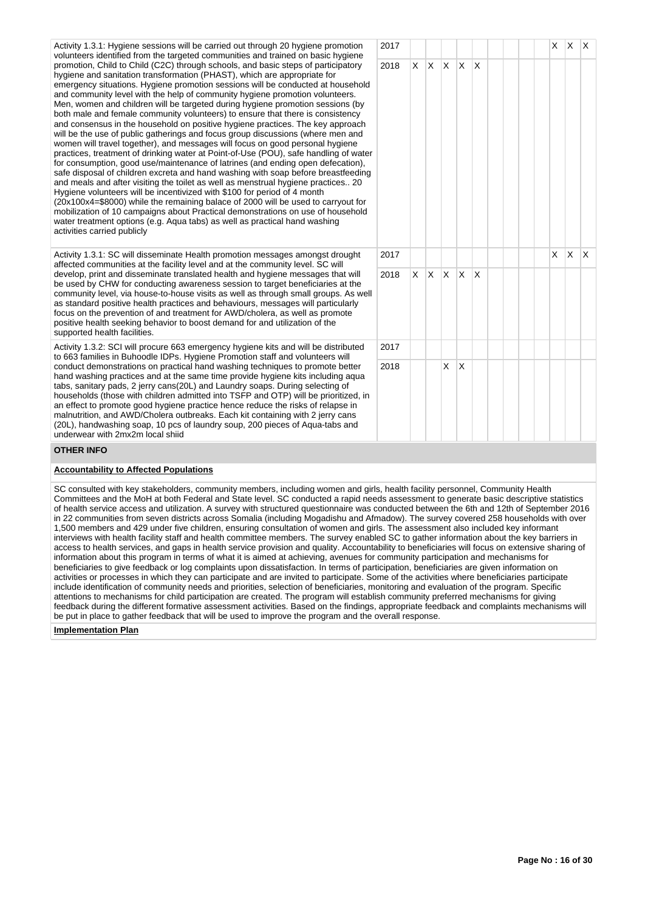Activity 1.3.1: Hygiene sessions will be carried out through 20 hygiene promotion volunteers identified from the targeted communities and trained on basic hygiene promotion, Child to Child (C2C) through schools, and basic steps of participatory hygiene and sanitation transformation (PHAST), which are appropriate for emergency situations. Hygiene promotion sessions will be conducted at household and community level with the help of community hygiene promotion volunteers. Men, women and children will be targeted during hygiene promotion sessions (by both male and female community volunteers) to ensure that there is consistency and consensus in the household on positive hygiene practices. The key approach will be the use of public gatherings and focus group discussions (where men and women will travel together), and messages will focus on good personal hygiene practices, treatment of drinking water at Point-of-Use (POU), safe handling of water for consumption, good use/maintenance of latrines (and ending open defecation), safe disposal of children excreta and hand washing with soap before breastfeeding and meals and after visiting the toilet as well as menstrual hygiene practices.. 20 Hygiene volunteers will be incentivized with \$100 for period of 4 month (20x100x4=\$8000) while the remaining balace of 2000 will be used to carryout for mobilization of 10 campaigns about Practical demonstrations on use of household water treatment options (e.g. Aqua tabs) as well as practical hand washing activities carried publicly

Activity 1.3.1: SC will disseminate Health promotion messages amongst drought affected communities at the facility level and at the community level. SC will develop, print and disseminate translated health and hygiene messages that will be used by CHW for conducting awareness session to target beneficiaries at the community level, via house-to-house visits as well as through small groups. As well as standard positive health practices and behaviours, messages will particularly focus on the prevention of and treatment for AWD/cholera, as well as promote positive health seeking behavior to boost demand for and utilization of the supported health facilities.

Activity 1.3.2: SCI will procure 663 emergency hygiene kits and will be distributed to 663 families in Buhoodle IDPs. Hygiene Promotion staff and volunteers will conduct demonstrations on practical hand washing techniques to promote better hand washing practices and at the same time provide hygiene kits including aqua tabs, sanitary pads, 2 jerry cans(20L) and Laundry soaps. During selecting of households (those with children admitted into TSFP and OTP) will be prioritized, in an effect to promote good hygiene practice hence reduce the risks of relapse in malnutrition, and AWD/Cholera outbreaks. Each kit containing with 2 jerry cans (20L), handwashing soap, 10 pcs of laundry soup, 200 pieces of Aqua-tabs and underwear with 2mx2m local shiid

# 2017 | | | | | | | | | | | | X | X | X 2018 X X X X X 2017 | | | | | | | | | | | | X | X | X  $2018$   $\times$   $\times$   $\times$   $\times$   $\times$ 2017  $2018$  X X

# **OTHER INFO**

#### **Accountability to Affected Populations**

SC consulted with key stakeholders, community members, including women and girls, health facility personnel, Community Health Committees and the MoH at both Federal and State level. SC conducted a rapid needs assessment to generate basic descriptive statistics of health service access and utilization. A survey with structured questionnaire was conducted between the 6th and 12th of September 2016 in 22 communities from seven districts across Somalia (including Mogadishu and Afmadow). The survey covered 258 households with over 1,500 members and 429 under five children, ensuring consultation of women and girls. The assessment also included key informant interviews with health facility staff and health committee members. The survey enabled SC to gather information about the key barriers in access to health services, and gaps in health service provision and quality. Accountability to beneficiaries will focus on extensive sharing of information about this program in terms of what it is aimed at achieving, avenues for community participation and mechanisms for beneficiaries to give feedback or log complaints upon dissatisfaction. In terms of participation, beneficiaries are given information on activities or processes in which they can participate and are invited to participate. Some of the activities where beneficiaries participate include identification of community needs and priorities, selection of beneficiaries, monitoring and evaluation of the program. Specific attentions to mechanisms for child participation are created. The program will establish community preferred mechanisms for giving feedback during the different formative assessment activities. Based on the findings, appropriate feedback and complaints mechanisms will be put in place to gather feedback that will be used to improve the program and the overall response.

#### **Implementation Plan**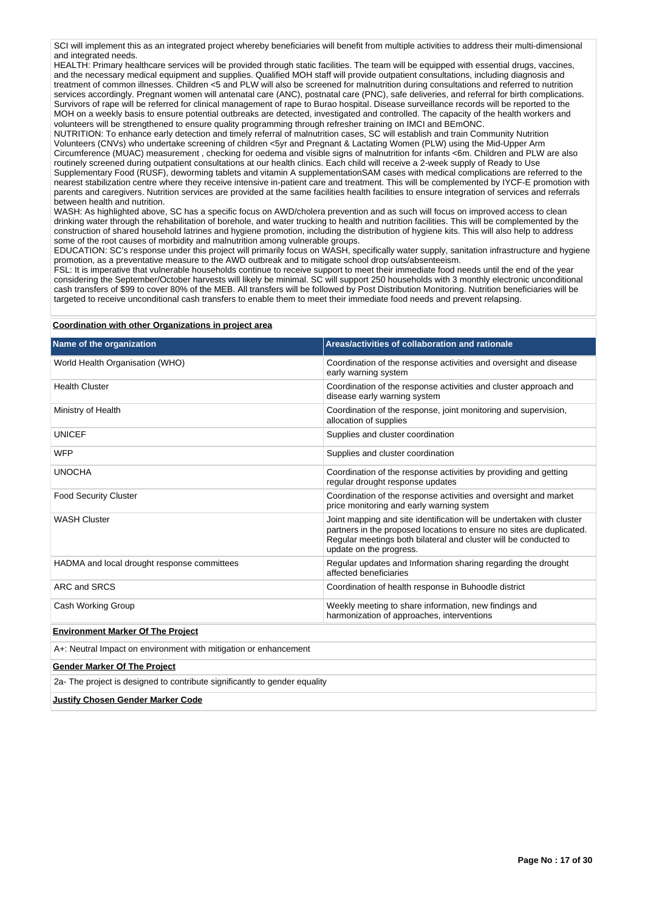SCI will implement this as an integrated project whereby beneficiaries will benefit from multiple activities to address their multi-dimensional and integrated needs.

HEALTH: Primary healthcare services will be provided through static facilities. The team will be equipped with essential drugs, vaccines, and the necessary medical equipment and supplies. Qualified MOH staff will provide outpatient consultations, including diagnosis and treatment of common illnesses. Children <5 and PLW will also be screened for malnutrition during consultations and referred to nutrition services accordingly. Pregnant women will antenatal care (ANC), postnatal care (PNC), safe deliveries, and referral for birth complications. Survivors of rape will be referred for clinical management of rape to Burao hospital. Disease surveillance records will be reported to the MOH on a weekly basis to ensure potential outbreaks are detected, investigated and controlled. The capacity of the health workers and volunteers will be strengthened to ensure quality programming through refresher training on IMCI and BEmONC.

NUTRITION: To enhance early detection and timely referral of malnutrition cases, SC will establish and train Community Nutrition Volunteers (CNVs) who undertake screening of children <5yr and Pregnant & Lactating Women (PLW) using the Mid-Upper Arm Circumference (MUAC) measurement , checking for oedema and visible signs of malnutrition for infants <6m. Children and PLW are also routinely screened during outpatient consultations at our health clinics. Each child will receive a 2-week supply of Ready to Use Supplementary Food (RUSF), deworming tablets and vitamin A supplementationSAM cases with medical complications are referred to the nearest stabilization centre where they receive intensive in-patient care and treatment. This will be complemented by IYCF-E promotion with parents and caregivers. Nutrition services are provided at the same facilities health facilities to ensure integration of services and referrals between health and nutrition.

WASH: As highlighted above, SC has a specific focus on AWD/cholera prevention and as such will focus on improved access to clean drinking water through the rehabilitation of borehole, and water trucking to health and nutrition facilities. This will be complemented by the construction of shared household latrines and hygiene promotion, including the distribution of hygiene kits. This will also help to address some of the root causes of morbidity and malnutrition among vulnerable groups.

EDUCATION: SC's response under this project will primarily focus on WASH, specifically water supply, sanitation infrastructure and hygiene promotion, as a preventative measure to the AWD outbreak and to mitigate school drop outs/absenteeism.

FSL: It is imperative that vulnerable households continue to receive support to meet their immediate food needs until the end of the year considering the September/October harvests will likely be minimal. SC will support 250 households with 3 monthly electronic unconditional cash transfers of \$99 to cover 80% of the MEB. All transfers will be followed by Post Distribution Monitoring. Nutrition beneficiaries will be targeted to receive unconditional cash transfers to enable them to meet their immediate food needs and prevent relapsing.

#### **Coordination with other Organizations in project area**

| Name of the organization                                                   | Areas/activities of collaboration and rationale                                                                                                                                                                                               |  |  |  |  |  |  |  |  |
|----------------------------------------------------------------------------|-----------------------------------------------------------------------------------------------------------------------------------------------------------------------------------------------------------------------------------------------|--|--|--|--|--|--|--|--|
| World Health Organisation (WHO)                                            | Coordination of the response activities and oversight and disease<br>early warning system                                                                                                                                                     |  |  |  |  |  |  |  |  |
| <b>Health Cluster</b>                                                      | Coordination of the response activities and cluster approach and<br>disease early warning system                                                                                                                                              |  |  |  |  |  |  |  |  |
| Ministry of Health                                                         | Coordination of the response, joint monitoring and supervision,<br>allocation of supplies                                                                                                                                                     |  |  |  |  |  |  |  |  |
| <b>UNICEF</b>                                                              | Supplies and cluster coordination                                                                                                                                                                                                             |  |  |  |  |  |  |  |  |
| <b>WFP</b>                                                                 | Supplies and cluster coordination                                                                                                                                                                                                             |  |  |  |  |  |  |  |  |
| <b>UNOCHA</b>                                                              | Coordination of the response activities by providing and getting<br>regular drought response updates                                                                                                                                          |  |  |  |  |  |  |  |  |
| <b>Food Security Cluster</b>                                               | Coordination of the response activities and oversight and market<br>price monitoring and early warning system                                                                                                                                 |  |  |  |  |  |  |  |  |
| <b>WASH Cluster</b>                                                        | Joint mapping and site identification will be undertaken with cluster<br>partners in the proposed locations to ensure no sites are duplicated.<br>Regular meetings both bilateral and cluster will be conducted to<br>update on the progress. |  |  |  |  |  |  |  |  |
| HADMA and local drought response committees                                | Regular updates and Information sharing regarding the drought<br>affected beneficiaries                                                                                                                                                       |  |  |  |  |  |  |  |  |
| ARC and SRCS                                                               | Coordination of health response in Buhoodle district                                                                                                                                                                                          |  |  |  |  |  |  |  |  |
| Cash Working Group                                                         | Weekly meeting to share information, new findings and<br>harmonization of approaches, interventions                                                                                                                                           |  |  |  |  |  |  |  |  |
| <b>Environment Marker Of The Project</b>                                   |                                                                                                                                                                                                                                               |  |  |  |  |  |  |  |  |
| A+: Neutral Impact on environment with mitigation or enhancement           |                                                                                                                                                                                                                                               |  |  |  |  |  |  |  |  |
| <b>Gender Marker Of The Project</b>                                        |                                                                                                                                                                                                                                               |  |  |  |  |  |  |  |  |
| 2a- The project is designed to contribute significantly to gender equality |                                                                                                                                                                                                                                               |  |  |  |  |  |  |  |  |
| <b>Justify Chosen Gender Marker Code</b>                                   |                                                                                                                                                                                                                                               |  |  |  |  |  |  |  |  |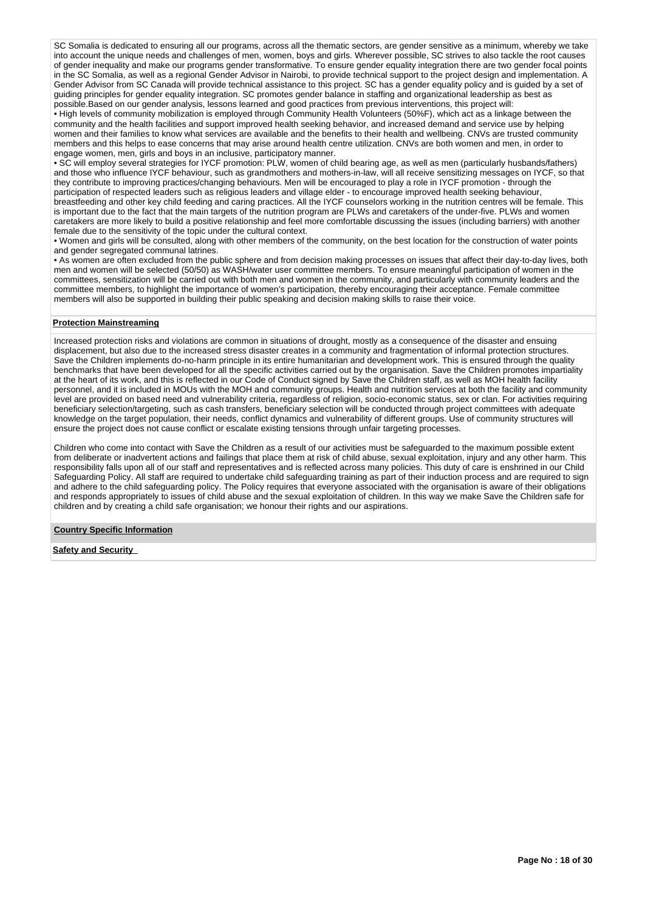SC Somalia is dedicated to ensuring all our programs, across all the thematic sectors, are gender sensitive as a minimum, whereby we take into account the unique needs and challenges of men, women, boys and girls. Wherever possible, SC strives to also tackle the root causes of gender inequality and make our programs gender transformative. To ensure gender equality integration there are two gender focal points in the SC Somalia, as well as a regional Gender Advisor in Nairobi, to provide technical support to the project design and implementation. A Gender Advisor from SC Canada will provide technical assistance to this project. SC has a gender equality policy and is guided by a set of guiding principles for gender equality integration. SC promotes gender balance in staffing and organizational leadership as best as possible.Based on our gender analysis, lessons learned and good practices from previous interventions, this project will:

• High levels of community mobilization is employed through Community Health Volunteers (50%F), which act as a linkage between the community and the health facilities and support improved health seeking behavior, and increased demand and service use by helping women and their families to know what services are available and the benefits to their health and wellbeing. CNVs are trusted community members and this helps to ease concerns that may arise around health centre utilization. CNVs are both women and men, in order to engage women, men, girls and boys in an inclusive, participatory manner.

• SC will employ several strategies for IYCF promotion: PLW, women of child bearing age, as well as men (particularly husbands/fathers) and those who influence IYCF behaviour, such as grandmothers and mothers-in-law, will all receive sensitizing messages on IYCF, so that they contribute to improving practices/changing behaviours. Men will be encouraged to play a role in IYCF promotion - through the participation of respected leaders such as religious leaders and village elder - to encourage improved health seeking behaviour, breastfeeding and other key child feeding and caring practices. All the IYCF counselors working in the nutrition centres will be female. This is important due to the fact that the main targets of the nutrition program are PLWs and caretakers of the under-five. PLWs and women caretakers are more likely to build a positive relationship and feel more comfortable discussing the issues (including barriers) with another female due to the sensitivity of the topic under the cultural context.

• Women and girls will be consulted, along with other members of the community, on the best location for the construction of water points and gender segregated communal latrines.

• As women are often excluded from the public sphere and from decision making processes on issues that affect their day-to-day lives, both men and women will be selected (50/50) as WASH/water user committee members. To ensure meaningful participation of women in the committees, sensitization will be carried out with both men and women in the community, and particularly with community leaders and the committee members, to highlight the importance of women's participation, thereby encouraging their acceptance. Female committee members will also be supported in building their public speaking and decision making skills to raise their voice.

#### **Protection Mainstreaming**

Increased protection risks and violations are common in situations of drought, mostly as a consequence of the disaster and ensuing displacement, but also due to the increased stress disaster creates in a community and fragmentation of informal protection structures. Save the Children implements do-no-harm principle in its entire humanitarian and development work. This is ensured through the quality benchmarks that have been developed for all the specific activities carried out by the organisation. Save the Children promotes impartiality at the heart of its work, and this is reflected in our Code of Conduct signed by Save the Children staff, as well as MOH health facility personnel, and it is included in MOUs with the MOH and community groups. Health and nutrition services at both the facility and community level are provided on based need and vulnerability criteria, regardless of religion, socio-economic status, sex or clan. For activities requiring beneficiary selection/targeting, such as cash transfers, beneficiary selection will be conducted through project committees with adequate knowledge on the target population, their needs, conflict dynamics and vulnerability of different groups. Use of community structures will ensure the project does not cause conflict or escalate existing tensions through unfair targeting processes.

Children who come into contact with Save the Children as a result of our activities must be safeguarded to the maximum possible extent from deliberate or inadvertent actions and failings that place them at risk of child abuse, sexual exploitation, injury and any other harm. This responsibility falls upon all of our staff and representatives and is reflected across many policies. This duty of care is enshrined in our Child Safeguarding Policy. All staff are required to undertake child safeguarding training as part of their induction process and are required to sign and adhere to the child safeguarding policy. The Policy requires that everyone associated with the organisation is aware of their obligations and responds appropriately to issues of child abuse and the sexual exploitation of children. In this way we make Save the Children safe for children and by creating a child safe organisation; we honour their rights and our aspirations.

#### **Country Specific Information**

**Safety and Security**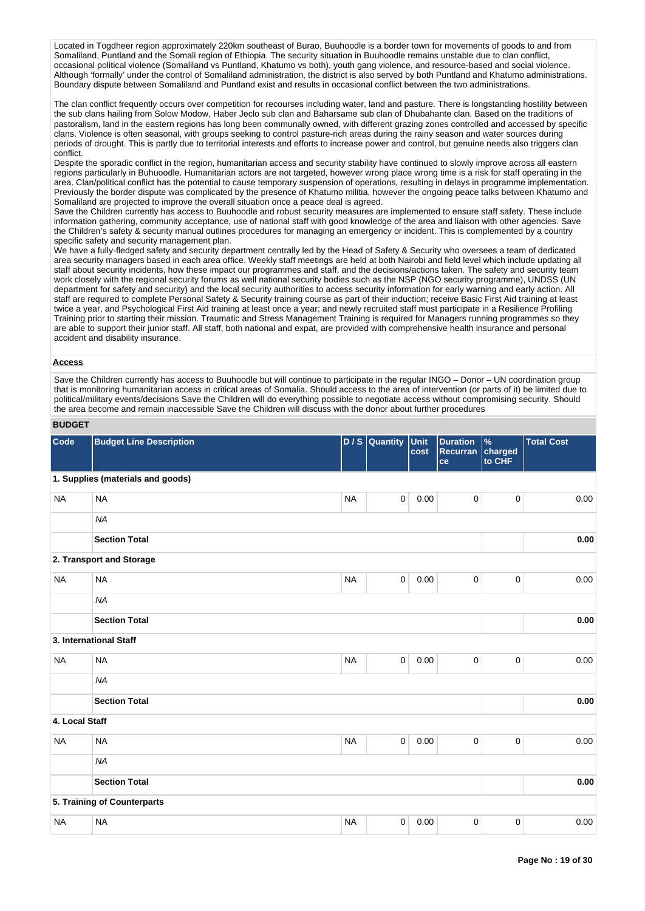Located in Togdheer region approximately 220km southeast of Burao, Buuhoodle is a border town for movements of goods to and from Somaliland, Puntland and the Somali region of Ethiopia. The security situation in Buuhoodle remains unstable due to clan conflict, occasional political violence (Somaliland vs Puntland, Khatumo vs both), youth gang violence, and resource-based and social violence. Although 'formally' under the control of Somaliland administration, the district is also served by both Puntland and Khatumo administrations. Boundary dispute between Somaliland and Puntland exist and results in occasional conflict between the two administrations.

The clan conflict frequently occurs over competition for recourses including water, land and pasture. There is longstanding hostility between the sub clans hailing from Solow Modow, Haber Jeclo sub clan and Baharsame sub clan of Dhubahante clan. Based on the traditions of pastoralism, land in the eastern regions has long been communally owned, with different grazing zones controlled and accessed by specific clans. Violence is often seasonal, with groups seeking to control pasture-rich areas during the rainy season and water sources during periods of drought. This is partly due to territorial interests and efforts to increase power and control, but genuine needs also triggers clan conflict.

Despite the sporadic conflict in the region, humanitarian access and security stability have continued to slowly improve across all eastern regions particularly in Buhuoodle. Humanitarian actors are not targeted, however wrong place wrong time is a risk for staff operating in the area. Clan/political conflict has the potential to cause temporary suspension of operations, resulting in delays in programme implementation. Previously the border dispute was complicated by the presence of Khatumo militia, however the ongoing peace talks between Khatumo and Somaliland are projected to improve the overall situation once a peace deal is agreed.

Save the Children currently has access to Buuhoodle and robust security measures are implemented to ensure staff safety. These include information gathering, community acceptance, use of national staff with good knowledge of the area and liaison with other agencies. Save the Children's safety & security manual outlines procedures for managing an emergency or incident. This is complemented by a country specific safety and security management plan.

We have a fully-fledged safety and security department centrally led by the Head of Safety & Security who oversees a team of dedicated area security managers based in each area office. Weekly staff meetings are held at both Nairobi and field level which include updating all staff about security incidents, how these impact our programmes and staff, and the decisions/actions taken. The safety and security team work closely with the regional security forums as well national security bodies such as the NSP (NGO security programme), UNDSS (UN department for safety and security) and the local security authorities to access security information for early warning and early action. All staff are required to complete Personal Safety & Security training course as part of their induction; receive Basic First Aid training at least twice a year, and Psychological First Aid training at least once a year; and newly recruited staff must participate in a Resilience Profiling Training prior to starting their mission. Traumatic and Stress Management Training is required for Managers running programmes so they are able to support their junior staff. All staff, both national and expat, are provided with comprehensive health insurance and personal accident and disability insurance.

#### **Access**

Save the Children currently has access to Buuhoodle but will continue to participate in the regular INGO – Donor – UN coordination group that is monitoring humanitarian access in critical areas of Somalia. Should access to the area of intervention (or parts of it) be limited due to political/military events/decisions Save the Children will do everything possible to negotiate access without compromising security. Should the area become and remain inaccessible Save the Children will discuss with the donor about further procedures

#### **BUDGET**

| Code           | <b>Budget Line Description</b>    |           | D / S Quantity Unit | cost | <b>Duration</b><br>Recurran<br>ce | $\%$<br>charged<br>to CHF | <b>Total Cost</b> |
|----------------|-----------------------------------|-----------|---------------------|------|-----------------------------------|---------------------------|-------------------|
|                | 1. Supplies (materials and goods) |           |                     |      |                                   |                           |                   |
| <b>NA</b>      | <b>NA</b>                         | <b>NA</b> | $\mathbf 0$         | 0.00 | $\mathsf{O}\xspace$               | $\pmb{0}$                 | 0.00              |
|                | <b>NA</b>                         |           |                     |      |                                   |                           |                   |
|                | <b>Section Total</b>              |           |                     |      |                                   |                           | 0.00              |
|                | 2. Transport and Storage          |           |                     |      |                                   |                           |                   |
| <b>NA</b>      | <b>NA</b>                         | <b>NA</b> | $\mathbf 0$         | 0.00 | $\pmb{0}$                         | $\mathbf 0$               | 0.00              |
|                | <b>NA</b>                         |           |                     |      |                                   |                           |                   |
|                | <b>Section Total</b>              |           |                     |      |                                   |                           | 0.00              |
|                | 3. International Staff            |           |                     |      |                                   |                           |                   |
| <b>NA</b>      | <b>NA</b>                         | <b>NA</b> | $\mathbf 0$         | 0.00 | $\mathsf{O}\xspace$               | $\pmb{0}$                 | 0.00              |
|                | <b>NA</b>                         |           |                     |      |                                   |                           |                   |
|                | <b>Section Total</b>              |           |                     |      |                                   |                           | 0.00              |
| 4. Local Staff |                                   |           |                     |      |                                   |                           |                   |
| <b>NA</b>      | <b>NA</b>                         | <b>NA</b> | $\pmb{0}$           | 0.00 | $\pmb{0}$                         | $\pmb{0}$                 | 0.00              |
|                | <b>NA</b>                         |           |                     |      |                                   |                           |                   |
|                | <b>Section Total</b>              |           |                     |      |                                   |                           | 0.00              |
|                | 5. Training of Counterparts       |           |                     |      |                                   |                           |                   |
| <b>NA</b>      | <b>NA</b>                         | <b>NA</b> | $\mathbf 0$         | 0.00 | $\pmb{0}$                         | $\pmb{0}$                 | 0.00              |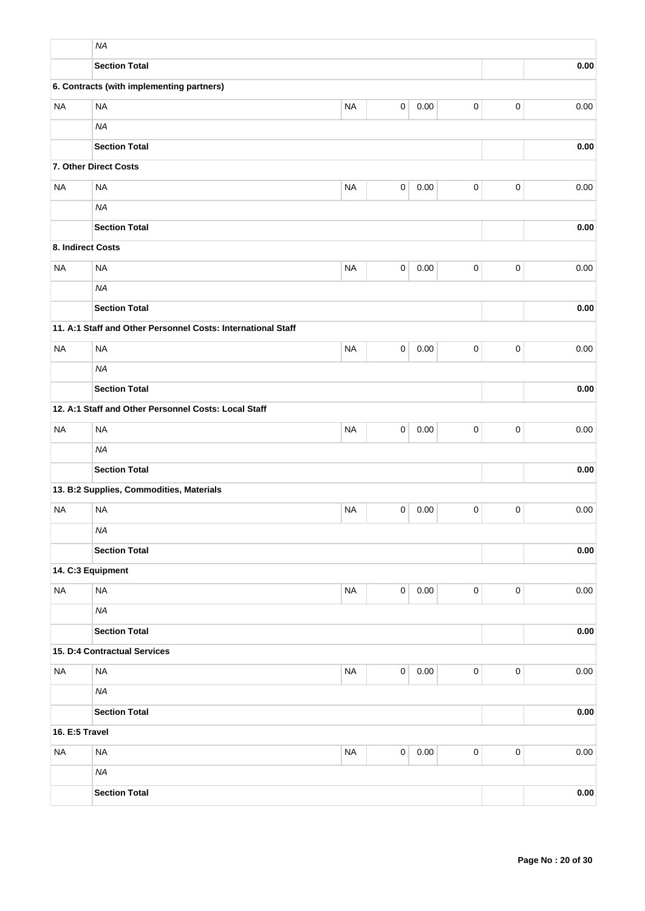|                   | <b>NA</b>                                                    |             |             |          |           |             |          |
|-------------------|--------------------------------------------------------------|-------------|-------------|----------|-----------|-------------|----------|
|                   | <b>Section Total</b>                                         |             |             |          |           |             | 0.00     |
|                   | 6. Contracts (with implementing partners)                    |             |             |          |           |             |          |
| <b>NA</b>         | <b>NA</b>                                                    | <b>NA</b>   | 0           | 0.00     | $\pmb{0}$ | $\pmb{0}$   | 0.00     |
|                   | <b>NA</b>                                                    |             |             |          |           |             |          |
|                   | <b>Section Total</b>                                         |             |             |          |           |             | 0.00     |
|                   | 7. Other Direct Costs                                        |             |             |          |           |             |          |
| <b>NA</b>         | <b>NA</b>                                                    | <b>NA</b>   | $\pmb{0}$   | 0.00     | $\pmb{0}$ | $\pmb{0}$   | 0.00     |
|                   | <b>NA</b>                                                    |             |             |          |           |             |          |
|                   | <b>Section Total</b>                                         |             |             |          |           |             | 0.00     |
| 8. Indirect Costs |                                                              |             |             |          |           |             |          |
| <b>NA</b>         | <b>NA</b>                                                    | <b>NA</b>   | 0           | 0.00     | $\pmb{0}$ | $\mathbf 0$ | 0.00     |
|                   | <b>NA</b>                                                    |             |             |          |           |             |          |
|                   | <b>Section Total</b>                                         |             |             | 0.00     |           |             |          |
|                   | 11. A:1 Staff and Other Personnel Costs: International Staff |             |             |          |           |             |          |
| <b>NA</b>         | <b>NA</b>                                                    | $\mathbf 0$ | 0.00        |          |           |             |          |
|                   | <b>NA</b>                                                    |             |             |          |           |             |          |
|                   | <b>Section Total</b>                                         |             |             | 0.00     |           |             |          |
|                   | 12. A:1 Staff and Other Personnel Costs: Local Staff         |             |             |          |           |             |          |
| <b>NA</b>         | <b>NA</b>                                                    | $\pmb{0}$   | $\pmb{0}$   | 0.00     |           |             |          |
|                   | <b>NA</b>                                                    |             |             |          |           |             |          |
|                   | <b>Section Total</b>                                         |             |             |          |           |             | 0.00     |
|                   | 13. B:2 Supplies, Commodities, Materials                     |             |             |          |           |             |          |
| <b>NA</b>         | <b>NA</b>                                                    | <b>NA</b>   | 0           | 0.00     | 0         | $\mathbf 0$ | 0.00     |
|                   | <b>NA</b>                                                    |             |             |          |           |             |          |
|                   | <b>Section Total</b>                                         |             |             |          |           |             | 0.00     |
|                   | 14. C:3 Equipment                                            |             |             |          |           |             |          |
| <b>NA</b>         | <b>NA</b>                                                    | <b>NA</b>   | $\mathsf 0$ | 0.00     | $\pmb{0}$ | $\pmb{0}$   | 0.00     |
|                   | <b>NA</b>                                                    |             |             |          |           |             |          |
|                   | <b>Section Total</b>                                         |             |             |          |           |             | 0.00     |
|                   | 15. D:4 Contractual Services                                 |             |             |          |           |             |          |
| <b>NA</b>         | <b>NA</b>                                                    | <b>NA</b>   | $\mathsf 0$ | $0.00\,$ | $\pmb{0}$ | $\mathbf 0$ | $0.00\,$ |
|                   | <b>NA</b>                                                    |             |             |          |           |             |          |
|                   | <b>Section Total</b>                                         |             |             |          |           |             | 0.00     |
| 16. E:5 Travel    |                                                              |             |             |          |           |             |          |
| <b>NA</b>         | <b>NA</b>                                                    | <b>NA</b>   | $\mathsf 0$ | 0.00     | $\pmb{0}$ | $\pmb{0}$   | $0.00\,$ |
|                   | <b>NA</b>                                                    |             |             |          |           |             |          |
|                   | <b>Section Total</b>                                         |             |             |          |           |             | 0.00     |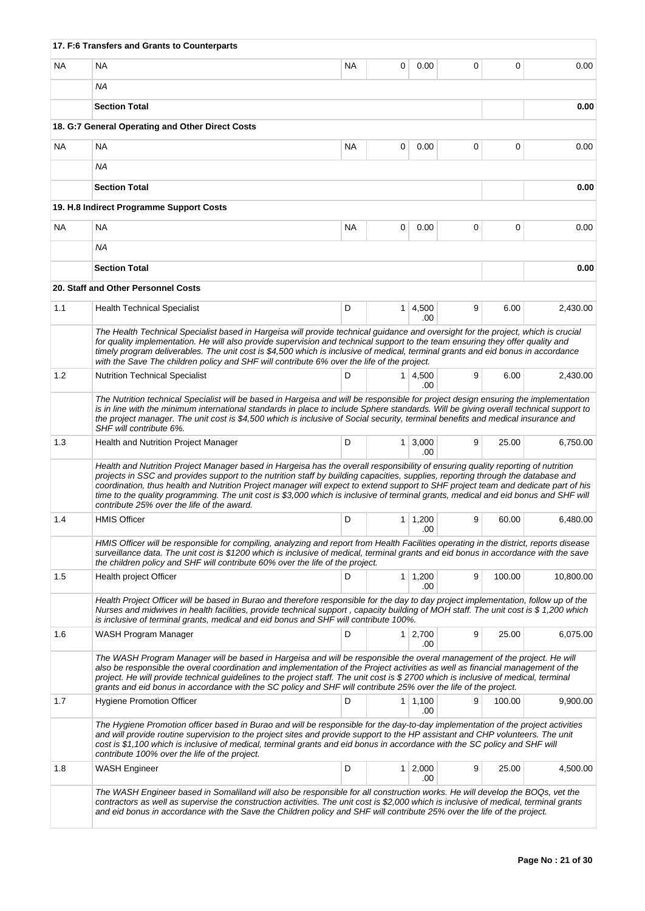|     | 17. F:6 Transfers and Grants to Counterparts                                                                                                                                                                                                                                                                                                                                                                                                                                                                                                                                                    |           |                |                        |   |        |           |
|-----|-------------------------------------------------------------------------------------------------------------------------------------------------------------------------------------------------------------------------------------------------------------------------------------------------------------------------------------------------------------------------------------------------------------------------------------------------------------------------------------------------------------------------------------------------------------------------------------------------|-----------|----------------|------------------------|---|--------|-----------|
| NA  | NA                                                                                                                                                                                                                                                                                                                                                                                                                                                                                                                                                                                              | <b>NA</b> | 0              | 0.00                   | 0 | 0      | 0.00      |
|     | ΝA                                                                                                                                                                                                                                                                                                                                                                                                                                                                                                                                                                                              |           |                |                        |   |        |           |
|     | <b>Section Total</b>                                                                                                                                                                                                                                                                                                                                                                                                                                                                                                                                                                            |           |                |                        |   |        | 0.00      |
|     | 18. G:7 General Operating and Other Direct Costs                                                                                                                                                                                                                                                                                                                                                                                                                                                                                                                                                |           |                |                        |   |        |           |
| NA. | NA                                                                                                                                                                                                                                                                                                                                                                                                                                                                                                                                                                                              | <b>NA</b> | 0              | 0.00                   | 0 | 0      | 0.00      |
|     | <b>NA</b>                                                                                                                                                                                                                                                                                                                                                                                                                                                                                                                                                                                       |           |                |                        |   |        |           |
|     | <b>Section Total</b>                                                                                                                                                                                                                                                                                                                                                                                                                                                                                                                                                                            |           |                |                        |   |        | 0.00      |
|     | 19. H.8 Indirect Programme Support Costs                                                                                                                                                                                                                                                                                                                                                                                                                                                                                                                                                        |           |                |                        |   |        |           |
| NA  | NA                                                                                                                                                                                                                                                                                                                                                                                                                                                                                                                                                                                              | <b>NA</b> | 0              | 0.00                   | 0 | 0      | 0.00      |
|     | ΝA                                                                                                                                                                                                                                                                                                                                                                                                                                                                                                                                                                                              |           |                |                        |   |        |           |
|     | <b>Section Total</b>                                                                                                                                                                                                                                                                                                                                                                                                                                                                                                                                                                            |           |                |                        |   |        | 0.00      |
|     | 20. Staff and Other Personnel Costs                                                                                                                                                                                                                                                                                                                                                                                                                                                                                                                                                             |           |                |                        |   |        |           |
| 1.1 | <b>Health Technical Specialist</b>                                                                                                                                                                                                                                                                                                                                                                                                                                                                                                                                                              | D         |                | $1 \, 4,500$<br>.00    | 9 | 6.00   | 2,430.00  |
|     | The Health Technical Specialist based in Hargeisa will provide technical guidance and oversight for the project, which is crucial<br>for quality implementation. He will also provide supervision and technical support to the team ensuring they offer quality and<br>timely program deliverables. The unit cost is \$4,500 which is inclusive of medical, terminal grants and eid bonus in accordance<br>with the Save The children policy and SHF will contribute 6% over the life of the project.                                                                                           |           |                |                        |   |        |           |
| 1.2 | <b>Nutrition Technical Specialist</b>                                                                                                                                                                                                                                                                                                                                                                                                                                                                                                                                                           | D         |                | $1 \mid 4,500$<br>.00  | 9 | 6.00   | 2,430.00  |
|     | The Nutrition technical Specialist will be based in Hargeisa and will be responsible for project design ensuring the implementation<br>is in line with the minimum international standards in place to include Sphere standards. Will be giving overall technical support to<br>the project manager. The unit cost is \$4,500 which is inclusive of Social security, terminal benefits and medical insurance and<br>SHF will contribute 6%.                                                                                                                                                     |           |                |                        |   |        |           |
| 1.3 | Health and Nutrition Project Manager                                                                                                                                                                                                                                                                                                                                                                                                                                                                                                                                                            | D         | 1 <sup>1</sup> | 3,000<br>.00           | 9 | 25.00  | 6,750.00  |
|     | Health and Nutrition Project Manager based in Hargeisa has the overall responsibility of ensuring quality reporting of nutrition<br>projects in SSC and provides support to the nutrition staff by building capacities, supplies, reporting through the database and<br>coordination, thus health and Nutrition Project manager will expect to extend support to SHF project team and dedicate part of his<br>time to the quality programming. The unit cost is \$3,000 which is inclusive of terminal grants, medical and eid bonus and SHF will<br>contribute 25% over the life of the award. |           |                |                        |   |        |           |
| 1.4 | <b>HMIS Officer</b>                                                                                                                                                                                                                                                                                                                                                                                                                                                                                                                                                                             | D         | 1 <sup>1</sup> | 1,200<br>.00           | 9 | 60.00  | 6,480.00  |
|     | HMIS Officer will be responsible for compiling, analyzing and report from Health Facilities operating in the district, reports disease<br>surveillance data. The unit cost is \$1200 which is inclusive of medical, terminal grants and eid bonus in accordance with the save<br>the children policy and SHF will contribute 60% over the life of the project.                                                                                                                                                                                                                                  |           |                |                        |   |        |           |
| 1.5 | Health project Officer                                                                                                                                                                                                                                                                                                                                                                                                                                                                                                                                                                          | D         |                | $1 \mid 1,200$<br>.00  | 9 | 100.00 | 10,800.00 |
|     | Health Project Officer will be based in Burao and therefore responsible for the day to day project implementation, follow up of the<br>Nurses and midwives in health facilities, provide technical support, capacity building of MOH staff. The unit cost is \$ 1,200 which<br>is inclusive of terminal grants, medical and eid bonus and SHF will contribute 100%.                                                                                                                                                                                                                             |           |                |                        |   |        |           |
| 1.6 | WASH Program Manager                                                                                                                                                                                                                                                                                                                                                                                                                                                                                                                                                                            | D         |                | $1 \mid 2,700$<br>.00  | 9 | 25.00  | 6,075.00  |
|     | The WASH Program Manager will be based in Hargeisa and will be responsible the overal management of the project. He will<br>also be responsible the overal coordination and implementation of the Project activities as well as financial management of the<br>project. He will provide technical guidelines to the project staff. The unit cost is \$2700 which is inclusive of medical, terminal<br>grants and eid bonus in accordance with the SC policy and SHF will contribute 25% over the life of the project.                                                                           |           |                |                        |   |        |           |
| 1.7 | <b>Hygiene Promotion Officer</b>                                                                                                                                                                                                                                                                                                                                                                                                                                                                                                                                                                | D         |                | $1 \mid 1,100$<br>.00  | 9 | 100.00 | 9,900.00  |
|     | The Hygiene Promotion officer based in Burao and will be responsible for the day-to-day implementation of the project activities<br>and will provide routine supervision to the project sites and provide support to the HP assistant and CHP volunteers. The unit<br>cost is \$1,100 which is inclusive of medical, terminal grants and eid bonus in accordance with the SC policy and SHF will<br>contribute 100% over the life of the project.                                                                                                                                               |           |                |                        |   |        |           |
| 1.8 | <b>WASH Engineer</b>                                                                                                                                                                                                                                                                                                                                                                                                                                                                                                                                                                            | D         |                | $1 \quad 2,000$<br>.00 | 9 | 25.00  | 4,500.00  |
|     | The WASH Engineer based in Somaliland will also be responsible for all construction works. He will develop the BOQs, vet the<br>contractors as well as supervise the construction activities. The unit cost is \$2,000 which is inclusive of medical, terminal grants<br>and eid bonus in accordance with the Save the Children policy and SHF will contribute 25% over the life of the project.                                                                                                                                                                                                |           |                |                        |   |        |           |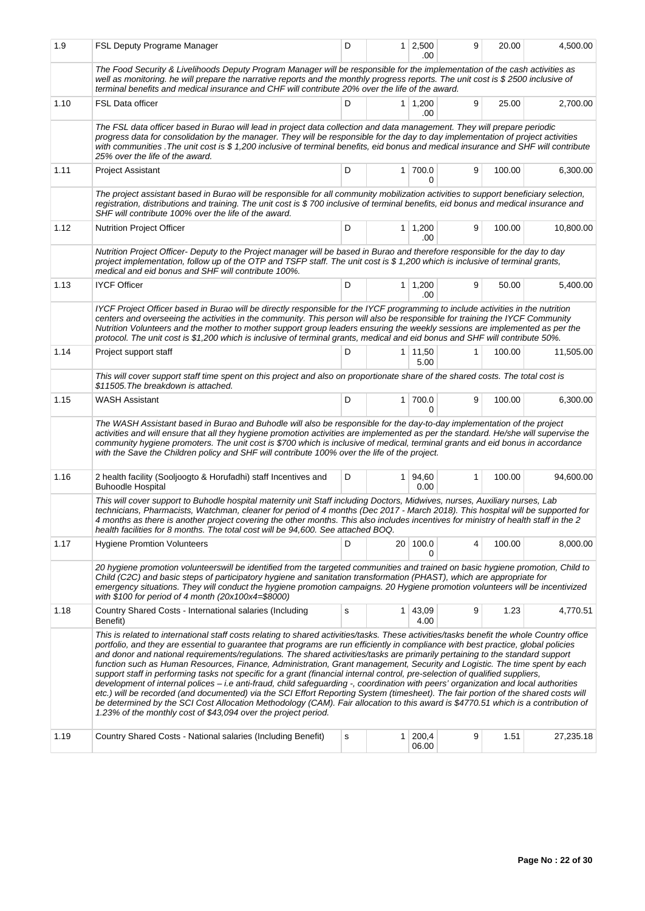| 1.9  | FSL Deputy Programe Manager                                                                                                                                                                                                                                                                                                                                                                                                                                                                                                                                                                                                                                                                                                                                                                                                                                                                                                                                                                                                                                                                                                                                         | D                                                    |                | $1 \ 2,500$<br>.00     | 9 | 20.00  | 4,500.00  |  |  |  |  |
|------|---------------------------------------------------------------------------------------------------------------------------------------------------------------------------------------------------------------------------------------------------------------------------------------------------------------------------------------------------------------------------------------------------------------------------------------------------------------------------------------------------------------------------------------------------------------------------------------------------------------------------------------------------------------------------------------------------------------------------------------------------------------------------------------------------------------------------------------------------------------------------------------------------------------------------------------------------------------------------------------------------------------------------------------------------------------------------------------------------------------------------------------------------------------------|------------------------------------------------------|----------------|------------------------|---|--------|-----------|--|--|--|--|
|      | The Food Security & Livelihoods Deputy Program Manager will be responsible for the implementation of the cash activities as<br>well as monitoring. he will prepare the narrative reports and the monthly progress reports. The unit cost is \$2500 inclusive of<br>terminal benefits and medical insurance and CHF will contribute 20% over the life of the award.                                                                                                                                                                                                                                                                                                                                                                                                                                                                                                                                                                                                                                                                                                                                                                                                  |                                                      |                |                        |   |        |           |  |  |  |  |
| 1.10 | <b>FSL Data officer</b>                                                                                                                                                                                                                                                                                                                                                                                                                                                                                                                                                                                                                                                                                                                                                                                                                                                                                                                                                                                                                                                                                                                                             | D                                                    |                | $1 \mid 1,200$<br>.00  | 9 | 25.00  | 2,700.00  |  |  |  |  |
|      | The FSL data officer based in Burao will lead in project data collection and data management. They will prepare periodic<br>progress data for consolidation by the manager. They will be responsible for the day to day implementation of project activities<br>with communities . The unit cost is \$1,200 inclusive of terminal benefits, eid bonus and medical insurance and SHF will contribute<br>25% over the life of the award.                                                                                                                                                                                                                                                                                                                                                                                                                                                                                                                                                                                                                                                                                                                              |                                                      |                |                        |   |        |           |  |  |  |  |
| 1.11 | <b>Project Assistant</b>                                                                                                                                                                                                                                                                                                                                                                                                                                                                                                                                                                                                                                                                                                                                                                                                                                                                                                                                                                                                                                                                                                                                            | D                                                    |                | 1 700.0<br>0           | 9 | 100.00 | 6,300.00  |  |  |  |  |
|      | The project assistant based in Burao will be responsible for all community mobilization activities to support beneficiary selection,<br>registration, distributions and training. The unit cost is \$700 inclusive of terminal benefits, eid bonus and medical insurance and<br>SHF will contribute 100% over the life of the award.                                                                                                                                                                                                                                                                                                                                                                                                                                                                                                                                                                                                                                                                                                                                                                                                                                |                                                      |                |                        |   |        |           |  |  |  |  |
| 1.12 | <b>Nutrition Project Officer</b>                                                                                                                                                                                                                                                                                                                                                                                                                                                                                                                                                                                                                                                                                                                                                                                                                                                                                                                                                                                                                                                                                                                                    | D                                                    |                | 1 1,200<br>.00         | 9 | 100.00 | 10,800.00 |  |  |  |  |
|      | Nutrition Project Officer- Deputy to the Project manager will be based in Burao and therefore responsible for the day to day<br>project implementation, follow up of the OTP and TSFP staff. The unit cost is \$1,200 which is inclusive of terminal grants,<br>medical and eid bonus and SHF will contribute 100%.                                                                                                                                                                                                                                                                                                                                                                                                                                                                                                                                                                                                                                                                                                                                                                                                                                                 |                                                      |                |                        |   |        |           |  |  |  |  |
| 1.13 | <b>IYCF Officer</b>                                                                                                                                                                                                                                                                                                                                                                                                                                                                                                                                                                                                                                                                                                                                                                                                                                                                                                                                                                                                                                                                                                                                                 | D<br>$1 \mid 1,200$<br>9<br>50.00<br>5,400.00<br>.00 |                |                        |   |        |           |  |  |  |  |
|      | IYCF Project Officer based in Burao will be directly responsible for the IYCF programming to include activities in the nutrition<br>centers and overseeing the activities in the community. This person will also be responsible for training the IYCF Community<br>Nutrition Volunteers and the mother to mother support group leaders ensuring the weekly sessions are implemented as per the<br>protocol. The unit cost is \$1,200 which is inclusive of terminal grants, medical and eid bonus and SHF will contribute 50%.                                                                                                                                                                                                                                                                                                                                                                                                                                                                                                                                                                                                                                     |                                                      |                |                        |   |        |           |  |  |  |  |
| 1.14 | Project support staff                                                                                                                                                                                                                                                                                                                                                                                                                                                                                                                                                                                                                                                                                                                                                                                                                                                                                                                                                                                                                                                                                                                                               | D                                                    |                | $1 \mid 11,50$<br>5.00 | 1 | 100.00 | 11,505.00 |  |  |  |  |
|      | This will cover support staff time spent on this project and also on proportionate share of the shared costs. The total cost is<br>\$11505. The breakdown is attached.                                                                                                                                                                                                                                                                                                                                                                                                                                                                                                                                                                                                                                                                                                                                                                                                                                                                                                                                                                                              |                                                      |                |                        |   |        |           |  |  |  |  |
| 1.15 | <b>WASH Assistant</b>                                                                                                                                                                                                                                                                                                                                                                                                                                                                                                                                                                                                                                                                                                                                                                                                                                                                                                                                                                                                                                                                                                                                               | D                                                    |                | 1 700.0<br>0           | 9 | 100.00 | 6,300.00  |  |  |  |  |
|      | The WASH Assistant based in Burao and Buhodle will also be responsible for the day-to-day implementation of the project<br>activities and will ensure that all they hygiene promotion activities are implemented as per the standard. He/she will supervise the<br>community hygiene promoters. The unit cost is \$700 which is inclusive of medical, terminal grants and eid bonus in accordance<br>with the Save the Children policy and SHF will contribute 100% over the life of the project.                                                                                                                                                                                                                                                                                                                                                                                                                                                                                                                                                                                                                                                                   |                                                      |                |                        |   |        |           |  |  |  |  |
| 1.16 | 2 health facility (Sooljoogto & Horufadhi) staff Incentives and<br><b>Buhoodle Hospital</b>                                                                                                                                                                                                                                                                                                                                                                                                                                                                                                                                                                                                                                                                                                                                                                                                                                                                                                                                                                                                                                                                         | D                                                    |                | 1 94,60<br>0.00        | 1 | 100.00 | 94,600.00 |  |  |  |  |
|      | This will cover support to Buhodle hospital maternity unit Staff including Doctors, Midwives, nurses, Auxiliary nurses, Lab<br>technicians, Pharmacists, Watchman, cleaner for period of 4 months (Dec 2017 - March 2018). This hospital will be supported for<br>4 months as there is another project covering the other months. This also includes incentives for ministry of health staff in the 2<br>health facilities for 8 months. The total cost will be 94,600. See attached BOQ.                                                                                                                                                                                                                                                                                                                                                                                                                                                                                                                                                                                                                                                                           |                                                      |                |                        |   |        |           |  |  |  |  |
| 1.17 | <b>Hygiene Promtion Volunteers</b>                                                                                                                                                                                                                                                                                                                                                                                                                                                                                                                                                                                                                                                                                                                                                                                                                                                                                                                                                                                                                                                                                                                                  | D                                                    |                | 20 100.0               | 4 | 100.00 | 8,000.00  |  |  |  |  |
|      | 20 hygiene promotion volunteerswill be identified from the targeted communities and trained on basic hygiene promotion, Child to<br>Child (C2C) and basic steps of participatory hygiene and sanitation transformation (PHAST), which are appropriate for<br>emergency situations. They will conduct the hygiene promotion campaigns. 20 Hygiene promotion volunteers will be incentivized<br>with \$100 for period of 4 month (20x100x4=\$8000)                                                                                                                                                                                                                                                                                                                                                                                                                                                                                                                                                                                                                                                                                                                    |                                                      |                |                        |   |        |           |  |  |  |  |
| 1.18 | Country Shared Costs - International salaries (Including<br>Benefit)                                                                                                                                                                                                                                                                                                                                                                                                                                                                                                                                                                                                                                                                                                                                                                                                                                                                                                                                                                                                                                                                                                | s                                                    |                | $1 \mid 43,09$<br>4.00 | 9 | 1.23   | 4,770.51  |  |  |  |  |
|      | This is related to international staff costs relating to shared activities/tasks. These activities/tasks benefit the whole Country office<br>portfolio, and they are essential to guarantee that programs are run efficiently in compliance with best practice, global policies<br>and donor and national requirements/regulations. The shared activities/tasks are primarily pertaining to the standard support<br>function such as Human Resources, Finance, Administration, Grant management, Security and Logistic. The time spent by each<br>support staff in performing tasks not specific for a grant (financial internal control, pre-selection of qualified suppliers,<br>development of internal polices – i.e anti-fraud, child safeguarding -, coordination with peers' organization and local authorities<br>etc.) will be recorded (and documented) via the SCI Effort Reporting System (timesheet). The fair portion of the shared costs will<br>be determined by the SCI Cost Allocation Methodology (CAM). Fair allocation to this award is \$4770.51 which is a contribution of<br>1.23% of the monthly cost of \$43,094 over the project period. |                                                      |                |                        |   |        |           |  |  |  |  |
| 1.19 | Country Shared Costs - National salaries (Including Benefit)                                                                                                                                                                                                                                                                                                                                                                                                                                                                                                                                                                                                                                                                                                                                                                                                                                                                                                                                                                                                                                                                                                        | s                                                    | 1 <sup>1</sup> | 200,4<br>06.00         | 9 | 1.51   | 27,235.18 |  |  |  |  |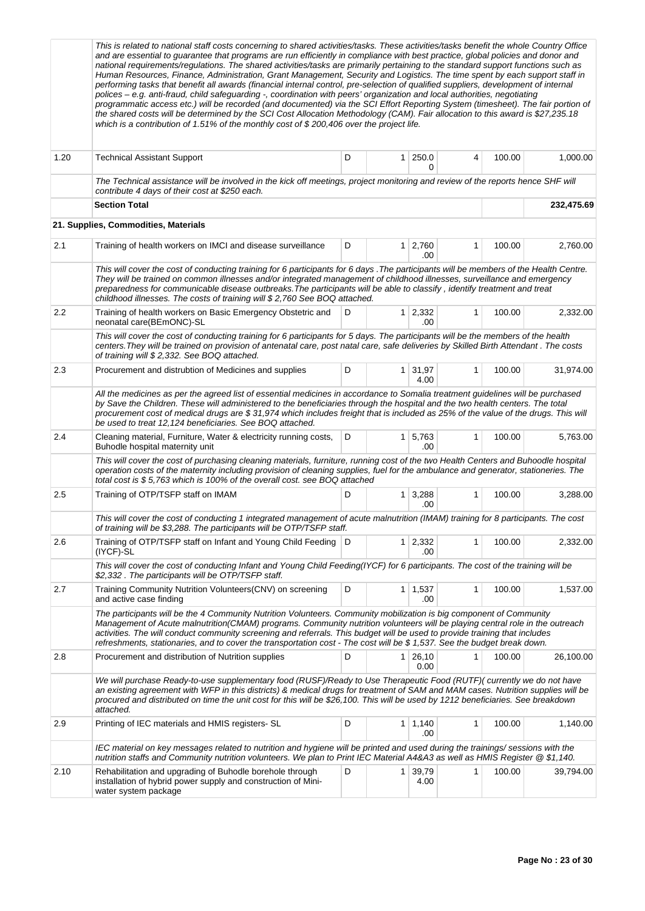|      | This is related to national staff costs concerning to shared activities/tasks. These activities/tasks benefit the whole Country Office<br>and are essential to guarantee that programs are run efficiently in compliance with best practice, global policies and donor and<br>national requirements/regulations. The shared activities/tasks are primarily pertaining to the standard support functions such as<br>Human Resources, Finance, Administration, Grant Management, Security and Logistics. The time spent by each support staff in<br>performing tasks that benefit all awards (financial internal control, pre-selection of qualified suppliers, development of internal<br>polices - e.g. anti-fraud, child safeguarding -, coordination with peers' organization and local authorities, negotiating<br>programmatic access etc.) will be recorded (and documented) via the SCI Effort Reporting System (timesheet). The fair portion of<br>the shared costs will be determined by the SCI Cost Allocation Methodology (CAM). Fair allocation to this award is \$27,235.18<br>which is a contribution of 1.51% of the monthly cost of $$200,406$ over the project life. |   |                |                       |              |        |            |
|------|---------------------------------------------------------------------------------------------------------------------------------------------------------------------------------------------------------------------------------------------------------------------------------------------------------------------------------------------------------------------------------------------------------------------------------------------------------------------------------------------------------------------------------------------------------------------------------------------------------------------------------------------------------------------------------------------------------------------------------------------------------------------------------------------------------------------------------------------------------------------------------------------------------------------------------------------------------------------------------------------------------------------------------------------------------------------------------------------------------------------------------------------------------------------------------------|---|----------------|-----------------------|--------------|--------|------------|
| 1.20 | <b>Technical Assistant Support</b>                                                                                                                                                                                                                                                                                                                                                                                                                                                                                                                                                                                                                                                                                                                                                                                                                                                                                                                                                                                                                                                                                                                                                    | D | 1.             | 250.0<br>0            | 4            | 100.00 | 1,000.00   |
|      | The Technical assistance will be involved in the kick off meetings, project monitoring and review of the reports hence SHF will<br>contribute 4 days of their cost at \$250 each.                                                                                                                                                                                                                                                                                                                                                                                                                                                                                                                                                                                                                                                                                                                                                                                                                                                                                                                                                                                                     |   |                |                       |              |        |            |
|      | <b>Section Total</b>                                                                                                                                                                                                                                                                                                                                                                                                                                                                                                                                                                                                                                                                                                                                                                                                                                                                                                                                                                                                                                                                                                                                                                  |   |                |                       |              |        | 232,475.69 |
|      | 21. Supplies, Commodities, Materials                                                                                                                                                                                                                                                                                                                                                                                                                                                                                                                                                                                                                                                                                                                                                                                                                                                                                                                                                                                                                                                                                                                                                  |   |                |                       |              |        |            |
| 2.1  | Training of health workers on IMCI and disease surveillance                                                                                                                                                                                                                                                                                                                                                                                                                                                                                                                                                                                                                                                                                                                                                                                                                                                                                                                                                                                                                                                                                                                           | D |                | $1 \mid 2,760$<br>.00 | 1            | 100.00 | 2,760.00   |
|      | This will cover the cost of conducting training for 6 participants for 6 days . The participants will be members of the Health Centre.<br>They will be trained on common illnesses and/or integrated management of childhood illnesses, surveillance and emergency<br>preparedness for communicable disease outbreaks. The participants will be able to classify, identify treatment and treat<br>childhood illnesses. The costs of training will \$2,760 See BOQ attached.                                                                                                                                                                                                                                                                                                                                                                                                                                                                                                                                                                                                                                                                                                           |   |                |                       |              |        |            |
| 2.2  | Training of health workers on Basic Emergency Obstetric and<br>neonatal care(BEmONC)-SL                                                                                                                                                                                                                                                                                                                                                                                                                                                                                                                                                                                                                                                                                                                                                                                                                                                                                                                                                                                                                                                                                               | D | $\mathbf{1}$   | 2,332<br>.00          | $\mathbf{1}$ | 100.00 | 2,332.00   |
|      | This will cover the cost of conducting training for 6 participants for 5 days. The participants will be the members of the health<br>centers. They will be trained on provision of antenatal care, post natal care, safe deliveries by Skilled Birth Attendant. The costs<br>of training will \$2,332. See BOQ attached.                                                                                                                                                                                                                                                                                                                                                                                                                                                                                                                                                                                                                                                                                                                                                                                                                                                              |   |                |                       |              |        |            |
| 2.3  | Procurement and distrubtion of Medicines and supplies                                                                                                                                                                                                                                                                                                                                                                                                                                                                                                                                                                                                                                                                                                                                                                                                                                                                                                                                                                                                                                                                                                                                 | D | 1 <sup>1</sup> | 31,97<br>4.00         | 1            | 100.00 | 31,974.00  |
|      | All the medicines as per the agreed list of essential medicines in accordance to Somalia treatment guidelines will be purchased<br>by Save the Children. These will administered to the beneficiaries through the hospital and the two health centers. The total<br>procurement cost of medical drugs are \$31,974 which includes freight that is included as 25% of the value of the drugs. This will<br>be used to treat 12,124 beneficiaries. See BOQ attached.                                                                                                                                                                                                                                                                                                                                                                                                                                                                                                                                                                                                                                                                                                                    |   |                |                       |              |        |            |
| 2.4  | Cleaning material, Furniture, Water & electricity running costs,<br>Buhodle hospital maternity unit                                                                                                                                                                                                                                                                                                                                                                                                                                                                                                                                                                                                                                                                                                                                                                                                                                                                                                                                                                                                                                                                                   | D |                | $1 \mid 5,763$<br>.00 | $\mathbf{1}$ | 100.00 | 5,763.00   |
|      | This will cover the cost of purchasing cleaning materials, furniture, running cost of the two Health Centers and Buhoodle hospital<br>operation costs of the maternity including provision of cleaning supplies, fuel for the ambulance and generator, stationeries. The<br>total cost is \$5,763 which is 100% of the overall cost. see BOQ attached                                                                                                                                                                                                                                                                                                                                                                                                                                                                                                                                                                                                                                                                                                                                                                                                                                 |   |                |                       |              |        |            |
| 2.5  | Training of OTP/TSFP staff on IMAM                                                                                                                                                                                                                                                                                                                                                                                                                                                                                                                                                                                                                                                                                                                                                                                                                                                                                                                                                                                                                                                                                                                                                    | D | 1              | 3,288<br>.00          | $\mathbf{1}$ | 100.00 | 3,288.00   |
|      | This will cover the cost of conducting 1 integrated management of acute malnutrition (IMAM) training for 8 participants. The cost<br>of training will be \$3,288. The participants will be OTP/TSFP staff.                                                                                                                                                                                                                                                                                                                                                                                                                                                                                                                                                                                                                                                                                                                                                                                                                                                                                                                                                                            |   |                |                       |              |        |            |
| 2.6  | Training of OTP/TSFP staff on Infant and Young Child Feeding   D<br>(IYCF)-SL                                                                                                                                                                                                                                                                                                                                                                                                                                                                                                                                                                                                                                                                                                                                                                                                                                                                                                                                                                                                                                                                                                         |   | 1 <sup>1</sup> | 2,332<br>.00          | 1            | 100.00 | 2,332.00   |
|      | This will cover the cost of conducting Infant and Young Child Feeding(IYCF) for 6 participants. The cost of the training will be<br>\$2,332. The participants will be OTP/TSFP staff.                                                                                                                                                                                                                                                                                                                                                                                                                                                                                                                                                                                                                                                                                                                                                                                                                                                                                                                                                                                                 |   |                |                       |              |        |            |
| 2.7  | Training Community Nutrition Volunteers (CNV) on screening<br>and active case finding                                                                                                                                                                                                                                                                                                                                                                                                                                                                                                                                                                                                                                                                                                                                                                                                                                                                                                                                                                                                                                                                                                 | D |                | $1 \mid 1,537$<br>.00 | 1            | 100.00 | 1,537.00   |
|      | The participants will be the 4 Community Nutrition Volunteers. Community mobilization is big component of Community<br>Management of Acute malnutrition(CMAM) programs. Community nutrition volunteers will be playing central role in the outreach<br>activities. The will conduct community screening and referrals. This budget will be used to provide training that includes<br>refreshments, stationaries, and to cover the transportation cost - The cost will be \$1,537. See the budget break down.                                                                                                                                                                                                                                                                                                                                                                                                                                                                                                                                                                                                                                                                          |   |                |                       |              |        |            |
| 2.8  | Procurement and distribution of Nutrition supplies                                                                                                                                                                                                                                                                                                                                                                                                                                                                                                                                                                                                                                                                                                                                                                                                                                                                                                                                                                                                                                                                                                                                    | D | $\mathbf{1}$   | 26,10<br>0.00         | 1            | 100.00 | 26,100.00  |
|      | We will purchase Ready-to-use supplementary food (RUSF)/Ready to Use Therapeutic Food (RUTF)( currently we do not have<br>an existing agreement with WFP in this districts) & medical drugs for treatment of SAM and MAM cases. Nutrition supplies will be<br>procured and distributed on time the unit cost for this will be \$26,100. This will be used by 1212 beneficiaries. See breakdown<br>attached.                                                                                                                                                                                                                                                                                                                                                                                                                                                                                                                                                                                                                                                                                                                                                                           |   |                |                       |              |        |            |
| 2.9  | Printing of IEC materials and HMIS registers- SL                                                                                                                                                                                                                                                                                                                                                                                                                                                                                                                                                                                                                                                                                                                                                                                                                                                                                                                                                                                                                                                                                                                                      | D |                | $1 \mid 1,140$<br>.00 | 1            | 100.00 | 1,140.00   |
|      | IEC material on key messages related to nutrition and hygiene will be printed and used during the trainings/ sessions with the<br>nutrition staffs and Community nutrition volunteers. We plan to Print IEC Material A4&A3 as well as HMIS Register @ \$1,140.                                                                                                                                                                                                                                                                                                                                                                                                                                                                                                                                                                                                                                                                                                                                                                                                                                                                                                                        |   |                |                       |              |        |            |
| 2.10 | Rehabilitation and upgrading of Buhodle borehole through<br>installation of hybrid power supply and construction of Mini-<br>water system package                                                                                                                                                                                                                                                                                                                                                                                                                                                                                                                                                                                                                                                                                                                                                                                                                                                                                                                                                                                                                                     | D |                | 1 39,79<br>4.00       | 1            | 100.00 | 39,794.00  |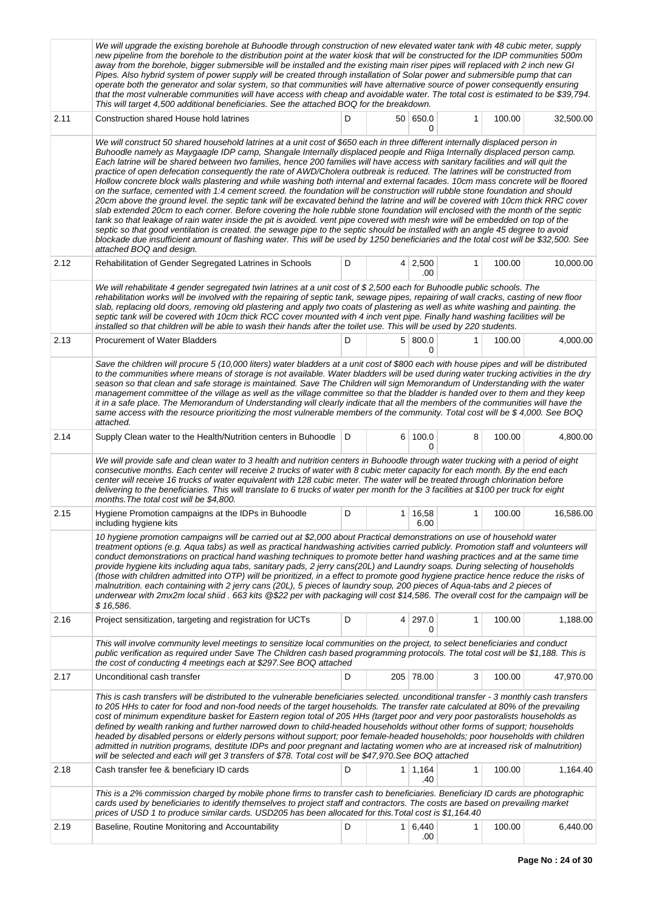|      | We will upgrade the existing borehole at Buhoodle through construction of new elevated water tank with 48 cubic meter, supply<br>new pipeline from the borehole to the distribution point at the water kiosk that will be constructed for the IDP communities 500m<br>away from the borehole, bigger submersible will be installed and the existing main riser pipes will replaced with 2 inch new GI<br>Pipes. Also hybrid system of power supply will be created through installation of Solar power and submersible pump that can<br>operate both the generator and solar system, so that communities will have alternative source of power consequently ensuring<br>that the most vulnerable communities will have access with cheap and avoidable water. The total cost is estimated to be \$39,794.<br>This will target 4,500 additional beneficiaries. See the attached BOQ for the breakdown.                                                                                                                                                                                                                                                                                                                                                                                                                                                                                                                                                                                                      |   |                |                       |   |        |           |  |  |  |  |
|------|------------------------------------------------------------------------------------------------------------------------------------------------------------------------------------------------------------------------------------------------------------------------------------------------------------------------------------------------------------------------------------------------------------------------------------------------------------------------------------------------------------------------------------------------------------------------------------------------------------------------------------------------------------------------------------------------------------------------------------------------------------------------------------------------------------------------------------------------------------------------------------------------------------------------------------------------------------------------------------------------------------------------------------------------------------------------------------------------------------------------------------------------------------------------------------------------------------------------------------------------------------------------------------------------------------------------------------------------------------------------------------------------------------------------------------------------------------------------------------------------------------|---|----------------|-----------------------|---|--------|-----------|--|--|--|--|
| 2.11 | Construction shared House hold latrines                                                                                                                                                                                                                                                                                                                                                                                                                                                                                                                                                                                                                                                                                                                                                                                                                                                                                                                                                                                                                                                                                                                                                                                                                                                                                                                                                                                                                                                                    | D |                | 50 650.0<br>0         | 1 | 100.00 | 32,500.00 |  |  |  |  |
|      | We will construct 50 shared household latrines at a unit cost of \$650 each in three different internally displaced person in<br>Buhoodle namely as Maygaagle IDP camp, Shangale Internally displaced people and Riiga Internally displaced person camp.<br>Each latrine will be shared between two families, hence 200 families will have access with sanitary facilities and will quit the<br>practice of open defecation consequently the rate of AWD/Cholera outbreak is reduced. The latrines will be constructed from<br>Hollow concrete block walls plastering and while washing both internal and external facades. 10cm mass concrete will be floored<br>on the surface, cemented with 1:4 cement screed. the foundation will be construction will rubble stone foundation and should<br>20cm above the ground level. the septic tank will be excavated behind the latrine and will be covered with 10cm thick RRC cover<br>slab extended 20cm to each corner. Before covering the hole rubble stone foundation will enclosed with the month of the septic<br>tank so that leakage of rain water inside the pit is avoided. vent pipe covered with mesh wire will be embedded on top of the<br>septic so that good ventilation is created. the sewage pipe to the septic should be installed with an angle 45 degree to avoid<br>blockade due insufficient amount of flashing water. This will be used by 1250 beneficiaries and the total cost will be \$32,500. See<br>attached BOQ and design. |   |                |                       |   |        |           |  |  |  |  |
| 2.12 | Rehabilitation of Gender Segregated Latrines in Schools                                                                                                                                                                                                                                                                                                                                                                                                                                                                                                                                                                                                                                                                                                                                                                                                                                                                                                                                                                                                                                                                                                                                                                                                                                                                                                                                                                                                                                                    | D |                | $4 \mid 2,500$<br>.00 | 1 | 100.00 | 10,000.00 |  |  |  |  |
|      | We will rehabilitate 4 gender segregated twin latrines at a unit cost of \$2,500 each for Buhoodle public schools. The<br>rehabilitation works will be involved with the repairing of septic tank, sewage pipes, repairing of wall cracks, casting of new floor<br>slab, replacing old doors, removing old plastering and apply two coats of plastering as well as white washing and painting. the<br>septic tank will be covered with 10cm thick RCC cover mounted with 4 inch vent pipe. Finally hand washing facilities will be<br>installed so that children will be able to wash their hands after the toilet use. This will be used by 220 students.                                                                                                                                                                                                                                                                                                                                                                                                                                                                                                                                                                                                                                                                                                                                                                                                                                                 |   |                |                       |   |        |           |  |  |  |  |
| 2.13 | <b>Procurement of Water Bladders</b>                                                                                                                                                                                                                                                                                                                                                                                                                                                                                                                                                                                                                                                                                                                                                                                                                                                                                                                                                                                                                                                                                                                                                                                                                                                                                                                                                                                                                                                                       | D |                | 5 800.0<br>0          | 1 | 100.00 | 4,000.00  |  |  |  |  |
|      | Save the children will procure 5 (10,000 liters) water bladders at a unit cost of \$800 each with house pipes and will be distributed<br>to the communities where means of storage is not available. Water bladders will be used during water trucking activities in the dry<br>season so that clean and safe storage is maintained. Save The Children will sign Memorandum of Understanding with the water<br>management committee of the village as well as the village committee so that the bladder is handed over to them and they keep<br>it in a safe place. The Memorandum of Understanding will clearly indicate that all the members of the communities will have the<br>same access with the resource prioritizing the most vulnerable members of the community. Total cost will be \$4,000. See BOQ<br>attached.                                                                                                                                                                                                                                                                                                                                                                                                                                                                                                                                                                                                                                                                               |   |                |                       |   |        |           |  |  |  |  |
| 2.14 | Supply Clean water to the Health/Nutrition centers in Buhoodle   D                                                                                                                                                                                                                                                                                                                                                                                                                                                                                                                                                                                                                                                                                                                                                                                                                                                                                                                                                                                                                                                                                                                                                                                                                                                                                                                                                                                                                                         |   |                | 6 100.0<br>0          | 8 | 100.00 | 4,800.00  |  |  |  |  |
|      | We will provide safe and clean water to 3 health and nutrition centers in Buhoodle through water trucking with a period of eight<br>consecutive months. Each center will receive 2 trucks of water with 8 cubic meter capacity for each month. By the end each<br>center will receive 16 trucks of water equivalent with 128 cubic meter. The water will be treated through chlorination before<br>delivering to the beneficiaries. This will translate to 6 trucks of water per month for the 3 facilities at \$100 per truck for eight<br>months. The total cost will be \$4,800.                                                                                                                                                                                                                                                                                                                                                                                                                                                                                                                                                                                                                                                                                                                                                                                                                                                                                                                        |   |                |                       |   |        |           |  |  |  |  |
| 2.15 | Hygiene Promotion campaigns at the IDPs in Buhoodle<br>including hygiene kits                                                                                                                                                                                                                                                                                                                                                                                                                                                                                                                                                                                                                                                                                                                                                                                                                                                                                                                                                                                                                                                                                                                                                                                                                                                                                                                                                                                                                              | D | 1 <sup>1</sup> | 16,58<br>6.00         | 1 | 100.00 | 16,586.00 |  |  |  |  |
|      | 10 hygiene promotion campaigns will be carried out at \$2,000 about Practical demonstrations on use of household water<br>treatment options (e.g. Aqua tabs) as well as practical handwashing activities carried publicly. Promotion staff and volunteers will<br>conduct demonstrations on practical hand washing techniques to promote better hand washing practices and at the same time<br>provide hygiene kits including aqua tabs, sanitary pads, 2 jerry cans(20L) and Laundry soaps. During selecting of households<br>(those with children admitted into OTP) will be prioritized, in a effect to promote good hygiene practice hence reduce the risks of<br>malnutrition. each containing with 2 jerry cans (20L), 5 pieces of laundry soup, 200 pieces of Aqua-tabs and 2 pieces of<br>underwear with 2mx2m local shiid . 663 kits @\$22 per with packaging will cost \$14,586. The overall cost for the campaign will be<br>\$16,586.                                                                                                                                                                                                                                                                                                                                                                                                                                                                                                                                                          |   |                |                       |   |        |           |  |  |  |  |
| 2.16 | Project sensitization, targeting and registration for UCTs<br>This will involve community level meetings to sensitize local communities on the project, to select beneficiaries and conduct                                                                                                                                                                                                                                                                                                                                                                                                                                                                                                                                                                                                                                                                                                                                                                                                                                                                                                                                                                                                                                                                                                                                                                                                                                                                                                                | D | 4              | 297.0<br>0            | 1 | 100.00 | 1,188.00  |  |  |  |  |
|      | public verification as required under Save The Children cash based programming protocols. The total cost will be \$1,188. This is<br>the cost of conducting 4 meetings each at \$297. See BOQ attached                                                                                                                                                                                                                                                                                                                                                                                                                                                                                                                                                                                                                                                                                                                                                                                                                                                                                                                                                                                                                                                                                                                                                                                                                                                                                                     |   |                |                       |   |        |           |  |  |  |  |
| 2.17 | Unconditional cash transfer                                                                                                                                                                                                                                                                                                                                                                                                                                                                                                                                                                                                                                                                                                                                                                                                                                                                                                                                                                                                                                                                                                                                                                                                                                                                                                                                                                                                                                                                                | D |                | 205 78.00             | 3 | 100.00 | 47,970.00 |  |  |  |  |
|      | This is cash transfers will be distributed to the vulnerable beneficiaries selected. unconditional transfer - 3 monthly cash transfers<br>to 205 HHs to cater for food and non-food needs of the target households. The transfer rate calculated at 80% of the prevailing<br>cost of minimum expenditure basket for Eastern region total of 205 HHs (target poor and very poor pastoralists households as<br>defined by wealth ranking and further narrowed down to child-headed households without other forms of support; households<br>headed by disabled persons or elderly persons without support; poor female-headed households; poor households with children<br>admitted in nutrition programs, destitute IDPs and poor pregnant and lactating women who are at increased risk of malnutrition)<br>will be selected and each will get 3 transfers of \$78. Total cost will be \$47,970. See BOQ attached                                                                                                                                                                                                                                                                                                                                                                                                                                                                                                                                                                                          |   |                |                       |   |        |           |  |  |  |  |
| 2.18 | Cash transfer fee & beneficiary ID cards                                                                                                                                                                                                                                                                                                                                                                                                                                                                                                                                                                                                                                                                                                                                                                                                                                                                                                                                                                                                                                                                                                                                                                                                                                                                                                                                                                                                                                                                   | D |                | $1 \mid 1,164$<br>.40 | 1 | 100.00 | 1,164.40  |  |  |  |  |
|      | This is a 2% commission charged by mobile phone firms to transfer cash to beneficiaries. Beneficiary ID cards are photographic<br>cards used by beneficiaries to identify themselves to project staff and contractors. The costs are based on prevailing market<br>prices of USD 1 to produce similar cards. USD205 has been allocated for this. Total cost is \$1,164.40                                                                                                                                                                                                                                                                                                                                                                                                                                                                                                                                                                                                                                                                                                                                                                                                                                                                                                                                                                                                                                                                                                                                  |   |                |                       |   |        |           |  |  |  |  |
| 2.19 | Baseline, Routine Monitoring and Accountability                                                                                                                                                                                                                                                                                                                                                                                                                                                                                                                                                                                                                                                                                                                                                                                                                                                                                                                                                                                                                                                                                                                                                                                                                                                                                                                                                                                                                                                            | D |                | $1 \mid 6,440$<br>.00 | 1 | 100.00 | 6,440.00  |  |  |  |  |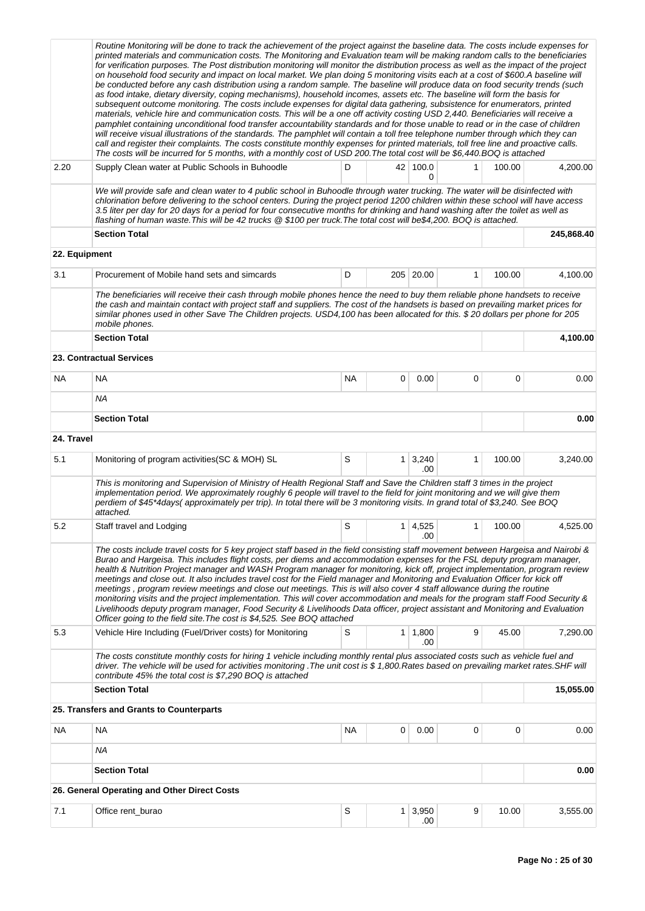|            | Routine Monitoring will be done to track the achievement of the project against the baseline data. The costs include expenses for<br>printed materials and communication costs. The Monitoring and Evaluation team will be making random calls to the beneficiaries<br>for verification purposes. The Post distribution monitoring will monitor the distribution process as well as the impact of the project<br>on household food security and impact on local market. We plan doing 5 monitoring visits each at a cost of \$600.A baseline will<br>be conducted before any cash distribution using a random sample. The baseline will produce data on food security trends (such<br>as food intake, dietary diversity, coping mechanisms), household incomes, assets etc. The baseline will form the basis for<br>subsequent outcome monitoring. The costs include expenses for digital data gathering, subsistence for enumerators, printed                                                          |           |   |                       |   |        |            |
|------------|---------------------------------------------------------------------------------------------------------------------------------------------------------------------------------------------------------------------------------------------------------------------------------------------------------------------------------------------------------------------------------------------------------------------------------------------------------------------------------------------------------------------------------------------------------------------------------------------------------------------------------------------------------------------------------------------------------------------------------------------------------------------------------------------------------------------------------------------------------------------------------------------------------------------------------------------------------------------------------------------------------|-----------|---|-----------------------|---|--------|------------|
|            | materials, vehicle hire and communication costs. This will be a one off activity costing USD 2,440. Beneficiaries will receive a<br>pamphlet containing unconditional food transfer accountability standards and for those unable to read or in the case of children<br>will receive visual illustrations of the standards. The pamphlet will contain a toll free telephone number through which they can<br>call and register their complaints. The costs constitute monthly expenses for printed materials, toll free line and proactive calls.<br>The costs will be incurred for 5 months, with a monthly cost of USD 200. The total cost will be \$6,440. BOQ is attached                                                                                                                                                                                                                                                                                                                           |           |   |                       |   |        |            |
| 2.20       | Supply Clean water at Public Schools in Buhoodle                                                                                                                                                                                                                                                                                                                                                                                                                                                                                                                                                                                                                                                                                                                                                                                                                                                                                                                                                        | D         |   | 42 100.0<br>0         | 1 | 100.00 | 4,200.00   |
|            | We will provide safe and clean water to 4 public school in Buhoodle through water trucking. The water will be disinfected with<br>chlorination before delivering to the school centers. During the project period 1200 children within these school will have access<br>3.5 liter per day for 20 days for a period for four consecutive months for drinking and hand washing after the toilet as well as<br>flashing of human waste. This will be 42 trucks @ \$100 per truck. The total cost will be\$4,200. BOQ is attached.                                                                                                                                                                                                                                                                                                                                                                                                                                                                          |           |   |                       |   |        |            |
|            | <b>Section Total</b>                                                                                                                                                                                                                                                                                                                                                                                                                                                                                                                                                                                                                                                                                                                                                                                                                                                                                                                                                                                    |           |   |                       |   |        | 245,868.40 |
|            | 22. Equipment                                                                                                                                                                                                                                                                                                                                                                                                                                                                                                                                                                                                                                                                                                                                                                                                                                                                                                                                                                                           |           |   |                       |   |        |            |
| 3.1        | Procurement of Mobile hand sets and simcards                                                                                                                                                                                                                                                                                                                                                                                                                                                                                                                                                                                                                                                                                                                                                                                                                                                                                                                                                            | D         |   | 205 20.00             | 1 | 100.00 | 4.100.00   |
|            | The beneficiaries will receive their cash through mobile phones hence the need to buy them reliable phone handsets to receive<br>the cash and maintain contact with project staff and suppliers. The cost of the handsets is based on prevailing market prices for<br>similar phones used in other Save The Children projects. USD4,100 has been allocated for this. \$20 dollars per phone for 205<br>mobile phones.                                                                                                                                                                                                                                                                                                                                                                                                                                                                                                                                                                                   |           |   |                       |   |        |            |
|            | <b>Section Total</b>                                                                                                                                                                                                                                                                                                                                                                                                                                                                                                                                                                                                                                                                                                                                                                                                                                                                                                                                                                                    |           |   |                       |   |        | 4,100.00   |
|            | <b>23. Contractual Services</b>                                                                                                                                                                                                                                                                                                                                                                                                                                                                                                                                                                                                                                                                                                                                                                                                                                                                                                                                                                         |           |   |                       |   |        |            |
| NA         | <b>NA</b>                                                                                                                                                                                                                                                                                                                                                                                                                                                                                                                                                                                                                                                                                                                                                                                                                                                                                                                                                                                               | <b>NA</b> | 0 | 0.00                  | 0 | 0      | 0.00       |
|            | <b>NA</b>                                                                                                                                                                                                                                                                                                                                                                                                                                                                                                                                                                                                                                                                                                                                                                                                                                                                                                                                                                                               |           |   |                       |   |        |            |
|            | <b>Section Total</b>                                                                                                                                                                                                                                                                                                                                                                                                                                                                                                                                                                                                                                                                                                                                                                                                                                                                                                                                                                                    |           |   |                       |   |        | 0.00       |
| 24. Travel |                                                                                                                                                                                                                                                                                                                                                                                                                                                                                                                                                                                                                                                                                                                                                                                                                                                                                                                                                                                                         |           |   |                       |   |        |            |
| 5.1        | Monitoring of program activities (SC & MOH) SL                                                                                                                                                                                                                                                                                                                                                                                                                                                                                                                                                                                                                                                                                                                                                                                                                                                                                                                                                          | S         |   | $1 \mid 3,240$<br>.00 | 1 | 100.00 | 3,240.00   |
|            | This is monitoring and Supervision of Ministry of Health Regional Staff and Save the Children staff 3 times in the project<br>implementation period. We approximately roughly 6 people will travel to the field for joint monitoring and we will give them<br>perdiem of \$45*4days(approximately per trip). In total there will be 3 monitoring visits. In grand total of \$3,240. See BOQ<br>attached.                                                                                                                                                                                                                                                                                                                                                                                                                                                                                                                                                                                                |           |   |                       |   |        |            |
| 5.2        | Staff travel and Lodging                                                                                                                                                                                                                                                                                                                                                                                                                                                                                                                                                                                                                                                                                                                                                                                                                                                                                                                                                                                | S         | 1 | 4,525<br>.00          | 1 | 100.00 | 4,525.00   |
|            | The costs include travel costs for 5 key project staff based in the field consisting staff movement between Hargeisa and Nairobi &<br>Burao and Hargeisa. This includes flight costs, per diems and accommodation expenses for the FSL deputy program manager,<br>health & Nutrition Project manager and WASH Program manager for monitoring, kick off, project implementation, program review<br>meetings and close out. It also includes travel cost for the Field manager and Monitoring and Evaluation Officer for kick off<br>meetings, program review meetings and close out meetings. This is will also cover 4 staff allowance during the routine<br>monitoring visits and the project implementation. This will cover accommodation and meals for the program staff Food Security &<br>Livelihoods deputy program manager, Food Security & Livelihoods Data officer, project assistant and Monitoring and Evaluation<br>Officer going to the field site. The cost is \$4,525. See BOQ attached |           |   |                       |   |        |            |
| 5.3        | Vehicle Hire Including (Fuel/Driver costs) for Monitoring                                                                                                                                                                                                                                                                                                                                                                                                                                                                                                                                                                                                                                                                                                                                                                                                                                                                                                                                               | S         |   | $1 \mid 1,800$<br>.00 | 9 | 45.00  | 7,290.00   |
|            | The costs constitute monthly costs for hiring 1 vehicle including monthly rental plus associated costs such as vehicle fuel and<br>driver. The vehicle will be used for activities monitoring .The unit cost is \$1,800.Rates based on prevailing market rates.SHF will<br>contribute 45% the total cost is \$7,290 BOQ is attached                                                                                                                                                                                                                                                                                                                                                                                                                                                                                                                                                                                                                                                                     |           |   |                       |   |        |            |
|            | <b>Section Total</b>                                                                                                                                                                                                                                                                                                                                                                                                                                                                                                                                                                                                                                                                                                                                                                                                                                                                                                                                                                                    |           |   |                       |   |        | 15,055.00  |
|            | 25. Transfers and Grants to Counterparts                                                                                                                                                                                                                                                                                                                                                                                                                                                                                                                                                                                                                                                                                                                                                                                                                                                                                                                                                                |           |   |                       |   |        |            |
| NA         | <b>NA</b>                                                                                                                                                                                                                                                                                                                                                                                                                                                                                                                                                                                                                                                                                                                                                                                                                                                                                                                                                                                               | NA        | 0 | 0.00                  | 0 | 0      | 0.00       |
|            | ΝA                                                                                                                                                                                                                                                                                                                                                                                                                                                                                                                                                                                                                                                                                                                                                                                                                                                                                                                                                                                                      |           |   |                       |   |        |            |
|            | <b>Section Total</b>                                                                                                                                                                                                                                                                                                                                                                                                                                                                                                                                                                                                                                                                                                                                                                                                                                                                                                                                                                                    |           |   |                       |   |        | 0.00       |
|            | 26. General Operating and Other Direct Costs                                                                                                                                                                                                                                                                                                                                                                                                                                                                                                                                                                                                                                                                                                                                                                                                                                                                                                                                                            |           |   |                       |   |        |            |
| 7.1        | Office rent_burao                                                                                                                                                                                                                                                                                                                                                                                                                                                                                                                                                                                                                                                                                                                                                                                                                                                                                                                                                                                       | S         | 1 | 3,950<br>.00          | 9 | 10.00  | 3,555.00   |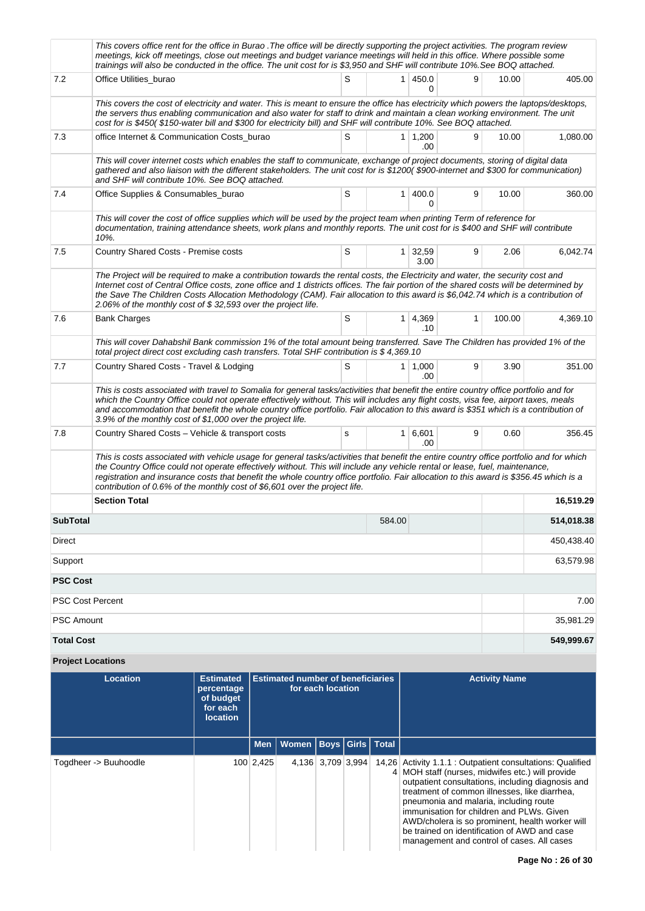| S<br>7.2<br>1 450.0<br>9<br>10.00<br>Office Utilities_burao<br>0<br>This covers the cost of electricity and water. This is meant to ensure the office has electricity which powers the laptops/desktops,<br>the servers thus enabling communication and also water for staff to drink and maintain a clean working environment. The unit<br>cost for is \$450(\$150-water bill and \$300 for electricity bill) and SHF will contribute 10%. See BOQ attached.<br>S<br>1 1,200<br>7.3<br>9<br>office Internet & Communication Costs_burao<br>10.00<br>.00<br>This will cover internet costs which enables the staff to communicate, exchange of project documents, storing of digital data<br>gathered and also liaison with the different stakeholders. The unit cost for is \$1200(\$900-internet and \$300 for communication)<br>and SHF will contribute 10%. See BOQ attached.<br>S<br>7.4<br>400.0<br>9<br>Office Supplies & Consumables_burao<br>1 <sup>1</sup><br>10.00<br>$\Omega$<br>This will cover the cost of office supplies which will be used by the project team when printing Term of reference for<br>documentation, training attendance sheets, work plans and monthly reports. The unit cost for is \$400 and SHF will contribute<br>10%.<br>7.5<br>Country Shared Costs - Premise costs<br>S<br>$1 \mid 32,59$<br>2.06<br>9<br>3.00<br>The Project will be required to make a contribution towards the rental costs, the Electricity and water, the security cost and<br>Internet cost of Central Office costs, zone office and 1 districts offices. The fair portion of the shared costs will be determined by<br>the Save The Children Costs Allocation Methodology (CAM). Fair allocation to this award is \$6,042.74 which is a contribution of<br>2.06% of the monthly cost of \$32,593 over the project life.<br>S<br>7.6<br>1 4,369<br>1<br>100.00<br><b>Bank Charges</b><br>.10<br>This will cover Dahabshil Bank commission 1% of the total amount being transferred. Save The Children has provided 1% of the<br>total project direct cost excluding cash transfers. Total SHF contribution is \$4,369.10<br>S<br>9<br>7.7<br>Country Shared Costs - Travel & Lodging<br>$1 \mid 1,000$<br>3.90<br>.00<br>This is costs associated with travel to Somalia for general tasks/activities that benefit the entire country office portfolio and for<br>which the Country Office could not operate effectively without. This will includes any flight costs, visa fee, airport taxes, meals<br>and accommodation that benefit the whole country office portfolio. Fair allocation to this award is \$351 which is a contribution of<br>3.9% of the monthly cost of \$1,000 over the project life.<br>7.8<br>1   6,601<br>9<br>Country Shared Costs - Vehicle & transport costs<br>0.60<br>s<br>.00<br>This is costs associated with vehicle usage for general tasks/activities that benefit the entire country office portfolio and for which<br>the Country Office could not operate effectively without. This will include any vehicle rental or lease, fuel, maintenance,<br>registration and insurance costs that benefit the whole country office portfolio. Fair allocation to this award is \$356.45 which is a<br>contribution of 0.6% of the monthly cost of \$6,601 over the project life.<br><b>Section Total</b><br>584.00<br><b>SubTotal</b><br>Direct<br>Support<br><b>PSC Cost</b><br><b>PSC Cost Percent</b><br>PSC Amount<br><b>Total Cost</b> | This covers office rent for the office in Burao . The office will be directly supporting the project activities. The program review<br>meetings, kick off meetings, close out meetings and budget variance meetings will held in this office. Where possible some<br>trainings will also be conducted in the office. The unit cost for is \$3,950 and SHF will contribute 10%. See BOQ attached. |  |  |            |
|------------------------------------------------------------------------------------------------------------------------------------------------------------------------------------------------------------------------------------------------------------------------------------------------------------------------------------------------------------------------------------------------------------------------------------------------------------------------------------------------------------------------------------------------------------------------------------------------------------------------------------------------------------------------------------------------------------------------------------------------------------------------------------------------------------------------------------------------------------------------------------------------------------------------------------------------------------------------------------------------------------------------------------------------------------------------------------------------------------------------------------------------------------------------------------------------------------------------------------------------------------------------------------------------------------------------------------------------------------------------------------------------------------------------------------------------------------------------------------------------------------------------------------------------------------------------------------------------------------------------------------------------------------------------------------------------------------------------------------------------------------------------------------------------------------------------------------------------------------------------------------------------------------------------------------------------------------------------------------------------------------------------------------------------------------------------------------------------------------------------------------------------------------------------------------------------------------------------------------------------------------------------------------------------------------------------------------------------------------------------------------------------------------------------------------------------------------------------------------------------------------------------------------------------------------------------------------------------------------------------------------------------------------------------------------------------------------------------------------------------------------------------------------------------------------------------------------------------------------------------------------------------------------------------------------------------------------------------------------------------------------------------------------------------------------------------------------------------------------------------------------------------------------------------------------------------------------------------------------------------------------------------------------------------------------------------------------------------------------------------------------------------------------------------------------------------------------------------------------------|--------------------------------------------------------------------------------------------------------------------------------------------------------------------------------------------------------------------------------------------------------------------------------------------------------------------------------------------------------------------------------------------------|--|--|------------|
|                                                                                                                                                                                                                                                                                                                                                                                                                                                                                                                                                                                                                                                                                                                                                                                                                                                                                                                                                                                                                                                                                                                                                                                                                                                                                                                                                                                                                                                                                                                                                                                                                                                                                                                                                                                                                                                                                                                                                                                                                                                                                                                                                                                                                                                                                                                                                                                                                                                                                                                                                                                                                                                                                                                                                                                                                                                                                                                                                                                                                                                                                                                                                                                                                                                                                                                                                                                                                                                                                          |                                                                                                                                                                                                                                                                                                                                                                                                  |  |  | 405.00     |
|                                                                                                                                                                                                                                                                                                                                                                                                                                                                                                                                                                                                                                                                                                                                                                                                                                                                                                                                                                                                                                                                                                                                                                                                                                                                                                                                                                                                                                                                                                                                                                                                                                                                                                                                                                                                                                                                                                                                                                                                                                                                                                                                                                                                                                                                                                                                                                                                                                                                                                                                                                                                                                                                                                                                                                                                                                                                                                                                                                                                                                                                                                                                                                                                                                                                                                                                                                                                                                                                                          |                                                                                                                                                                                                                                                                                                                                                                                                  |  |  |            |
|                                                                                                                                                                                                                                                                                                                                                                                                                                                                                                                                                                                                                                                                                                                                                                                                                                                                                                                                                                                                                                                                                                                                                                                                                                                                                                                                                                                                                                                                                                                                                                                                                                                                                                                                                                                                                                                                                                                                                                                                                                                                                                                                                                                                                                                                                                                                                                                                                                                                                                                                                                                                                                                                                                                                                                                                                                                                                                                                                                                                                                                                                                                                                                                                                                                                                                                                                                                                                                                                                          |                                                                                                                                                                                                                                                                                                                                                                                                  |  |  | 1,080.00   |
|                                                                                                                                                                                                                                                                                                                                                                                                                                                                                                                                                                                                                                                                                                                                                                                                                                                                                                                                                                                                                                                                                                                                                                                                                                                                                                                                                                                                                                                                                                                                                                                                                                                                                                                                                                                                                                                                                                                                                                                                                                                                                                                                                                                                                                                                                                                                                                                                                                                                                                                                                                                                                                                                                                                                                                                                                                                                                                                                                                                                                                                                                                                                                                                                                                                                                                                                                                                                                                                                                          |                                                                                                                                                                                                                                                                                                                                                                                                  |  |  |            |
|                                                                                                                                                                                                                                                                                                                                                                                                                                                                                                                                                                                                                                                                                                                                                                                                                                                                                                                                                                                                                                                                                                                                                                                                                                                                                                                                                                                                                                                                                                                                                                                                                                                                                                                                                                                                                                                                                                                                                                                                                                                                                                                                                                                                                                                                                                                                                                                                                                                                                                                                                                                                                                                                                                                                                                                                                                                                                                                                                                                                                                                                                                                                                                                                                                                                                                                                                                                                                                                                                          |                                                                                                                                                                                                                                                                                                                                                                                                  |  |  | 360.00     |
|                                                                                                                                                                                                                                                                                                                                                                                                                                                                                                                                                                                                                                                                                                                                                                                                                                                                                                                                                                                                                                                                                                                                                                                                                                                                                                                                                                                                                                                                                                                                                                                                                                                                                                                                                                                                                                                                                                                                                                                                                                                                                                                                                                                                                                                                                                                                                                                                                                                                                                                                                                                                                                                                                                                                                                                                                                                                                                                                                                                                                                                                                                                                                                                                                                                                                                                                                                                                                                                                                          |                                                                                                                                                                                                                                                                                                                                                                                                  |  |  |            |
|                                                                                                                                                                                                                                                                                                                                                                                                                                                                                                                                                                                                                                                                                                                                                                                                                                                                                                                                                                                                                                                                                                                                                                                                                                                                                                                                                                                                                                                                                                                                                                                                                                                                                                                                                                                                                                                                                                                                                                                                                                                                                                                                                                                                                                                                                                                                                                                                                                                                                                                                                                                                                                                                                                                                                                                                                                                                                                                                                                                                                                                                                                                                                                                                                                                                                                                                                                                                                                                                                          |                                                                                                                                                                                                                                                                                                                                                                                                  |  |  | 6,042.74   |
|                                                                                                                                                                                                                                                                                                                                                                                                                                                                                                                                                                                                                                                                                                                                                                                                                                                                                                                                                                                                                                                                                                                                                                                                                                                                                                                                                                                                                                                                                                                                                                                                                                                                                                                                                                                                                                                                                                                                                                                                                                                                                                                                                                                                                                                                                                                                                                                                                                                                                                                                                                                                                                                                                                                                                                                                                                                                                                                                                                                                                                                                                                                                                                                                                                                                                                                                                                                                                                                                                          |                                                                                                                                                                                                                                                                                                                                                                                                  |  |  |            |
|                                                                                                                                                                                                                                                                                                                                                                                                                                                                                                                                                                                                                                                                                                                                                                                                                                                                                                                                                                                                                                                                                                                                                                                                                                                                                                                                                                                                                                                                                                                                                                                                                                                                                                                                                                                                                                                                                                                                                                                                                                                                                                                                                                                                                                                                                                                                                                                                                                                                                                                                                                                                                                                                                                                                                                                                                                                                                                                                                                                                                                                                                                                                                                                                                                                                                                                                                                                                                                                                                          |                                                                                                                                                                                                                                                                                                                                                                                                  |  |  | 4,369.10   |
|                                                                                                                                                                                                                                                                                                                                                                                                                                                                                                                                                                                                                                                                                                                                                                                                                                                                                                                                                                                                                                                                                                                                                                                                                                                                                                                                                                                                                                                                                                                                                                                                                                                                                                                                                                                                                                                                                                                                                                                                                                                                                                                                                                                                                                                                                                                                                                                                                                                                                                                                                                                                                                                                                                                                                                                                                                                                                                                                                                                                                                                                                                                                                                                                                                                                                                                                                                                                                                                                                          |                                                                                                                                                                                                                                                                                                                                                                                                  |  |  |            |
|                                                                                                                                                                                                                                                                                                                                                                                                                                                                                                                                                                                                                                                                                                                                                                                                                                                                                                                                                                                                                                                                                                                                                                                                                                                                                                                                                                                                                                                                                                                                                                                                                                                                                                                                                                                                                                                                                                                                                                                                                                                                                                                                                                                                                                                                                                                                                                                                                                                                                                                                                                                                                                                                                                                                                                                                                                                                                                                                                                                                                                                                                                                                                                                                                                                                                                                                                                                                                                                                                          |                                                                                                                                                                                                                                                                                                                                                                                                  |  |  | 351.00     |
|                                                                                                                                                                                                                                                                                                                                                                                                                                                                                                                                                                                                                                                                                                                                                                                                                                                                                                                                                                                                                                                                                                                                                                                                                                                                                                                                                                                                                                                                                                                                                                                                                                                                                                                                                                                                                                                                                                                                                                                                                                                                                                                                                                                                                                                                                                                                                                                                                                                                                                                                                                                                                                                                                                                                                                                                                                                                                                                                                                                                                                                                                                                                                                                                                                                                                                                                                                                                                                                                                          |                                                                                                                                                                                                                                                                                                                                                                                                  |  |  |            |
|                                                                                                                                                                                                                                                                                                                                                                                                                                                                                                                                                                                                                                                                                                                                                                                                                                                                                                                                                                                                                                                                                                                                                                                                                                                                                                                                                                                                                                                                                                                                                                                                                                                                                                                                                                                                                                                                                                                                                                                                                                                                                                                                                                                                                                                                                                                                                                                                                                                                                                                                                                                                                                                                                                                                                                                                                                                                                                                                                                                                                                                                                                                                                                                                                                                                                                                                                                                                                                                                                          |                                                                                                                                                                                                                                                                                                                                                                                                  |  |  | 356.45     |
|                                                                                                                                                                                                                                                                                                                                                                                                                                                                                                                                                                                                                                                                                                                                                                                                                                                                                                                                                                                                                                                                                                                                                                                                                                                                                                                                                                                                                                                                                                                                                                                                                                                                                                                                                                                                                                                                                                                                                                                                                                                                                                                                                                                                                                                                                                                                                                                                                                                                                                                                                                                                                                                                                                                                                                                                                                                                                                                                                                                                                                                                                                                                                                                                                                                                                                                                                                                                                                                                                          |                                                                                                                                                                                                                                                                                                                                                                                                  |  |  |            |
|                                                                                                                                                                                                                                                                                                                                                                                                                                                                                                                                                                                                                                                                                                                                                                                                                                                                                                                                                                                                                                                                                                                                                                                                                                                                                                                                                                                                                                                                                                                                                                                                                                                                                                                                                                                                                                                                                                                                                                                                                                                                                                                                                                                                                                                                                                                                                                                                                                                                                                                                                                                                                                                                                                                                                                                                                                                                                                                                                                                                                                                                                                                                                                                                                                                                                                                                                                                                                                                                                          |                                                                                                                                                                                                                                                                                                                                                                                                  |  |  | 16,519.29  |
|                                                                                                                                                                                                                                                                                                                                                                                                                                                                                                                                                                                                                                                                                                                                                                                                                                                                                                                                                                                                                                                                                                                                                                                                                                                                                                                                                                                                                                                                                                                                                                                                                                                                                                                                                                                                                                                                                                                                                                                                                                                                                                                                                                                                                                                                                                                                                                                                                                                                                                                                                                                                                                                                                                                                                                                                                                                                                                                                                                                                                                                                                                                                                                                                                                                                                                                                                                                                                                                                                          |                                                                                                                                                                                                                                                                                                                                                                                                  |  |  | 514,018.38 |
|                                                                                                                                                                                                                                                                                                                                                                                                                                                                                                                                                                                                                                                                                                                                                                                                                                                                                                                                                                                                                                                                                                                                                                                                                                                                                                                                                                                                                                                                                                                                                                                                                                                                                                                                                                                                                                                                                                                                                                                                                                                                                                                                                                                                                                                                                                                                                                                                                                                                                                                                                                                                                                                                                                                                                                                                                                                                                                                                                                                                                                                                                                                                                                                                                                                                                                                                                                                                                                                                                          |                                                                                                                                                                                                                                                                                                                                                                                                  |  |  | 450,438.40 |
|                                                                                                                                                                                                                                                                                                                                                                                                                                                                                                                                                                                                                                                                                                                                                                                                                                                                                                                                                                                                                                                                                                                                                                                                                                                                                                                                                                                                                                                                                                                                                                                                                                                                                                                                                                                                                                                                                                                                                                                                                                                                                                                                                                                                                                                                                                                                                                                                                                                                                                                                                                                                                                                                                                                                                                                                                                                                                                                                                                                                                                                                                                                                                                                                                                                                                                                                                                                                                                                                                          |                                                                                                                                                                                                                                                                                                                                                                                                  |  |  | 63,579.98  |
|                                                                                                                                                                                                                                                                                                                                                                                                                                                                                                                                                                                                                                                                                                                                                                                                                                                                                                                                                                                                                                                                                                                                                                                                                                                                                                                                                                                                                                                                                                                                                                                                                                                                                                                                                                                                                                                                                                                                                                                                                                                                                                                                                                                                                                                                                                                                                                                                                                                                                                                                                                                                                                                                                                                                                                                                                                                                                                                                                                                                                                                                                                                                                                                                                                                                                                                                                                                                                                                                                          |                                                                                                                                                                                                                                                                                                                                                                                                  |  |  |            |
|                                                                                                                                                                                                                                                                                                                                                                                                                                                                                                                                                                                                                                                                                                                                                                                                                                                                                                                                                                                                                                                                                                                                                                                                                                                                                                                                                                                                                                                                                                                                                                                                                                                                                                                                                                                                                                                                                                                                                                                                                                                                                                                                                                                                                                                                                                                                                                                                                                                                                                                                                                                                                                                                                                                                                                                                                                                                                                                                                                                                                                                                                                                                                                                                                                                                                                                                                                                                                                                                                          |                                                                                                                                                                                                                                                                                                                                                                                                  |  |  | 7.00       |
|                                                                                                                                                                                                                                                                                                                                                                                                                                                                                                                                                                                                                                                                                                                                                                                                                                                                                                                                                                                                                                                                                                                                                                                                                                                                                                                                                                                                                                                                                                                                                                                                                                                                                                                                                                                                                                                                                                                                                                                                                                                                                                                                                                                                                                                                                                                                                                                                                                                                                                                                                                                                                                                                                                                                                                                                                                                                                                                                                                                                                                                                                                                                                                                                                                                                                                                                                                                                                                                                                          |                                                                                                                                                                                                                                                                                                                                                                                                  |  |  | 35,981.29  |
|                                                                                                                                                                                                                                                                                                                                                                                                                                                                                                                                                                                                                                                                                                                                                                                                                                                                                                                                                                                                                                                                                                                                                                                                                                                                                                                                                                                                                                                                                                                                                                                                                                                                                                                                                                                                                                                                                                                                                                                                                                                                                                                                                                                                                                                                                                                                                                                                                                                                                                                                                                                                                                                                                                                                                                                                                                                                                                                                                                                                                                                                                                                                                                                                                                                                                                                                                                                                                                                                                          |                                                                                                                                                                                                                                                                                                                                                                                                  |  |  | 549,999.67 |

| Location              | <b>Estimated</b><br>percentage<br>of budget<br>for each<br><b>location</b> | <b>Estimated number of beneficiaries</b><br>for each location |                                    |                   |  | <b>Activity Name</b>                                                                                                                                                                                                                                                                                                                                                                                                                                         |
|-----------------------|----------------------------------------------------------------------------|---------------------------------------------------------------|------------------------------------|-------------------|--|--------------------------------------------------------------------------------------------------------------------------------------------------------------------------------------------------------------------------------------------------------------------------------------------------------------------------------------------------------------------------------------------------------------------------------------------------------------|
|                       |                                                                            |                                                               | Men   Women   Boys   Girls   Total |                   |  |                                                                                                                                                                                                                                                                                                                                                                                                                                                              |
| Togdheer -> Buuhoodle |                                                                            | 100 2,425                                                     |                                    | 4,136 3,709 3,994 |  | 14,26 Activity 1.1.1 : Outpatient consultations: Qualified<br>4 MOH staff (nurses, midwifes etc.) will provide<br>outpatient consultations, including diagnosis and<br>treatment of common illnesses, like diarrhea,<br>pneumonia and malaria, including route<br>immunisation for children and PLWs. Given<br>AWD/cholera is so prominent, health worker will<br>be trained on identification of AWD and case<br>management and control of cases. All cases |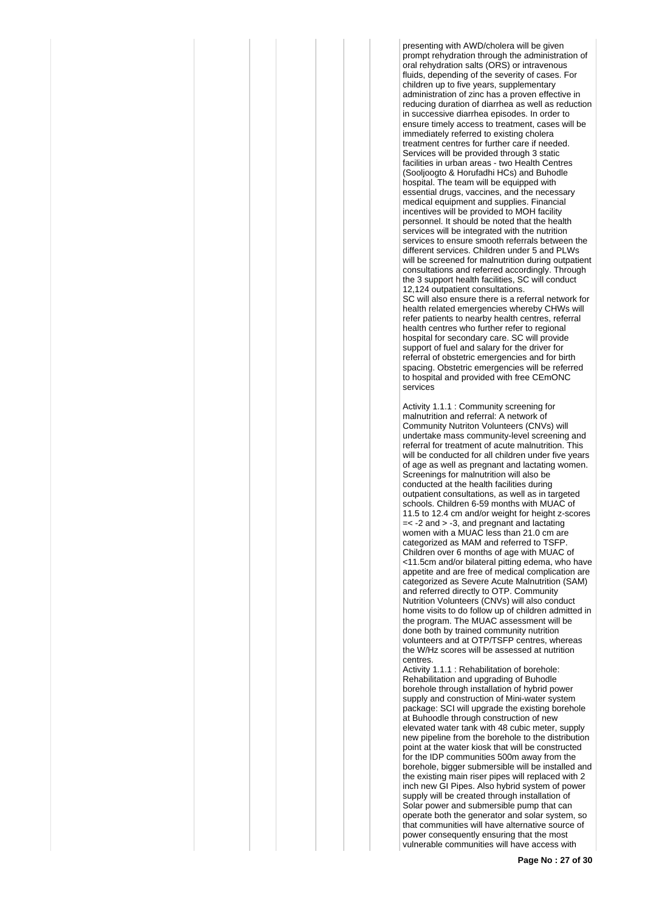presenting with AWD/cholera will be given prompt rehydration through the administration of oral rehydration salts (ORS) or intravenous fluids, depending of the severity of cases. For children up to five years, supplementary administration of zinc has a proven effective in reducing duration of diarrhea as well as reduction in successive diarrhea episodes. In order to ensure timely access to treatment, cases will be immediately referred to existing cholera treatment centres for further care if needed. Services will be provided through 3 static facilities in urban areas - two Health Centres (Sooljoogto & Horufadhi HCs) and Buhodle hospital. The team will be equipped with essential drugs, vaccines, and the necessary medical equipment and supplies. Financial incentives will be provided to MOH facility personnel. It should be noted that the health services will be integrated with the nutrition services to ensure smooth referrals between the different services. Children under 5 and PLWs will be screened for malnutrition during outpatient consultations and referred accordingly. Through the 3 support health facilities, SC will conduct 12,124 outpatient consultations. SC will also ensure there is a referral network for health related emergencies whereby CHWs will refer patients to nearby health centres, referral

health centres who further refer to regional hospital for secondary care. SC will provide support of fuel and salary for the driver for referral of obstetric emergencies and for birth spacing. Obstetric emergencies will be referred to hospital and provided with free CEmONC services

Activity 1.1.1 : Community screening for malnutrition and referral: A network of Community Nutriton Volunteers (CNVs) will undertake mass community-level screening and referral for treatment of acute malnutrition. This will be conducted for all children under five years of age as well as pregnant and lactating women. Screenings for malnutrition will also be conducted at the health facilities during outpatient consultations, as well as in targeted schools. Children 6-59 months with MUAC of 11.5 to 12.4 cm and/or weight for height z-scores  $=<$  -2 and  $>$  -3, and pregnant and lactating women with a MUAC less than 21.0 cm are categorized as MAM and referred to TSFP. Children over 6 months of age with MUAC of <11.5cm and/or bilateral pitting edema, who have appetite and are free of medical complication are categorized as Severe Acute Malnutrition (SAM) and referred directly to OTP. Community Nutrition Volunteers (CNVs) will also conduct home visits to do follow up of children admitted in the program. The MUAC assessment will be done both by trained community nutrition volunteers and at OTP/TSFP centres, whereas the W/Hz scores will be assessed at nutrition centres.

Activity 1.1.1 : Rehabilitation of borehole: Rehabilitation and upgrading of Buhodle borehole through installation of hybrid power supply and construction of Mini-water system package: SCI will upgrade the existing borehole at Buhoodle through construction of new elevated water tank with 48 cubic meter, supply new pipeline from the borehole to the distribution point at the water kiosk that will be constructed for the IDP communities 500m away from the borehole, bigger submersible will be installed and the existing main riser pipes will replaced with 2 inch new GI Pipes. Also hybrid system of power supply will be created through installation of Solar power and submersible pump that can operate both the generator and solar system, so that communities will have alternative source of power consequently ensuring that the most vulnerable communities will have access with

**Page No : 27 of 30**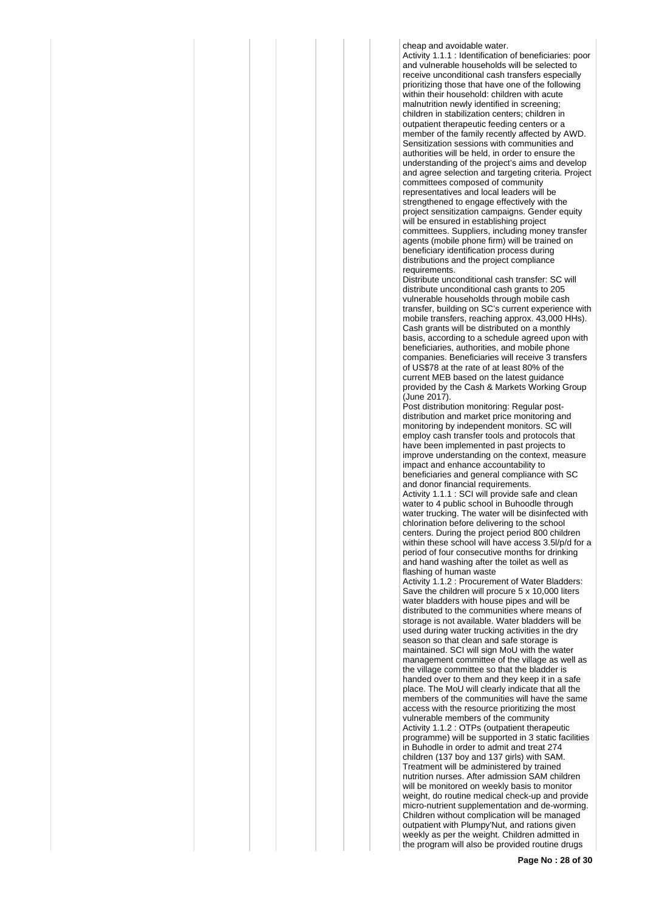cheap and avoidable water.

Activity 1.1.1 : Identification of beneficiaries: poor and vulnerable households will be selected to receive unconditional cash transfers especially prioritizing those that have one of the following within their household: children with acute malnutrition newly identified in screening; children in stabilization centers; children in outpatient therapeutic feeding centers or a member of the family recently affected by AWD. Sensitization sessions with communities and authorities will be held, in order to ensure the understanding of the project's aims and develop and agree selection and targeting criteria. Project committees composed of community representatives and local leaders will be strengthened to engage effectively with the project sensitization campaigns. Gender equity will be ensured in establishing project committees. Suppliers, including money transfer agents (mobile phone firm) will be trained on beneficiary identification process during distributions and the project compliance requirements.

Distribute unconditional cash transfer: SC will distribute unconditional cash grants to 205 vulnerable households through mobile cash transfer, building on SC's current experience with mobile transfers, reaching approx. 43,000 HHs). Cash grants will be distributed on a monthly basis, according to a schedule agreed upon with beneficiaries, authorities, and mobile phone companies. Beneficiaries will receive 3 transfers of US\$78 at the rate of at least 80% of the current MEB based on the latest guidance provided by the Cash & Markets Working Group (June 2017).

Post distribution monitoring: Regular postdistribution and market price monitoring and monitoring by independent monitors. SC will employ cash transfer tools and protocols that have been implemented in past projects to improve understanding on the context, measure impact and enhance accountability to beneficiaries and general compliance with SC and donor financial requirements. Activity 1.1.1 : SCI will provide safe and clean

water to 4 public school in Buhoodle through water trucking. The water will be disinfected with chlorination before delivering to the school centers. During the project period 800 children within these school will have access 3.5l/p/d for a period of four consecutive months for drinking and hand washing after the toilet as well as flashing of human waste

Activity 1.1.2 : Procurement of Water Bladders: Save the children will procure 5 x 10,000 liters water bladders with house pipes and will be distributed to the communities where means of storage is not available. Water bladders will be used during water trucking activities in the dry season so that clean and safe storage is maintained. SCI will sign MoU with the water management committee of the village as well as the village committee so that the bladder is handed over to them and they keep it in a safe place. The MoU will clearly indicate that all the members of the communities will have the same access with the resource prioritizing the most vulnerable members of the community Activity 1.1.2 : OTPs (outpatient therapeutic programme) will be supported in 3 static facilities in Buhodle in order to admit and treat 274 children (137 boy and 137 girls) with SAM. Treatment will be administered by trained nutrition nurses. After admission SAM children will be monitored on weekly basis to monitor weight, do routine medical check-up and provide micro-nutrient supplementation and de-worming. Children without complication will be managed outpatient with Plumpy'Nut, and rations given weekly as per the weight. Children admitted in the program will also be provided routine drugs

**Page No : 28 of 30**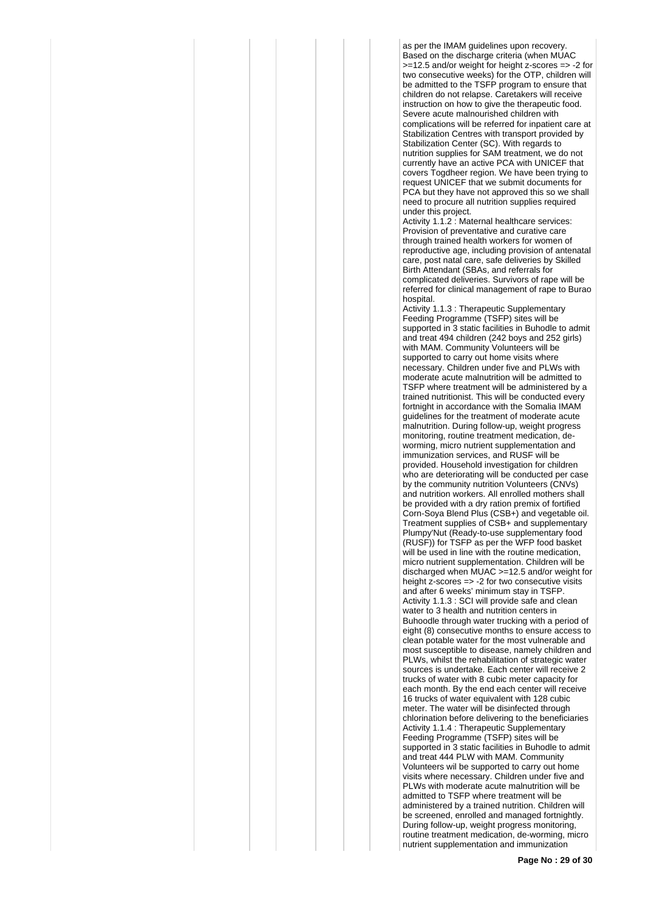as per the IMAM guidelines upon recovery. Based on the discharge criteria (when MUAC >=12.5 and/or weight for height z-scores => -2 for two consecutive weeks) for the OTP, children will be admitted to the TSFP program to ensure that children do not relapse. Caretakers will receive instruction on how to give the therapeutic food. Severe acute malnourished children with complications will be referred for inpatient care at Stabilization Centres with transport provided by Stabilization Center (SC). With regards to nutrition supplies for SAM treatment, we do not currently have an active PCA with UNICEF that covers Togdheer region. We have been trying to request UNICEF that we submit documents for PCA but they have not approved this so we shall need to procure all nutrition supplies required under this project.

Activity 1.1.2 : Maternal healthcare services: Provision of preventative and curative care through trained health workers for women of reproductive age, including provision of antenatal care, post natal care, safe deliveries by Skilled Birth Attendant (SBAs, and referrals for complicated deliveries. Survivors of rape will be referred for clinical management of rape to Burao hospital.

Activity 1.1.3 : Therapeutic Supplementary Feeding Programme (TSFP) sites will be supported in 3 static facilities in Buhodle to admit and treat 494 children (242 boys and 252 girls) with MAM. Community Volunteers will be supported to carry out home visits where necessary. Children under five and PLWs with moderate acute malnutrition will be admitted to TSFP where treatment will be administered by a trained nutritionist. This will be conducted every fortnight in accordance with the Somalia IMAM guidelines for the treatment of moderate acute malnutrition. During follow-up, weight progress monitoring, routine treatment medication, deworming, micro nutrient supplementation and immunization services, and RUSF will be provided. Household investigation for children who are deteriorating will be conducted per case by the community nutrition Volunteers (CNVs) and nutrition workers. All enrolled mothers shall be provided with a dry ration premix of fortified Corn-Soya Blend Plus (CSB+) and vegetable oil. Treatment supplies of CSB+ and supplementary Plumpy'Nut (Ready-to-use supplementary food (RUSF)) for TSFP as per the WFP food basket will be used in line with the routine medication, micro nutrient supplementation. Children will be discharged when MUAC >=12.5 and/or weight for height z-scores => -2 for two consecutive visits and after 6 weeks' minimum stay in TSFP. Activity 1.1.3 : SCI will provide safe and clean water to 3 health and nutrition centers in Buhoodle through water trucking with a period of eight (8) consecutive months to ensure access to clean potable water for the most vulnerable and most susceptible to disease, namely children and PLWs, whilst the rehabilitation of strategic water sources is undertake. Each center will receive 2 trucks of water with 8 cubic meter capacity for each month. By the end each center will receive 16 trucks of water equivalent with 128 cubic meter. The water will be disinfected through chlorination before delivering to the beneficiaries Activity 1.1.4 : Therapeutic Supplementary Feeding Programme (TSFP) sites will be supported in 3 static facilities in Buhodle to admit and treat 444 PLW with MAM. Community Volunteers wil be supported to carry out home visits where necessary. Children under five and PLWs with moderate acute malnutrition will be admitted to TSFP where treatment will be administered by a trained nutrition. Children will be screened, enrolled and managed fortnightly. During follow-up, weight progress monitoring, routine treatment medication, de-worming, micro nutrient supplementation and immunization